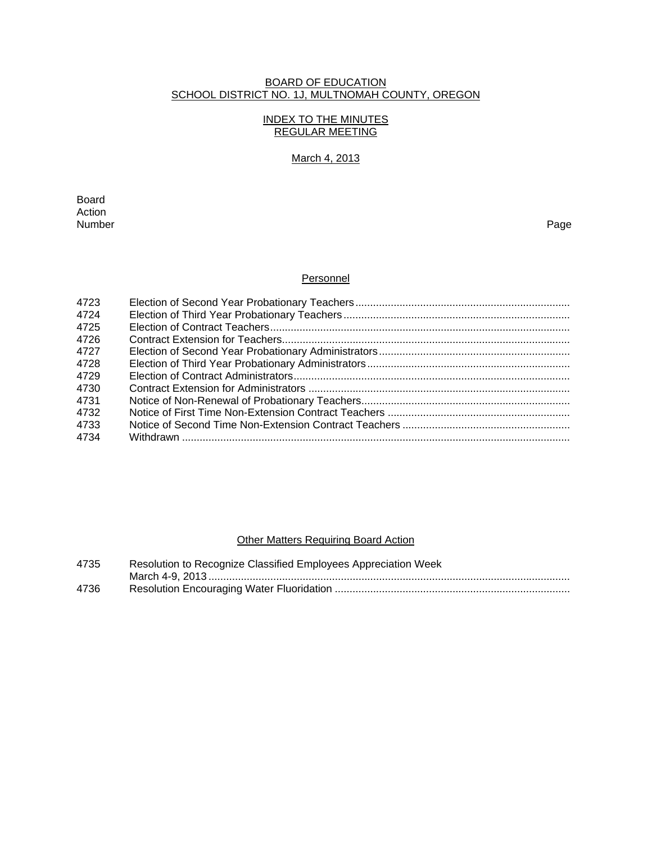# BOARD OF EDUCATION SCHOOL DISTRICT NO. 1J, MULTNOMAH COUNTY, OREGON

# INDEX TO THE MINUTES REGULAR MEETING

# March 4, 2013

**Board Board** Action<br>Number Number Page

# **Personnel**

| 4723 |  |
|------|--|
| 4724 |  |
| 4725 |  |
| 4726 |  |
| 4727 |  |
| 4728 |  |
| 4729 |  |
| 4730 |  |
| 4731 |  |
| 4732 |  |
| 4733 |  |
| 4734 |  |
|      |  |

# **Other Matters Requiring Board Action**

| 4735 | Resolution to Recognize Classified Employees Appreciation Week |
|------|----------------------------------------------------------------|
|      |                                                                |
| 4736 |                                                                |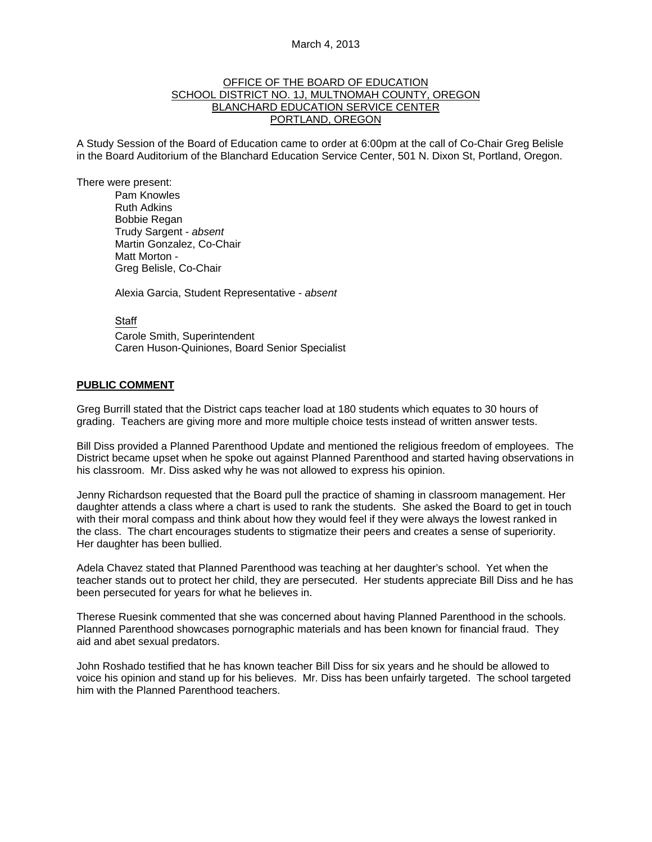## March 4, 2013

## OFFICE OF THE BOARD OF EDUCATION SCHOOL DISTRICT NO. 1J, MULTNOMAH COUNTY, OREGON BLANCHARD EDUCATION SERVICE CENTER PORTLAND, OREGON

A Study Session of the Board of Education came to order at 6:00pm at the call of Co-Chair Greg Belisle in the Board Auditorium of the Blanchard Education Service Center, 501 N. Dixon St, Portland, Oregon.

There were present: Pam Knowles

Ruth Adkins Bobbie Regan Trudy Sargent - *absent* Martin Gonzalez, Co-Chair Matt Morton - Greg Belisle, Co-Chair

Alexia Garcia, Student Representative - *absent* 

#### **Staff**

 Carole Smith, Superintendent Caren Huson-Quiniones, Board Senior Specialist

#### **PUBLIC COMMENT**

Greg Burrill stated that the District caps teacher load at 180 students which equates to 30 hours of grading. Teachers are giving more and more multiple choice tests instead of written answer tests.

Bill Diss provided a Planned Parenthood Update and mentioned the religious freedom of employees. The District became upset when he spoke out against Planned Parenthood and started having observations in his classroom. Mr. Diss asked why he was not allowed to express his opinion.

Jenny Richardson requested that the Board pull the practice of shaming in classroom management. Her daughter attends a class where a chart is used to rank the students. She asked the Board to get in touch with their moral compass and think about how they would feel if they were always the lowest ranked in the class. The chart encourages students to stigmatize their peers and creates a sense of superiority. Her daughter has been bullied.

Adela Chavez stated that Planned Parenthood was teaching at her daughter's school. Yet when the teacher stands out to protect her child, they are persecuted. Her students appreciate Bill Diss and he has been persecuted for years for what he believes in.

Therese Ruesink commented that she was concerned about having Planned Parenthood in the schools. Planned Parenthood showcases pornographic materials and has been known for financial fraud. They aid and abet sexual predators.

John Roshado testified that he has known teacher Bill Diss for six years and he should be allowed to voice his opinion and stand up for his believes. Mr. Diss has been unfairly targeted. The school targeted him with the Planned Parenthood teachers.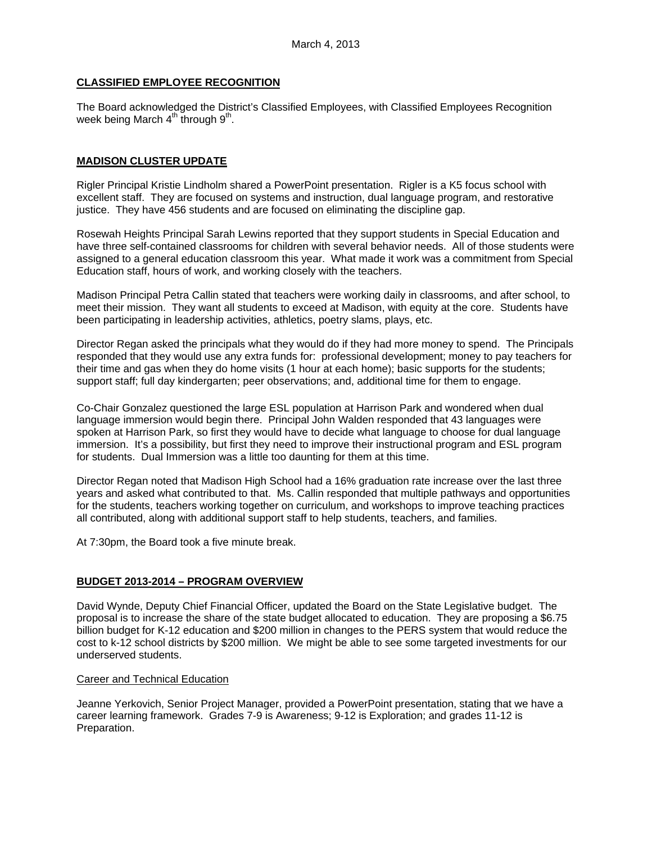# **CLASSIFIED EMPLOYEE RECOGNITION**

The Board acknowledged the District's Classified Employees, with Classified Employees Recognition week being March  $4<sup>th</sup>$  through  $9<sup>th</sup>$ .

# **MADISON CLUSTER UPDATE**

Rigler Principal Kristie Lindholm shared a PowerPoint presentation. Rigler is a K5 focus school with excellent staff. They are focused on systems and instruction, dual language program, and restorative justice. They have 456 students and are focused on eliminating the discipline gap.

Rosewah Heights Principal Sarah Lewins reported that they support students in Special Education and have three self-contained classrooms for children with several behavior needs. All of those students were assigned to a general education classroom this year. What made it work was a commitment from Special Education staff, hours of work, and working closely with the teachers.

Madison Principal Petra Callin stated that teachers were working daily in classrooms, and after school, to meet their mission. They want all students to exceed at Madison, with equity at the core. Students have been participating in leadership activities, athletics, poetry slams, plays, etc.

Director Regan asked the principals what they would do if they had more money to spend. The Principals responded that they would use any extra funds for: professional development; money to pay teachers for their time and gas when they do home visits (1 hour at each home); basic supports for the students; support staff; full day kindergarten; peer observations; and, additional time for them to engage.

Co-Chair Gonzalez questioned the large ESL population at Harrison Park and wondered when dual language immersion would begin there. Principal John Walden responded that 43 languages were spoken at Harrison Park, so first they would have to decide what language to choose for dual language immersion. It's a possibility, but first they need to improve their instructional program and ESL program for students. Dual Immersion was a little too daunting for them at this time.

Director Regan noted that Madison High School had a 16% graduation rate increase over the last three years and asked what contributed to that. Ms. Callin responded that multiple pathways and opportunities for the students, teachers working together on curriculum, and workshops to improve teaching practices all contributed, along with additional support staff to help students, teachers, and families.

At 7:30pm, the Board took a five minute break.

# **BUDGET 2013-2014 – PROGRAM OVERVIEW**

David Wynde, Deputy Chief Financial Officer, updated the Board on the State Legislative budget. The proposal is to increase the share of the state budget allocated to education. They are proposing a \$6.75 billion budget for K-12 education and \$200 million in changes to the PERS system that would reduce the cost to k-12 school districts by \$200 million. We might be able to see some targeted investments for our underserved students.

### Career and Technical Education

Jeanne Yerkovich, Senior Project Manager, provided a PowerPoint presentation, stating that we have a career learning framework. Grades 7-9 is Awareness; 9-12 is Exploration; and grades 11-12 is Preparation.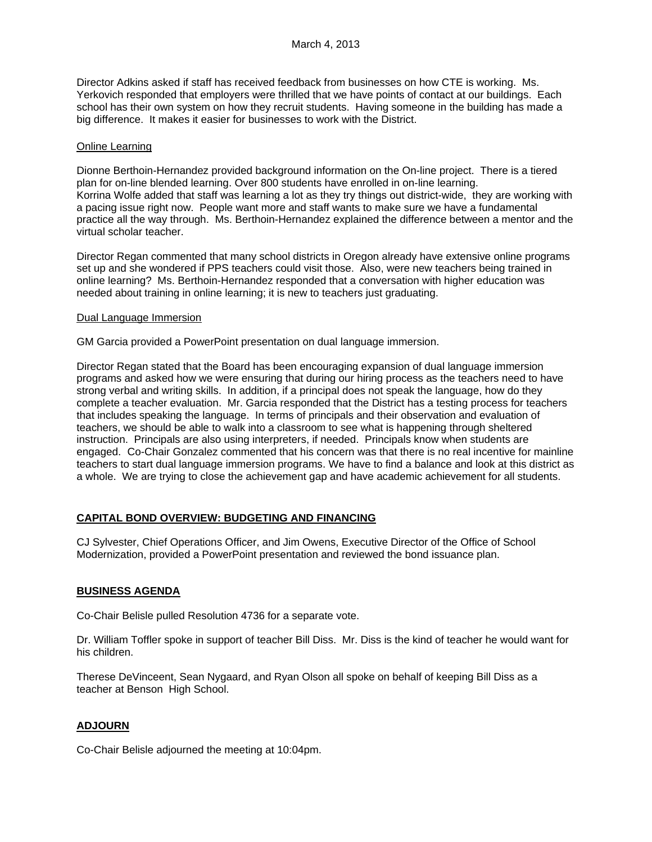Director Adkins asked if staff has received feedback from businesses on how CTE is working. Ms. Yerkovich responded that employers were thrilled that we have points of contact at our buildings. Each school has their own system on how they recruit students. Having someone in the building has made a big difference. It makes it easier for businesses to work with the District.

## Online Learning

Dionne Berthoin-Hernandez provided background information on the On-line project. There is a tiered plan for on-line blended learning. Over 800 students have enrolled in on-line learning. Korrina Wolfe added that staff was learning a lot as they try things out district-wide, they are working with a pacing issue right now. People want more and staff wants to make sure we have a fundamental practice all the way through. Ms. Berthoin-Hernandez explained the difference between a mentor and the virtual scholar teacher.

Director Regan commented that many school districts in Oregon already have extensive online programs set up and she wondered if PPS teachers could visit those. Also, were new teachers being trained in online learning? Ms. Berthoin-Hernandez responded that a conversation with higher education was needed about training in online learning; it is new to teachers just graduating.

### Dual Language Immersion

GM Garcia provided a PowerPoint presentation on dual language immersion.

Director Regan stated that the Board has been encouraging expansion of dual language immersion programs and asked how we were ensuring that during our hiring process as the teachers need to have strong verbal and writing skills. In addition, if a principal does not speak the language, how do they complete a teacher evaluation. Mr. Garcia responded that the District has a testing process for teachers that includes speaking the language. In terms of principals and their observation and evaluation of teachers, we should be able to walk into a classroom to see what is happening through sheltered instruction. Principals are also using interpreters, if needed. Principals know when students are engaged. Co-Chair Gonzalez commented that his concern was that there is no real incentive for mainline teachers to start dual language immersion programs. We have to find a balance and look at this district as a whole. We are trying to close the achievement gap and have academic achievement for all students.

# **CAPITAL BOND OVERVIEW: BUDGETING AND FINANCING**

CJ Sylvester, Chief Operations Officer, and Jim Owens, Executive Director of the Office of School Modernization, provided a PowerPoint presentation and reviewed the bond issuance plan.

# **BUSINESS AGENDA**

Co-Chair Belisle pulled Resolution 4736 for a separate vote.

Dr. William Toffler spoke in support of teacher Bill Diss. Mr. Diss is the kind of teacher he would want for his children.

Therese DeVinceent, Sean Nygaard, and Ryan Olson all spoke on behalf of keeping Bill Diss as a teacher at Benson High School.

# **ADJOURN**

Co-Chair Belisle adjourned the meeting at 10:04pm.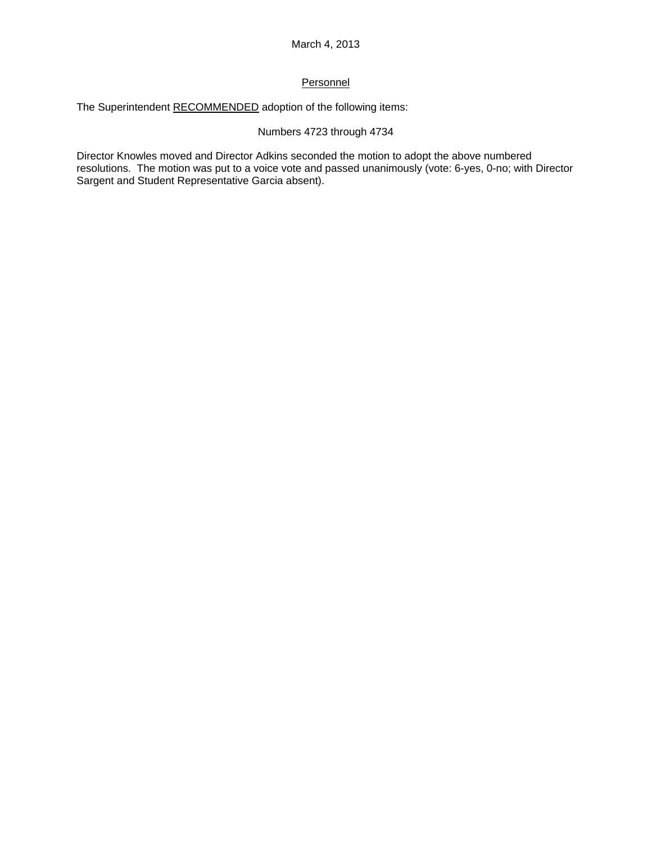# **Personnel**

The Superintendent RECOMMENDED adoption of the following items:

# Numbers 4723 through 4734

Director Knowles moved and Director Adkins seconded the motion to adopt the above numbered resolutions. The motion was put to a voice vote and passed unanimously (vote: 6-yes, 0-no; with Director Sargent and Student Representative Garcia absent).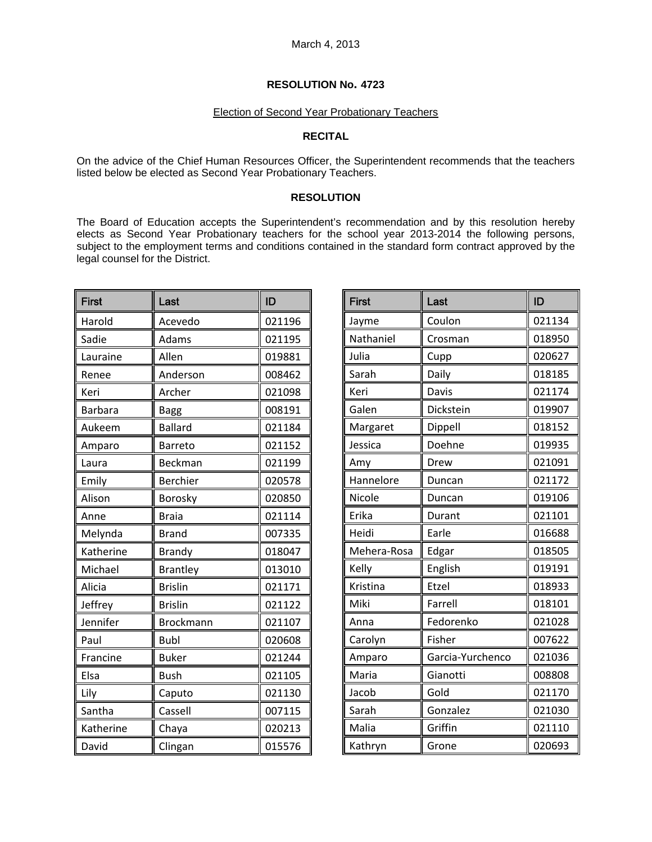#### Election of Second Year Probationary Teachers

# **RECITAL**

On the advice of the Chief Human Resources Officer, the Superintendent recommends that the teachers listed below be elected as Second Year Probationary Teachers.

# **RESOLUTION**

The Board of Education accepts the Superintendent's recommendation and by this resolution hereby elects as Second Year Probationary teachers for the school year 2013-2014 the following persons, subject to the employment terms and conditions contained in the standard form contract approved by the legal counsel for the District.

| <b>First</b>   | Last             | ID     |
|----------------|------------------|--------|
| Harold         | Acevedo          | 021196 |
| Sadie          | Adams            | 021195 |
| Lauraine       | Allen            | 019881 |
| Renee          | Anderson         | 008462 |
| Keri           | Archer           | 021098 |
| <b>Barbara</b> | Bagg             | 008191 |
| Aukeem         | <b>Ballard</b>   | 021184 |
| Amparo         | <b>Barreto</b>   | 021152 |
| Laura          | Beckman          | 021199 |
| Emily          | Berchier         | 020578 |
| Alison         | Borosky          | 020850 |
| Anne           | <b>Braia</b>     | 021114 |
| Melynda        | <b>Brand</b>     | 007335 |
| Katherine      | <b>Brandy</b>    | 018047 |
| Michael        | <b>Brantley</b>  | 013010 |
| Alicia         | <b>Brislin</b>   | 021171 |
| Jeffrey        | <b>Brislin</b>   | 021122 |
| Jennifer       | <b>Brockmann</b> | 021107 |
| Paul           | <b>Bubl</b>      | 020608 |
| Francine       | <b>Buker</b>     | 021244 |
| Elsa           | <b>Bush</b>      | 021105 |
| Lily           | Caputo           | 021130 |
| Santha         | Cassell          | 007115 |
| Katherine      | Chaya            | 020213 |
| David          | Clingan          | 015576 |

| <b>First</b> | Last             | ID     |
|--------------|------------------|--------|
| Jayme        | Coulon           | 021134 |
| Nathaniel    | Crosman          | 018950 |
| Julia        | Cupp             | 020627 |
| Sarah        | Daily            | 018185 |
| Keri         | <b>Davis</b>     | 021174 |
| Galen        | Dickstein        | 019907 |
| Margaret     | Dippell          | 018152 |
| Jessica      | Doehne           | 019935 |
| Amy          | Drew             | 021091 |
| Hannelore    | Duncan           | 021172 |
| Nicole       | Duncan           | 019106 |
| Erika        | Durant           | 021101 |
| Heidi        | Earle            | 016688 |
| Mehera-Rosa  | Edgar            | 018505 |
| Kelly        | English          | 019191 |
| Kristina     | Etzel            | 018933 |
| Miki         | Farrell          | 018101 |
| Anna         | Fedorenko        | 021028 |
| Carolyn      | Fisher           | 007622 |
| Amparo       | Garcia-Yurchenco | 021036 |
| Maria        | Gianotti         | 008808 |
| Jacob        | Gold             | 021170 |
| Sarah        | Gonzalez         | 021030 |
| Malia        | Griffin          | 021110 |
| Kathryn      | Grone            | 020693 |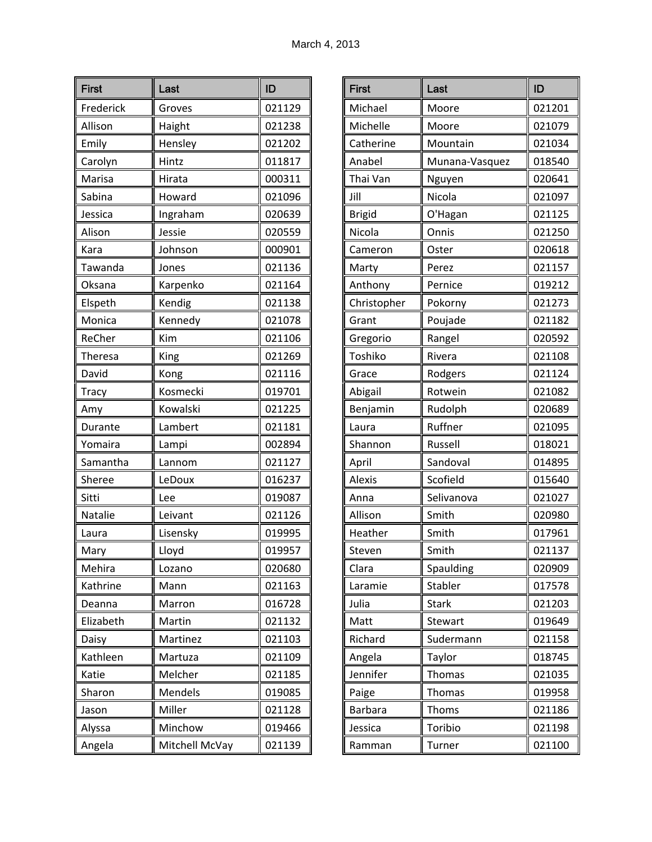| <b>First</b> | Last           | ID     |
|--------------|----------------|--------|
| Frederick    | Groves         | 021129 |
| Allison      | Haight         | 021238 |
| Emily        | Hensley        | 021202 |
| Carolyn      | Hintz          | 011817 |
| Marisa       | Hirata         | 000311 |
| Sabina       | Howard         | 021096 |
| Jessica      | Ingraham       | 020639 |
| Alison       | Jessie         | 020559 |
| Kara         | Johnson        | 000901 |
| Tawanda      | Jones          | 021136 |
| Oksana       | Karpenko       | 021164 |
| Elspeth      | Kendig         | 021138 |
| Monica       | Kennedy        | 021078 |
| ReCher       | Kim            | 021106 |
| Theresa      | King           | 021269 |
| David        | Kong           | 021116 |
| <b>Tracy</b> | Kosmecki       | 019701 |
| Amy          | Kowalski       | 021225 |
| Durante      | Lambert        | 021181 |
| Yomaira      | Lampi          | 002894 |
| Samantha     | Lannom         | 021127 |
| Sheree       | LeDoux         | 016237 |
| Sitti        | Lee            | 019087 |
| Natalie      | Leivant        | 021126 |
| Laura        | Lisensky       | 019995 |
| Mary         | Lloyd          | 019957 |
| Mehira       | Lozano         | 020680 |
| Kathrine     | Mann           | 021163 |
| Deanna       | Marron         | 016728 |
| Elizabeth    | Martin         | 021132 |
| Daisy        | Martinez       | 021103 |
| Kathleen     | Martuza        | 021109 |
| Katie        | Melcher        | 021185 |
| Sharon       | Mendels        | 019085 |
| Jason        | Miller         | 021128 |
| Alyssa       | Minchow        | 019466 |
| Angela       | Mitchell McVay | 021139 |

| <b>First</b>   | Last           | ID     |
|----------------|----------------|--------|
| Michael        | Moore          | 021201 |
| Michelle       | Moore          | 021079 |
| Catherine      | Mountain       | 021034 |
| Anabel         | Munana-Vasquez | 018540 |
| Thai Van       | Nguyen         | 020641 |
| Jill           | Nicola         | 021097 |
| <b>Brigid</b>  | O'Hagan        | 021125 |
| Nicola         | Onnis          | 021250 |
| Cameron        | Oster          | 020618 |
| Marty          | Perez          | 021157 |
| Anthony        | Pernice        | 019212 |
| Christopher    | Pokorny        | 021273 |
| Grant          | Poujade        | 021182 |
| Gregorio       | Rangel         | 020592 |
| Toshiko        | Rivera         | 021108 |
| Grace          | Rodgers        | 021124 |
| Abigail        | Rotwein        | 021082 |
| Benjamin       | Rudolph        | 020689 |
| Laura          | Ruffner        | 021095 |
| Shannon        | Russell        | 018021 |
| April          | Sandoval       | 014895 |
| <b>Alexis</b>  | Scofield       | 015640 |
| Anna           | Selivanova     | 021027 |
| Allison        | Smith          | 020980 |
| Heather        | Smith          | 017961 |
| Steven         | Smith          | 021137 |
| Clara          | Spaulding      | 020909 |
| Laramie        | Stabler        | 017578 |
| Julia          | <b>Stark</b>   | 021203 |
| Matt           | Stewart        | 019649 |
| Richard        | Sudermann      | 021158 |
| Angela         | Taylor         | 018745 |
| Jennifer       | Thomas         | 021035 |
| Paige          | <b>Thomas</b>  | 019958 |
| <b>Barbara</b> | Thoms          | 021186 |
| Jessica        | Toribio        | 021198 |
| Ramman         | Turner         | 021100 |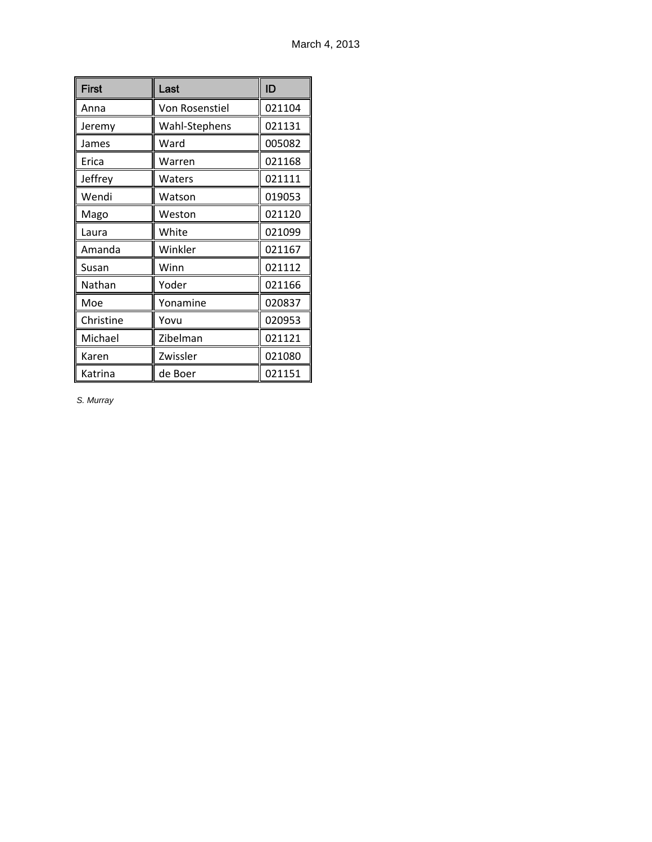| <b>First</b> | Last           | ID     |
|--------------|----------------|--------|
| Anna         | Von Rosenstiel | 021104 |
| Jeremy       | Wahl-Stephens  | 021131 |
| James        | Ward           | 005082 |
| Erica        | Warren         | 021168 |
| Jeffrey      | Waters         | 021111 |
| Wendi        | Watson         | 019053 |
| Mago         | Weston         | 021120 |
| Laura        | White          | 021099 |
| Amanda       | Winkler        | 021167 |
| Susan        | Winn           | 021112 |
| Nathan       | Yoder          | 021166 |
| Moe          | Yonamine       | 020837 |
| Christine    | Yovu           | 020953 |
| Michael      | Zibelman       | 021121 |
| Karen        | Zwissler       | 021080 |
| Katrina      | de Boer        | 021151 |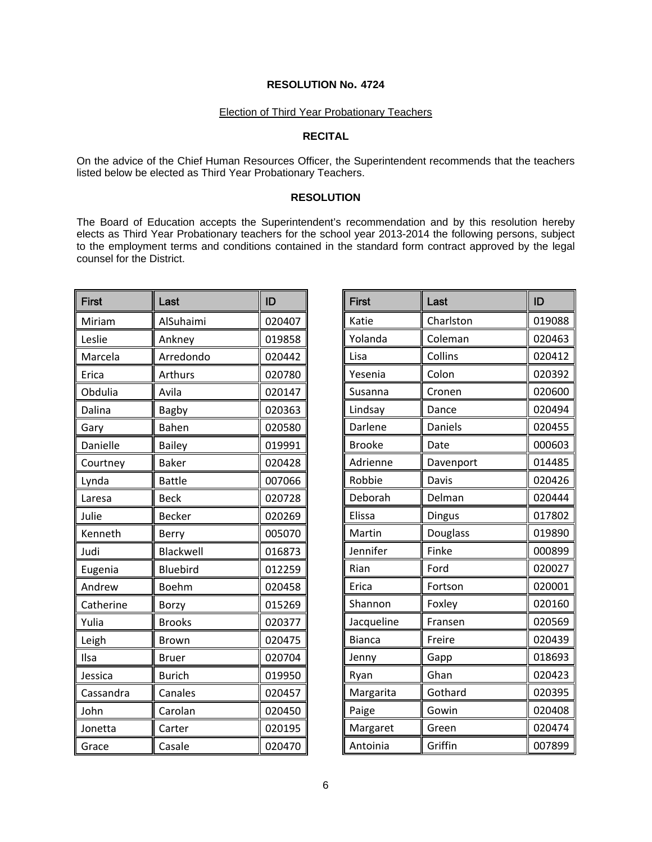### Election of Third Year Probationary Teachers

# **RECITAL**

On the advice of the Chief Human Resources Officer, the Superintendent recommends that the teachers listed below be elected as Third Year Probationary Teachers.

## **RESOLUTION**

The Board of Education accepts the Superintendent's recommendation and by this resolution hereby elects as Third Year Probationary teachers for the school year 2013-2014 the following persons, subject to the employment terms and conditions contained in the standard form contract approved by the legal counsel for the District.

| <b>First</b> | Last            | ID     |
|--------------|-----------------|--------|
| Miriam       | AlSuhaimi       | 020407 |
| Leslie       | Ankney          | 019858 |
| Marcela      | Arredondo       | 020442 |
| Erica        | Arthurs         | 020780 |
| Obdulia      | Avila           | 020147 |
| Dalina       | Bagby           | 020363 |
| Gary         | Bahen           | 020580 |
| Danielle     | <b>Bailey</b>   | 019991 |
| Courtney     | <b>Baker</b>    | 020428 |
| Lynda        | <b>Battle</b>   | 007066 |
| Laresa       | <b>Beck</b>     | 020728 |
| Julie        | <b>Becker</b>   | 020269 |
| Kenneth      | Berry           | 005070 |
| Judi         | Blackwell       | 016873 |
| Eugenia      | <b>Bluebird</b> | 012259 |
| Andrew       | <b>Boehm</b>    | 020458 |
| Catherine    | Borzy           | 015269 |
| Yulia        | <b>Brooks</b>   | 020377 |
| Leigh        | Brown           | 020475 |
| Ilsa         | <b>Bruer</b>    | 020704 |
| Jessica      | <b>Burich</b>   | 019950 |
| Cassandra    | Canales         | 020457 |
| John         | Carolan         | 020450 |
| Jonetta      | Carter          | 020195 |
| Grace        | Casale          | 020470 |

| <b>First</b>  | Last      | ID     |
|---------------|-----------|--------|
| Katie         | Charlston | 019088 |
| Yolanda       | Coleman   | 020463 |
| Lisa          | Collins   | 020412 |
| Yesenia       | Colon     | 020392 |
| Susanna       | Cronen    | 020600 |
| Lindsay       | Dance     | 020494 |
| Darlene       | Daniels   | 020455 |
| <b>Brooke</b> | Date      | 000603 |
| Adrienne      | Davenport | 014485 |
| Robbie        | Davis     | 020426 |
| Deborah       | Delman    | 020444 |
| Elissa        | Dingus    | 017802 |
| Martin        | Douglass  | 019890 |
| Jennifer      | Finke     | 000899 |
| Rian          | Ford      | 020027 |
| Erica         | Fortson   | 020001 |
| Shannon       | Foxley    | 020160 |
| Jacqueline    | Fransen   | 020569 |
| <b>Bianca</b> | Freire    | 020439 |
| Jenny         | Gapp      | 018693 |
| Ryan          | Ghan      | 020423 |
| Margarita     | Gothard   | 020395 |
| Paige         | Gowin     | 020408 |
| Margaret      | Green     | 020474 |
| Antoinia      | Griffin   | 007899 |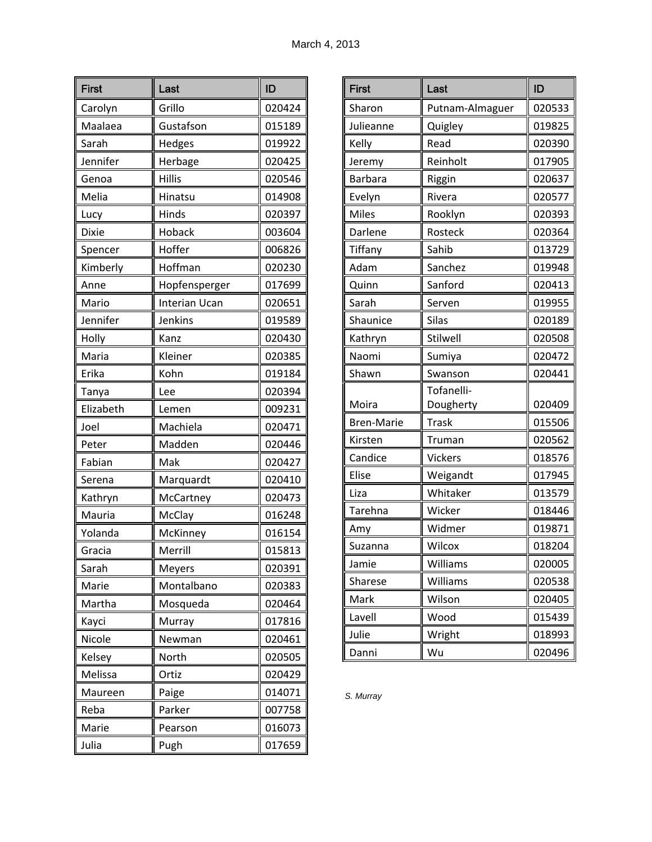| <b>First</b> | Last                 | ID     |
|--------------|----------------------|--------|
| Carolyn      | Grillo               | 020424 |
| Maalaea      | Gustafson            | 015189 |
| Sarah        | Hedges               | 019922 |
| Jennifer     | Herbage              | 020425 |
| Genoa        | <b>Hillis</b>        | 020546 |
| Melia        | Hinatsu              | 014908 |
| Lucy         | Hinds                | 020397 |
| <b>Dixie</b> | Hoback               | 003604 |
| Spencer      | Hoffer               | 006826 |
| Kimberly     | Hoffman              | 020230 |
| Anne         | Hopfensperger        | 017699 |
| Mario        | <b>Interian Ucan</b> | 020651 |
| Jennifer     | Jenkins              | 019589 |
| Holly        | Kanz                 | 020430 |
| Maria        | Kleiner              | 020385 |
| Erika        | Kohn                 | 019184 |
| Tanya        | Lee                  | 020394 |
| Elizabeth    | Lemen                | 009231 |
| Joel         | Machiela             | 020471 |
| Peter        | Madden               | 020446 |
| Fabian       | Mak                  | 020427 |
| Serena       | Marquardt            | 020410 |
| Kathryn      | McCartney            | 020473 |
| Mauria       | McClay               | 016248 |
| Yolanda      | McKinney             | 016154 |
| Gracia       | Merrill              | 015813 |
| Sarah        | Meyers               | 020391 |
| Marie        | Montalbano           | 020383 |
| Martha       | Mosqueda             | 020464 |
| Kayci        | Murray               | 017816 |
| Nicole       | Newman               | 020461 |
| Kelsey       | North                | 020505 |
| Melissa      | Ortiz                | 020429 |
| Maureen      | Paige                | 014071 |
| Reba         | Parker               | 007758 |
| Marie        | Pearson              | 016073 |
| Julia        | Pugh                 | 017659 |

| <b>First</b>      | Last            | ID     |
|-------------------|-----------------|--------|
| Sharon            | Putnam-Almaguer | 020533 |
| Julieanne         | Quigley         | 019825 |
| Kelly             | Read            | 020390 |
| Jeremy            | Reinholt        | 017905 |
| Barbara           | Riggin          | 020637 |
| Evelyn            | Rivera          | 020577 |
| <b>Miles</b>      | Rooklyn         | 020393 |
| Darlene           | Rosteck         | 020364 |
| Tiffany           | Sahib           | 013729 |
| Adam              | Sanchez         | 019948 |
| Quinn             | Sanford         | 020413 |
| Sarah             | Serven          | 019955 |
| Shaunice          | Silas           | 020189 |
| Kathryn           | Stilwell        | 020508 |
| Naomi             | Sumiya          | 020472 |
| Shawn             | Swanson         | 020441 |
|                   | Tofanelli-      |        |
| Moira             | Dougherty       | 020409 |
| <b>Bren-Marie</b> | <b>Trask</b>    | 015506 |
| Kirsten           | Truman          | 020562 |
| Candice           | Vickers         | 018576 |
| Elise             | Weigandt        | 017945 |
| Liza              | Whitaker        | 013579 |
| Tarehna           | Wicker          | 018446 |
| Amy               | Widmer          | 019871 |
| Suzanna           | Wilcox          | 018204 |
| Jamie             | Williams        | 020005 |
| Sharese           | Williams        | 020538 |
| Mark              | Wilson          | 020405 |
| Lavell            | Wood            | 015439 |
| Julie             | Wright          | 018993 |
| Danni             | Wu              | 020496 |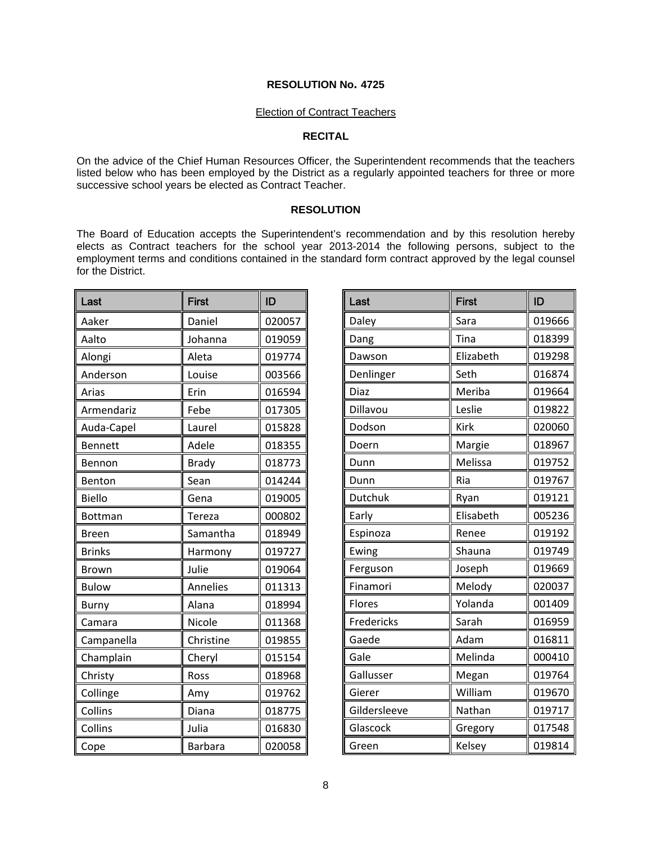### Election of Contract Teachers

# **RECITAL**

On the advice of the Chief Human Resources Officer, the Superintendent recommends that the teachers listed below who has been employed by the District as a regularly appointed teachers for three or more successive school years be elected as Contract Teacher.

## **RESOLUTION**

The Board of Education accepts the Superintendent's recommendation and by this resolution hereby elects as Contract teachers for the school year 2013-2014 the following persons, subject to the employment terms and conditions contained in the standard form contract approved by the legal counsel for the District.

| Last           | <b>First</b>    | ID     |
|----------------|-----------------|--------|
| Aaker          | Daniel          | 020057 |
| Aalto          | Johanna         | 019059 |
| Alongi         | Aleta           | 019774 |
| Anderson       | Louise          | 003566 |
| Arias          | Erin            | 016594 |
| Armendariz     | Febe            | 017305 |
| Auda-Capel     | Laurel          | 015828 |
| <b>Bennett</b> | Adele           | 018355 |
| Bennon         | <b>Brady</b>    | 018773 |
| Benton         | Sean            | 014244 |
| <b>Biello</b>  | Gena            | 019005 |
| Bottman        | Tereza          | 000802 |
| <b>Breen</b>   | Samantha        | 018949 |
| <b>Brinks</b>  | Harmony         | 019727 |
| <b>Brown</b>   | Julie           | 019064 |
| <b>Bulow</b>   | <b>Annelies</b> | 011313 |
| Burny          | Alana           | 018994 |
| Camara         | Nicole          | 011368 |
| Campanella     | Christine       | 019855 |
| Champlain      | Cheryl          | 015154 |
| Christy        | Ross            | 018968 |
| Collinge       | Amy             | 019762 |
| Collins        | Diana           | 018775 |
| Collins        | Julia           | 016830 |
| Cope           | <b>Barbara</b>  | 020058 |

| Last         | <b>First</b> | ID     |
|--------------|--------------|--------|
| Daley        | Sara         | 019666 |
| Dang         | Tina         | 018399 |
| Dawson       | Elizabeth    | 019298 |
| Denlinger    | Seth         | 016874 |
| Diaz         | Meriba       | 019664 |
| Dillavou     | Leslie       | 019822 |
| Dodson       | Kirk         | 020060 |
| Doern        | Margie       | 018967 |
| Dunn         | Melissa      | 019752 |
| Dunn         | Ria          | 019767 |
| Dutchuk      | Ryan         | 019121 |
| Early        | Elisabeth    | 005236 |
| Espinoza     | Renee        | 019192 |
| Ewing        | Shauna       | 019749 |
| Ferguson     | Joseph       | 019669 |
| Finamori     | Melody       | 020037 |
| Flores       | Yolanda      | 001409 |
| Fredericks   | Sarah        | 016959 |
| Gaede        | Adam         | 016811 |
| Gale         | Melinda      | 000410 |
| Gallusser    | Megan        | 019764 |
| Gierer       | William      | 019670 |
| Gildersleeve | Nathan       | 019717 |
| Glascock     | Gregory      | 017548 |
| Green        | Kelsey       | 019814 |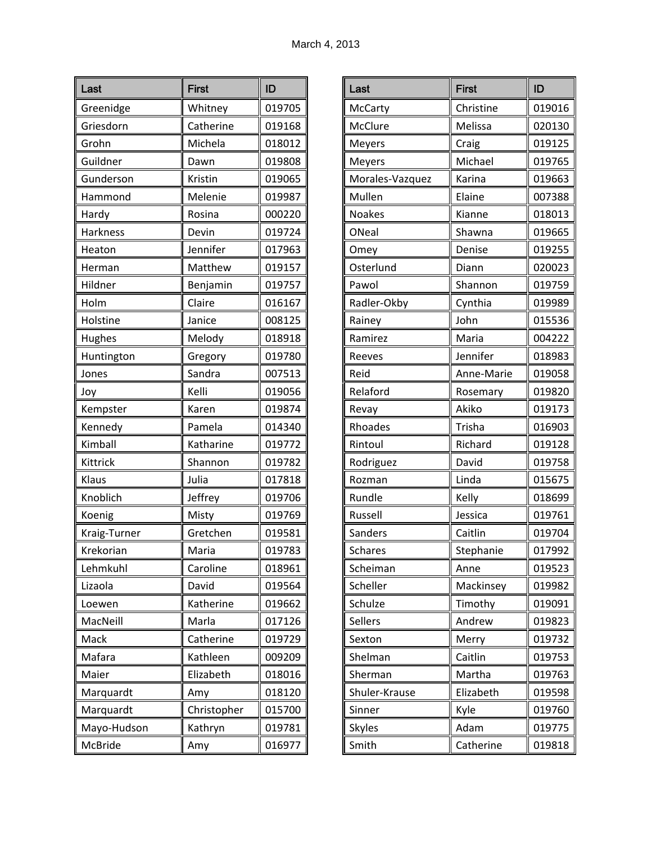| Last         | <b>First</b> | ID     |
|--------------|--------------|--------|
| Greenidge    | Whitney      | 019705 |
| Griesdorn    | Catherine    | 019168 |
| Grohn        | Michela      | 018012 |
| Guildner     | Dawn         | 019808 |
| Gunderson    | Kristin      | 019065 |
| Hammond      | Melenie      | 019987 |
| Hardy        | Rosina       | 000220 |
| Harkness     | Devin        | 019724 |
| Heaton       | Jennifer     | 017963 |
| Herman       | Matthew      | 019157 |
| Hildner      | Benjamin     | 019757 |
| Holm         | Claire       | 016167 |
| Holstine     | Janice       | 008125 |
| Hughes       | Melody       | 018918 |
| Huntington   | Gregory      | 019780 |
| Jones        | Sandra       | 007513 |
| Joy          | Kelli        | 019056 |
| Kempster     | Karen        | 019874 |
| Kennedy      | Pamela       | 014340 |
| Kimball      | Katharine    | 019772 |
| Kittrick     | Shannon      | 019782 |
| Klaus        | Julia        | 017818 |
| Knoblich     | Jeffrey      | 019706 |
| Koenig       | Misty        | 019769 |
| Kraig-Turner | Gretchen     | 019581 |
| Krekorian    | Maria        | 019783 |
| Lehmkuhl     | Caroline     | 018961 |
| Lizaola      | David        | 019564 |
| Loewen       | Katherine    | 019662 |
| MacNeill     | Marla        | 017126 |
| Mack         | Catherine    | 019729 |
| Mafara       | Kathleen     | 009209 |
| Maier        | Elizabeth    | 018016 |
| Marquardt    | Amy          | 018120 |
| Marquardt    | Christopher  | 015700 |
| Mayo-Hudson  | Kathryn      | 019781 |
| McBride      | Amy          | 016977 |

| Last            | <b>First</b>  | ID     |
|-----------------|---------------|--------|
| McCarty         | Christine     | 019016 |
| McClure         | Melissa       | 020130 |
| Meyers          | Craig         | 019125 |
| Meyers          | Michael       | 019765 |
| Morales-Vazquez | Karina        | 019663 |
| Mullen          | Elaine        | 007388 |
| <b>Noakes</b>   | Kianne        | 018013 |
| ONeal           | Shawna        | 019665 |
| Omey            | Denise        | 019255 |
| Osterlund       | Diann         | 020023 |
| Pawol           | Shannon       | 019759 |
| Radler-Okby     | Cynthia       | 019989 |
| Rainey          | John          | 015536 |
| Ramirez         | Maria         | 004222 |
| Reeves          | Jennifer      | 018983 |
| Reid            | Anne-Marie    | 019058 |
| Relaford        | Rosemary      | 019820 |
| Revay           | Akiko         | 019173 |
| Rhoades         | <b>Trisha</b> | 016903 |
| Rintoul         | Richard       | 019128 |
| Rodriguez       | David         | 019758 |
| Rozman          | Linda         | 015675 |
| Rundle          | Kelly         | 018699 |
| Russell         | Jessica       | 019761 |
| Sanders         | Caitlin       | 019704 |
| <b>Schares</b>  | Stephanie     | 017992 |
| Scheiman        | Anne          | 019523 |
| Scheller        | Mackinsey     | 019982 |
| Schulze         | Timothy       | 019091 |
| Sellers         | Andrew        | 019823 |
| Sexton          | Merry         | 019732 |
| Shelman         | Caitlin       | 019753 |
| Sherman         | Martha        | 019763 |
| Shuler-Krause   | Elizabeth     | 019598 |
| Sinner          | Kyle          | 019760 |
| <b>Skyles</b>   | Adam          | 019775 |
| Smith           | Catherine     | 019818 |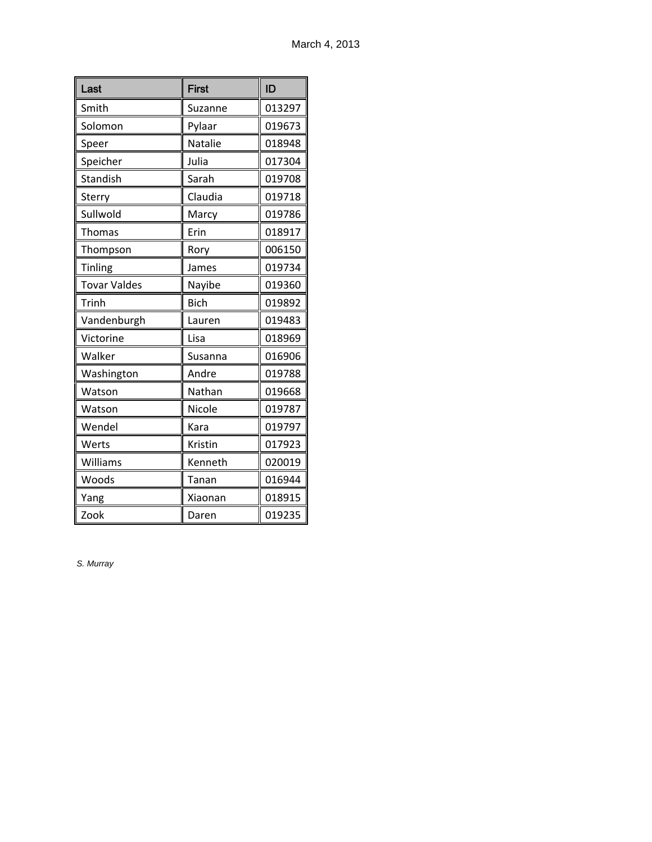| Last                | <b>First</b> | ID     |
|---------------------|--------------|--------|
| Smith               | Suzanne      | 013297 |
| Solomon             | Pylaar       | 019673 |
| Speer               | Natalie      | 018948 |
| Speicher            | Julia        | 017304 |
| Standish            | Sarah        | 019708 |
| Sterry              | Claudia      | 019718 |
| Sullwold            | Marcy        | 019786 |
| Thomas              | Erin         | 018917 |
| Thompson            | Rory         | 006150 |
| <b>Tinling</b>      | James        | 019734 |
| <b>Tovar Valdes</b> | Nayibe       | 019360 |
| Trinh               | <b>Bich</b>  | 019892 |
| Vandenburgh         | Lauren       | 019483 |
| Victorine           | Lisa         | 018969 |
| Walker              | Susanna      | 016906 |
| Washington          | Andre        | 019788 |
| Watson              | Nathan       | 019668 |
| Watson              | Nicole       | 019787 |
| Wendel              | Kara         | 019797 |
| Werts               | Kristin      | 017923 |
| Williams            | Kenneth      | 020019 |
| Woods               | Tanan        | 016944 |
| Yang                | Xiaonan      | 018915 |
| Zook                | Daren        | 019235 |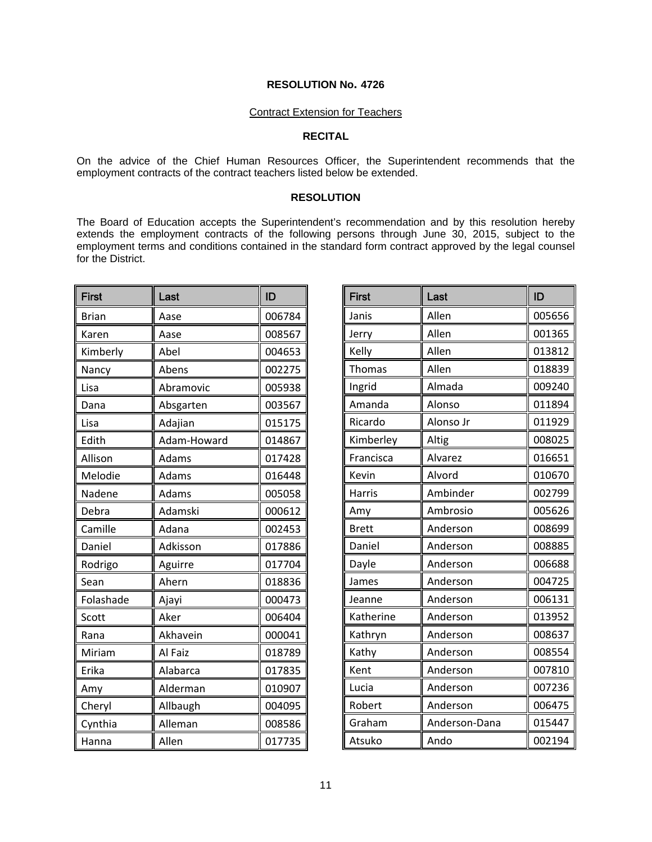# Contract Extension for Teachers

# **RECITAL**

On the advice of the Chief Human Resources Officer, the Superintendent recommends that the employment contracts of the contract teachers listed below be extended.

## **RESOLUTION**

The Board of Education accepts the Superintendent's recommendation and by this resolution hereby extends the employment contracts of the following persons through June 30, 2015, subject to the employment terms and conditions contained in the standard form contract approved by the legal counsel for the District.

| First        | Last        | ID     |
|--------------|-------------|--------|
| <b>Brian</b> | Aase        | 006784 |
| Karen        | Aase        | 008567 |
| Kimberly     | Abel        | 004653 |
| Nancy        | Abens       | 002275 |
| Lisa         | Abramovic   | 005938 |
| Dana         | Absgarten   | 003567 |
| Lisa         | Adajian     | 015175 |
| Edith        | Adam-Howard | 014867 |
| Allison      | Adams       | 017428 |
| Melodie      | Adams       | 016448 |
| Nadene       | Adams       | 005058 |
| Debra        | Adamski     | 000612 |
| Camille      | Adana       | 002453 |
| Daniel       | Adkisson    | 017886 |
| Rodrigo      | Aguirre     | 017704 |
| Sean         | Ahern       | 018836 |
| Folashade    | Ajayi       | 000473 |
| Scott        | Aker        | 006404 |
| Rana         | Akhavein    | 000041 |
| Miriam       | Al Faiz     | 018789 |
| Erika        | Alabarca    | 017835 |
| Amy          | Alderman    | 010907 |
| Cheryl       | Allbaugh    | 004095 |
| Cynthia      | Alleman     | 008586 |
| Hanna        | Allen       | 017735 |

| <b>First</b> | Last          | ID     |
|--------------|---------------|--------|
| Janis        | Allen         | 005656 |
| Jerry        | Allen         | 001365 |
| Kelly        | Allen         | 013812 |
| Thomas       | Allen         | 018839 |
| Ingrid       | Almada        | 009240 |
| Amanda       | Alonso        | 011894 |
| Ricardo      | Alonso Jr     | 011929 |
| Kimberley    | Altig         | 008025 |
| Francisca    | Alvarez       | 016651 |
| Kevin        | Alvord        | 010670 |
| Harris       | Ambinder      | 002799 |
| Amy          | Ambrosio      | 005626 |
| <b>Brett</b> | Anderson      | 008699 |
| Daniel       | Anderson      | 008885 |
| Dayle        | Anderson      | 006688 |
| James        | Anderson      | 004725 |
| Jeanne       | Anderson      | 006131 |
| Katherine    | Anderson      | 013952 |
| Kathryn      | Anderson      | 008637 |
| Kathy        | Anderson      | 008554 |
| Kent         | Anderson      | 007810 |
| Lucia        | Anderson      | 007236 |
| Robert       | Anderson      | 006475 |
| Graham       | Anderson-Dana | 015447 |
| Atsuko       | Ando          | 002194 |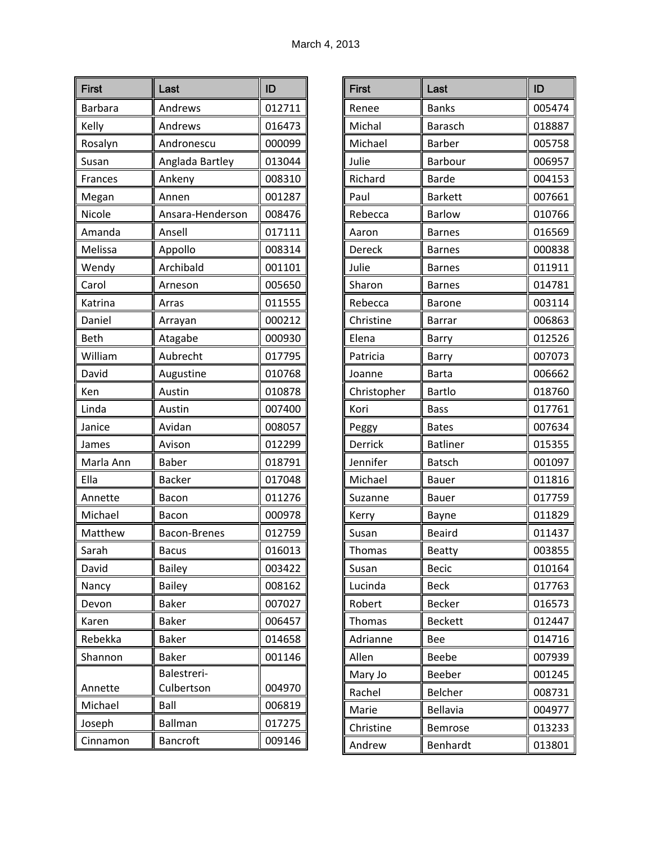| <b>First</b> | Last                | ID     |
|--------------|---------------------|--------|
| Barbara      | Andrews             | 012711 |
| Kelly        | Andrews             | 016473 |
| Rosalyn      | Andronescu          | 000099 |
| Susan        | Anglada Bartley     | 013044 |
| Frances      | Ankeny              | 008310 |
| Megan        | Annen               | 001287 |
| Nicole       | Ansara-Henderson    | 008476 |
| Amanda       | Ansell              | 017111 |
| Melissa      | Appollo             | 008314 |
| Wendy        | Archibald           | 001101 |
| Carol        | Arneson             | 005650 |
| Katrina      | Arras               | 011555 |
| Daniel       | Arrayan             | 000212 |
| Beth         | Atagabe             | 000930 |
| William      | Aubrecht            | 017795 |
| David        | Augustine           | 010768 |
| Ken          | Austin              | 010878 |
| Linda        | Austin              | 007400 |
| Janice       | Avidan              | 008057 |
| James        | Avison              | 012299 |
| Marla Ann    | <b>Baber</b>        | 018791 |
| Ella         | <b>Backer</b>       | 017048 |
| Annette      | Bacon               | 011276 |
| Michael      | Bacon               | 000978 |
| Matthew      | <b>Bacon-Brenes</b> | 012759 |
| Sarah        | <b>Bacus</b>        | 016013 |
| David        | <b>Bailey</b>       | 003422 |
| Nancy        | <b>Bailey</b>       | 008162 |
| Devon        | <b>Baker</b>        | 007027 |
| Karen        | <b>Baker</b>        | 006457 |
| Rebekka      | <b>Baker</b>        | 014658 |
| Shannon      | <b>Baker</b>        | 001146 |
|              | Balestreri-         |        |
| Annette      | Culbertson          | 004970 |
| Michael      | Ball                | 006819 |
| Joseph       | <b>Ballman</b>      | 017275 |
| Cinnamon     | <b>Bancroft</b>     | 009146 |

| <b>First</b> | Last            | ID     |
|--------------|-----------------|--------|
| Renee        | <b>Banks</b>    | 005474 |
| Michal       | <b>Barasch</b>  | 018887 |
| Michael      | <b>Barber</b>   | 005758 |
| Julie        | <b>Barbour</b>  | 006957 |
| Richard      | Barde           | 004153 |
| Paul         | <b>Barkett</b>  | 007661 |
| Rebecca      | <b>Barlow</b>   | 010766 |
| Aaron        | <b>Barnes</b>   | 016569 |
| Dereck       | <b>Barnes</b>   | 000838 |
| Julie        | <b>Barnes</b>   | 011911 |
| Sharon       | <b>Barnes</b>   | 014781 |
| Rebecca      | <b>Barone</b>   | 003114 |
| Christine    | Barrar          | 006863 |
| Elena        | Barry           | 012526 |
| Patricia     | Barry           | 007073 |
| Joanne       | <b>Barta</b>    | 006662 |
| Christopher  | <b>Bartlo</b>   | 018760 |
| Kori         | <b>Bass</b>     | 017761 |
| Peggy        | <b>Bates</b>    | 007634 |
| Derrick      | <b>Batliner</b> | 015355 |
| Jennifer     | <b>Batsch</b>   | 001097 |
| Michael      | <b>Bauer</b>    | 011816 |
| Suzanne      | Bauer           | 017759 |
| Kerry        | Bayne           | 011829 |
| Susan        | <b>Beaird</b>   | 011437 |
| Thomas       | Beatty          | 003855 |
| Susan        | <b>Becic</b>    | 010164 |
| Lucinda      | <b>Beck</b>     | 017763 |
| Robert       | <b>Becker</b>   | 016573 |
| Thomas       | <b>Beckett</b>  | 012447 |
| Adrianne     | Bee             | 014716 |
| Allen        | Beebe           | 007939 |
| Mary Jo      | Beeber          | 001245 |
| Rachel       | Belcher         | 008731 |
| Marie        | <b>Bellavia</b> | 004977 |
| Christine    | Bemrose         | 013233 |
| Andrew       | Benhardt        | 013801 |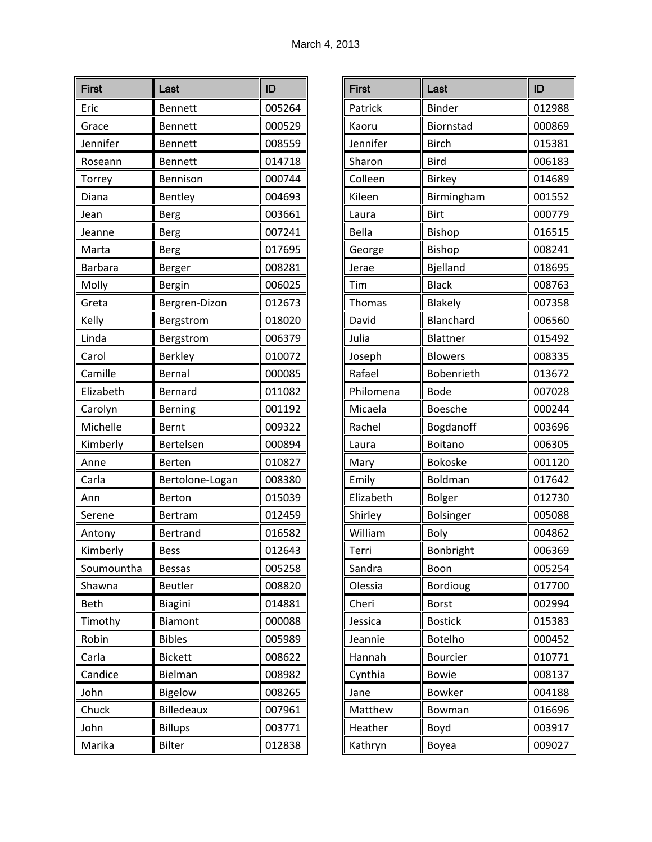| <b>First</b>   | Last              | ID     |
|----------------|-------------------|--------|
| Eric           | <b>Bennett</b>    | 005264 |
| Grace          | <b>Bennett</b>    | 000529 |
| Jennifer       | <b>Bennett</b>    | 008559 |
| Roseann        | <b>Bennett</b>    | 014718 |
| Torrey         | Bennison          | 000744 |
| Diana          | Bentley           | 004693 |
| Jean           | <b>Berg</b>       | 003661 |
| Jeanne         | <b>Berg</b>       | 007241 |
| Marta          | <b>Berg</b>       | 017695 |
| <b>Barbara</b> | Berger            | 008281 |
| Molly          | Bergin            | 006025 |
| Greta          | Bergren-Dizon     | 012673 |
| Kelly          | Bergstrom         | 018020 |
| Linda          | Bergstrom         | 006379 |
| Carol          | <b>Berkley</b>    | 010072 |
| Camille        | Bernal            | 000085 |
| Elizabeth      | Bernard           | 011082 |
| Carolyn        | Berning           | 001192 |
| Michelle       | Bernt             | 009322 |
| Kimberly       | Bertelsen         | 000894 |
| Anne           | Berten            | 010827 |
| Carla          | Bertolone-Logan   | 008380 |
| Ann            | Berton            | 015039 |
| Serene         | Bertram           | 012459 |
| Antony         | Bertrand          | 016582 |
| Kimberly       | Bess              | 012643 |
| Soumountha     | <b>Bessas</b>     | 005258 |
| Shawna         | <b>Beutler</b>    | 008820 |
| <b>Beth</b>    | Biagini           | 014881 |
| Timothy        | Biamont           | 000088 |
| Robin          | <b>Bibles</b>     | 005989 |
| Carla          | <b>Bickett</b>    | 008622 |
| Candice        | Bielman           | 008982 |
| John           | Bigelow           | 008265 |
| Chuck          | <b>Billedeaux</b> | 007961 |
| John           | <b>Billups</b>    | 003771 |
| Marika         | <b>Bilter</b>     | 012838 |

| <b>First</b> | Last            | ID     |
|--------------|-----------------|--------|
| Patrick      | <b>Binder</b>   | 012988 |
| Kaoru        | Biornstad       | 000869 |
| Jennifer     | <b>Birch</b>    | 015381 |
| Sharon       | <b>Bird</b>     | 006183 |
| Colleen      | <b>Birkey</b>   | 014689 |
| Kileen       | Birmingham      | 001552 |
| Laura        | <b>Birt</b>     | 000779 |
| Bella        | <b>Bishop</b>   | 016515 |
| George       | <b>Bishop</b>   | 008241 |
| Jerae        | Bjelland        | 018695 |
| Tim          | <b>Black</b>    | 008763 |
| Thomas       | Blakely         | 007358 |
| David        | Blanchard       | 006560 |
| Julia        | Blattner        | 015492 |
| Joseph       | <b>Blowers</b>  | 008335 |
| Rafael       | Bobenrieth      | 013672 |
| Philomena    | <b>Bode</b>     | 007028 |
| Micaela      | Boesche         | 000244 |
| Rachel       | Bogdanoff       | 003696 |
| Laura        | Boitano         | 006305 |
| Mary         | <b>Bokoske</b>  | 001120 |
| Emily        | Boldman         | 017642 |
| Elizabeth    | <b>Bolger</b>   | 012730 |
| Shirley      | Bolsinger       | 005088 |
| William      | Boly            | 004862 |
| Terri        | Bonbright       | 006369 |
| Sandra       | Boon            | 005254 |
| Olessia      | <b>Bordioug</b> | 017700 |
| Cheri        | <b>Borst</b>    | 002994 |
| Jessica      | <b>Bostick</b>  | 015383 |
| Jeannie      | <b>Botelho</b>  | 000452 |
| Hannah       | Bourcier        | 010771 |
| Cynthia      | <b>Bowie</b>    | 008137 |
| Jane         | <b>Bowker</b>   | 004188 |
| Matthew      | Bowman          | 016696 |
| Heather      | Boyd            | 003917 |
| Kathryn      | Boyea           | 009027 |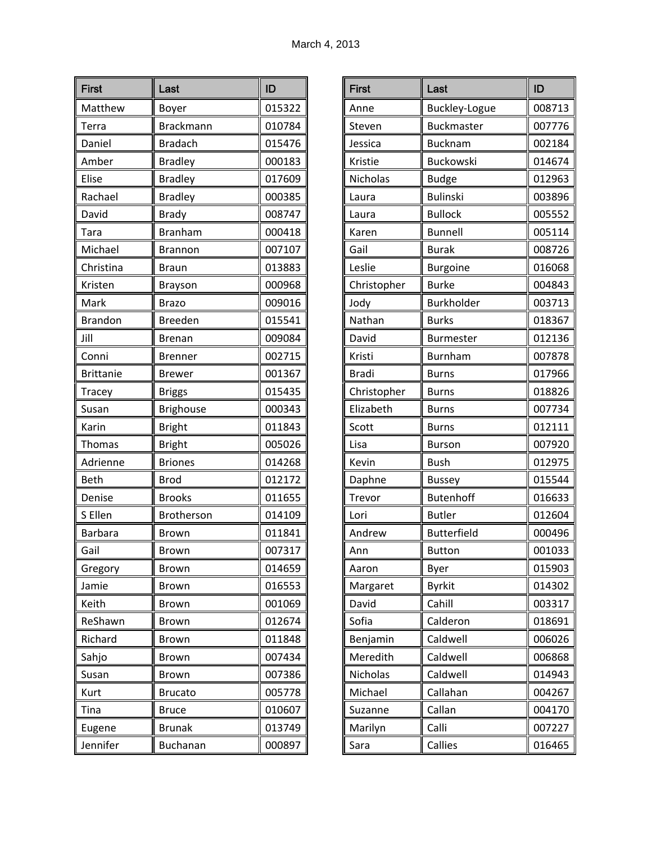| <b>First</b>     | Last             | ID     |
|------------------|------------------|--------|
| Matthew          | Boyer            | 015322 |
| Terra            | <b>Brackmann</b> | 010784 |
| Daniel           | <b>Bradach</b>   | 015476 |
| Amber            | <b>Bradley</b>   | 000183 |
| Elise            | <b>Bradley</b>   | 017609 |
| Rachael          | <b>Bradley</b>   | 000385 |
| David            | <b>Brady</b>     | 008747 |
| Tara             | <b>Branham</b>   | 000418 |
| Michael          | <b>Brannon</b>   | 007107 |
| Christina        | <b>Braun</b>     | 013883 |
| Kristen          | Brayson          | 000968 |
| Mark             | <b>Brazo</b>     | 009016 |
| <b>Brandon</b>   | Breeden          | 015541 |
| Jill             | Brenan           | 009084 |
| Conni            | <b>Brenner</b>   | 002715 |
| <b>Brittanie</b> | Brewer           | 001367 |
| <b>Tracey</b>    | <b>Briggs</b>    | 015435 |
| Susan            | <b>Brighouse</b> | 000343 |
| Karin            | <b>Bright</b>    | 011843 |
| <b>Thomas</b>    | <b>Bright</b>    | 005026 |
| Adrienne         | <b>Briones</b>   | 014268 |
| <b>Beth</b>      | <b>Brod</b>      | 012172 |
| Denise           | <b>Brooks</b>    | 011655 |
| S Ellen          | Brotherson       | 014109 |
| <b>Barbara</b>   | Brown            | 011841 |
| Gail             | <b>Brown</b>     | 007317 |
| Gregory          | Brown            | 014659 |
| Jamie            | Brown            | 016553 |
| Keith            | <b>Brown</b>     | 001069 |
| ReShawn          | Brown            | 012674 |
| Richard          | Brown            | 011848 |
| Sahjo            | Brown            | 007434 |
| Susan            | <b>Brown</b>     | 007386 |
| Kurt             | <b>Brucato</b>   | 005778 |
| Tina             | <b>Bruce</b>     | 010607 |
| Eugene           | <b>Brunak</b>    | 013749 |
| Jennifer         | Buchanan         | 000897 |

| <b>First</b> | Last               | ID     |
|--------------|--------------------|--------|
| Anne         | Buckley-Logue      | 008713 |
| Steven       | <b>Buckmaster</b>  | 007776 |
| Jessica      | <b>Bucknam</b>     | 002184 |
| Kristie      | Buckowski          | 014674 |
| Nicholas     | <b>Budge</b>       | 012963 |
| Laura        | <b>Bulinski</b>    | 003896 |
| Laura        | <b>Bullock</b>     | 005552 |
| Karen        | <b>Bunnell</b>     | 005114 |
| Gail         | <b>Burak</b>       | 008726 |
| Leslie       | <b>Burgoine</b>    | 016068 |
| Christopher  | <b>Burke</b>       | 004843 |
| Jody         | Burkholder         | 003713 |
| Nathan       | <b>Burks</b>       | 018367 |
| David        | <b>Burmester</b>   | 012136 |
| Kristi       | <b>Burnham</b>     | 007878 |
| <b>Bradi</b> | <b>Burns</b>       | 017966 |
| Christopher  | <b>Burns</b>       | 018826 |
| Elizabeth    | <b>Burns</b>       | 007734 |
| Scott        | <b>Burns</b>       | 012111 |
| Lisa         | <b>Burson</b>      | 007920 |
| Kevin        | <b>Bush</b>        | 012975 |
| Daphne       | <b>Bussey</b>      | 015544 |
| Trevor       | <b>Butenhoff</b>   | 016633 |
| Lori         | <b>Butler</b>      | 012604 |
| Andrew       | <b>Butterfield</b> | 000496 |
| Ann          | <b>Button</b>      | 001033 |
| Aaron        | Byer               | 015903 |
| Margaret     | <b>Byrkit</b>      | 014302 |
| David        | Cahill             | 003317 |
| Sofia        | Calderon           | 018691 |
| Benjamin     | Caldwell           | 006026 |
| Meredith     | Caldwell           | 006868 |
| Nicholas     | Caldwell           | 014943 |
| Michael      | Callahan           | 004267 |
| Suzanne      | Callan             | 004170 |
| Marilyn      | Calli              | 007227 |
| Sara         | Callies            | 016465 |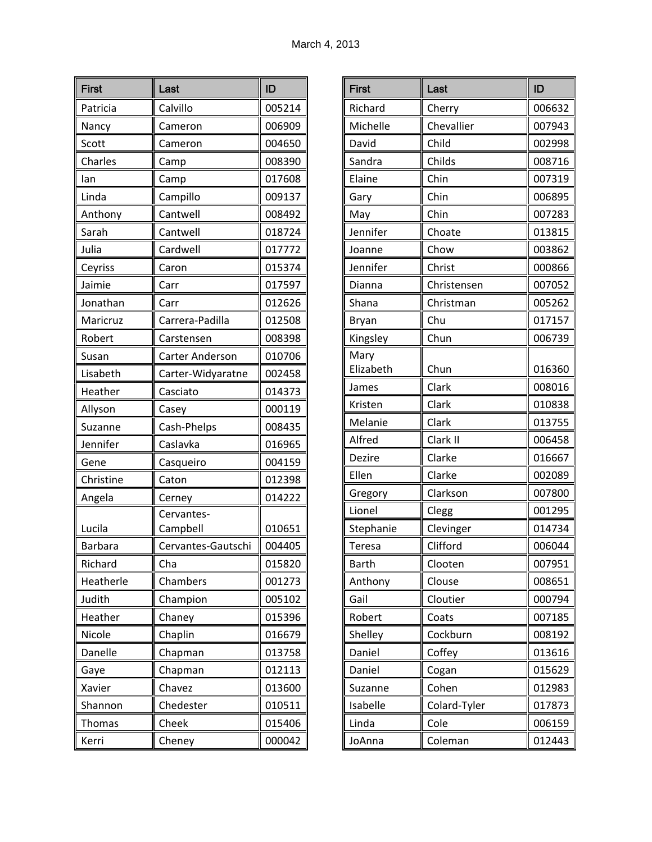| <b>First</b>   | Last                   | ID     |
|----------------|------------------------|--------|
| Patricia       | Calvillo               | 005214 |
| Nancy          | Cameron                | 006909 |
| Scott          | Cameron                | 004650 |
| Charles        | Camp                   | 008390 |
| lan            | Camp                   | 017608 |
| Linda          | Campillo               | 009137 |
| Anthony        | Cantwell               | 008492 |
| Sarah          | Cantwell               | 018724 |
| Julia          | Cardwell               | 017772 |
| Ceyriss        | Caron                  | 015374 |
| Jaimie         | Carr                   | 017597 |
| Jonathan       | Carr                   | 012626 |
| Maricruz       | Carrera-Padilla        | 012508 |
| Robert         | Carstensen             | 008398 |
| Susan          | Carter Anderson        | 010706 |
| Lisabeth       | Carter-Widyaratne      | 002458 |
| Heather        | Casciato               | 014373 |
| Allyson        | Casey                  | 000119 |
| Suzanne        | Cash-Phelps            | 008435 |
| Jennifer       | Caslavka               | 016965 |
| Gene           | Casqueiro              | 004159 |
| Christine      | Caton                  | 012398 |
| Angela         | Cerney                 | 014222 |
| Lucila         | Cervantes-<br>Campbell | 010651 |
| <b>Barbara</b> | Cervantes-Gautschi     | 004405 |
| Richard        | Cha                    | 015820 |
| Heatherle      | Chambers               | 001273 |
| Judith         | Champion               | 005102 |
| Heather        | Chaney                 | 015396 |
| Nicole         | Chaplin                | 016679 |
| Danelle        | Chapman                | 013758 |
| Gaye           | Chapman                | 012113 |
| Xavier         | Chavez                 | 013600 |
| Shannon        | Chedester              | 010511 |
| <b>Thomas</b>  | Cheek                  | 015406 |
| Kerri          | Cheney                 | 000042 |

| <b>First</b> | Last         | ID     |
|--------------|--------------|--------|
| Richard      | Cherry       | 006632 |
| Michelle     | Chevallier   | 007943 |
| David        | Child        | 002998 |
| Sandra       | Childs       | 008716 |
| Elaine       | Chin         | 007319 |
| Gary         | Chin         | 006895 |
| May          | Chin         | 007283 |
| Jennifer     | Choate       | 013815 |
| Joanne       | Chow         | 003862 |
| Jennifer     | Christ       | 000866 |
| Dianna       | Christensen  | 007052 |
| Shana        | Christman    | 005262 |
| <b>Bryan</b> | Chu          | 017157 |
| Kingsley     | Chun         | 006739 |
| Mary         |              |        |
| Elizabeth    | Chun         | 016360 |
| James        | Clark        | 008016 |
| Kristen      | Clark        | 010838 |
| Melanie      | Clark        | 013755 |
| Alfred       | Clark II     | 006458 |
| Dezire       | Clarke       | 016667 |
| Ellen        | Clarke       | 002089 |
| Gregory      | Clarkson     | 007800 |
| Lionel       | Clegg        | 001295 |
| Stephanie    | Clevinger    | 014734 |
| Teresa       | Clifford     | 006044 |
| <b>Barth</b> | Clooten      | 007951 |
| Anthony      | Clouse       | 008651 |
| Gail         | Cloutier     | 000794 |
| Robert       | Coats        | 007185 |
| Shelley      | Cockburn     | 008192 |
| Daniel       | Coffey       | 013616 |
| Daniel       | Cogan        | 015629 |
| Suzanne      | Cohen        | 012983 |
| Isabelle     | Colard-Tyler | 017873 |
| Linda        | Cole         | 006159 |
| JoAnna       | Coleman      | 012443 |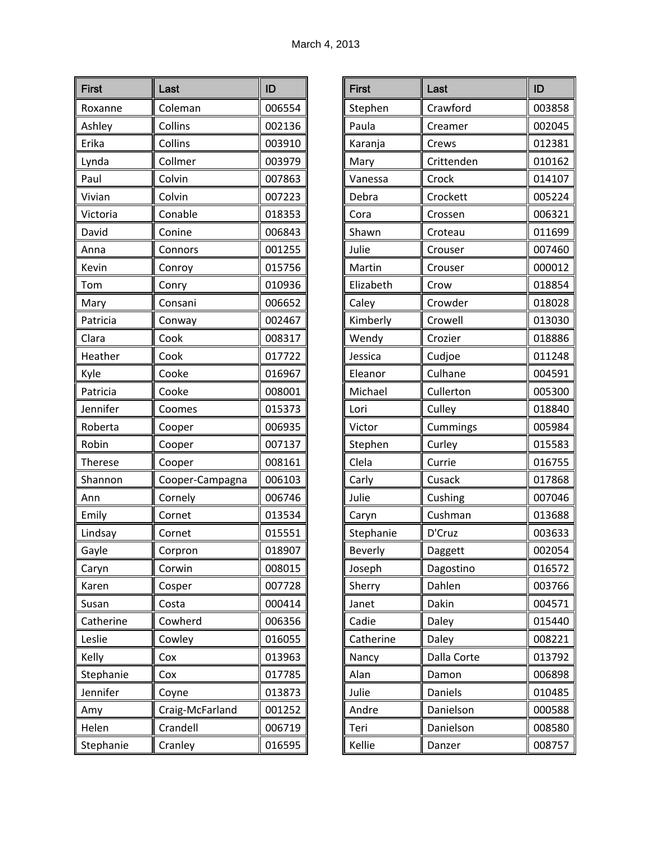| <b>First</b> | Last            | ID     |
|--------------|-----------------|--------|
| Roxanne      | Coleman         | 006554 |
| Ashley       | Collins         | 002136 |
| Erika        | Collins         | 003910 |
| Lynda        | Collmer         | 003979 |
| Paul         | Colvin          | 007863 |
| Vivian       | Colvin          | 007223 |
| Victoria     | Conable         | 018353 |
| David        | Conine          | 006843 |
| Anna         | Connors         | 001255 |
| Kevin        | Conroy          | 015756 |
| Tom          | Conry           | 010936 |
| Mary         | Consani         | 006652 |
| Patricia     | Conway          | 002467 |
| Clara        | Cook            | 008317 |
| Heather      | Cook            | 017722 |
| Kyle         | Cooke           | 016967 |
| Patricia     | Cooke           | 008001 |
| Jennifer     | Coomes          | 015373 |
| Roberta      | Cooper          | 006935 |
| Robin        | Cooper          | 007137 |
| Therese      | Cooper          | 008161 |
| Shannon      | Cooper-Campagna | 006103 |
| Ann          | Cornely         | 006746 |
| Emily        | Cornet          | 013534 |
| Lindsay      | Cornet          | 015551 |
| Gayle        | Corpron         | 018907 |
| Caryn        | Corwin          | 008015 |
| Karen        | Cosper          | 007728 |
| Susan        | Costa           | 000414 |
| Catherine    | Cowherd         | 006356 |
| Leslie       | Cowley          | 016055 |
| Kelly        | Cox             | 013963 |
| Stephanie    | Cox             | 017785 |
| Jennifer     | Coyne           | 013873 |
| Amy          | Craig-McFarland | 001252 |
| Helen        | Crandell        | 006719 |
| Stephanie    | Cranley         | 016595 |

| <b>First</b> | Last        | ID     |
|--------------|-------------|--------|
| Stephen      | Crawford    | 003858 |
| Paula        | Creamer     | 002045 |
| Karanja      | Crews       | 012381 |
| Mary         | Crittenden  | 010162 |
| Vanessa      | Crock       | 014107 |
| Debra        | Crockett    | 005224 |
| Cora         | Crossen     | 006321 |
| Shawn        | Croteau     | 011699 |
| Julie        | Crouser     | 007460 |
| Martin       | Crouser     | 000012 |
| Elizabeth    | Crow        | 018854 |
| Caley        | Crowder     | 018028 |
| Kimberly     | Crowell     | 013030 |
| Wendy        | Crozier     | 018886 |
| Jessica      | Cudjoe      | 011248 |
| Eleanor      | Culhane     | 004591 |
| Michael      | Cullerton   | 005300 |
| Lori         | Culley      | 018840 |
| Victor       | Cummings    | 005984 |
| Stephen      | Curley      | 015583 |
| Clela        | Currie      | 016755 |
| Carly        | Cusack      | 017868 |
| Julie        | Cushing     | 007046 |
| Caryn        | Cushman     | 013688 |
| Stephanie    | D'Cruz      | 003633 |
| Beverly      | Daggett     | 002054 |
| Joseph       | Dagostino   | 016572 |
| Sherry       | Dahlen      | 003766 |
| Janet        | Dakin       | 004571 |
| Cadie        | Daley       | 015440 |
| Catherine    | Daley       | 008221 |
| Nancy        | Dalla Corte | 013792 |
| Alan         | Damon       | 006898 |
| Julie        | Daniels     | 010485 |
| Andre        | Danielson   | 000588 |
| Teri         | Danielson   | 008580 |
| Kellie       | Danzer      | 008757 |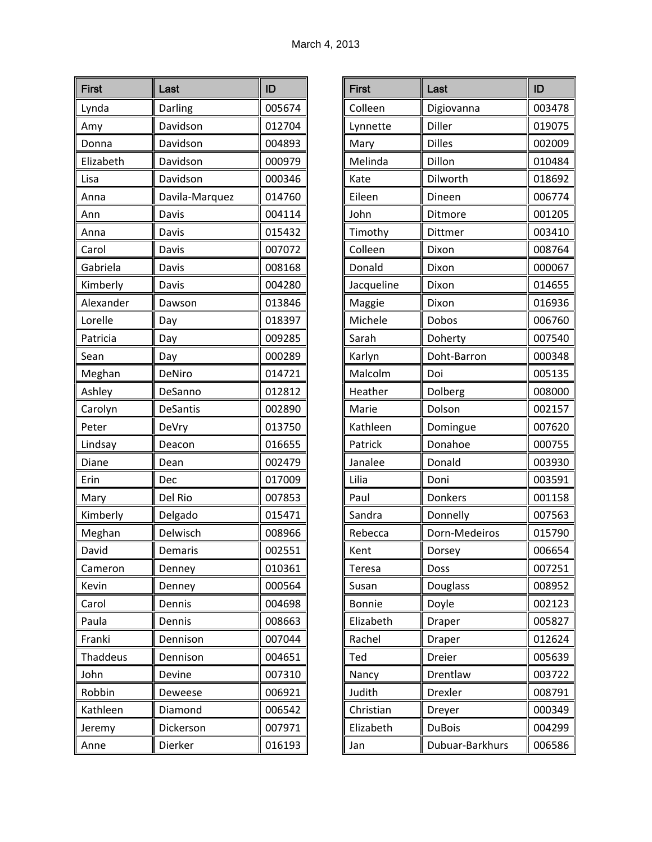| <b>First</b> | Last            | ID     |
|--------------|-----------------|--------|
| Lynda        | Darling         | 005674 |
| Amy          | Davidson        | 012704 |
| Donna        | Davidson        | 004893 |
| Elizabeth    | Davidson        | 000979 |
| Lisa         | Davidson        | 000346 |
| Anna         | Davila-Marquez  | 014760 |
| Ann          | Davis           | 004114 |
| Anna         | Davis           | 015432 |
| Carol        | Davis           | 007072 |
| Gabriela     | Davis           | 008168 |
| Kimberly     | Davis           | 004280 |
| Alexander    | Dawson          | 013846 |
| Lorelle      | Day             | 018397 |
| Patricia     | Day             | 009285 |
| Sean         | Day             | 000289 |
| Meghan       | DeNiro          | 014721 |
| Ashley       | DeSanno         | 012812 |
| Carolyn      | <b>DeSantis</b> | 002890 |
| Peter        | DeVry           | 013750 |
| Lindsay      | Deacon          | 016655 |
| Diane        | Dean            | 002479 |
| Erin         | Dec             | 017009 |
| Mary         | Del Rio         | 007853 |
| Kimberly     | Delgado         | 015471 |
| Meghan       | Delwisch        | 008966 |
| David        | Demaris         | 002551 |
| Cameron      | Denney          | 010361 |
| Kevin        | Denney          | 000564 |
| Carol        | Dennis          | 004698 |
| Paula        | Dennis          | 008663 |
| Franki       | Dennison        | 007044 |
| Thaddeus     | Dennison        | 004651 |
| John         | Devine          | 007310 |
| Robbin       | Deweese         | 006921 |
| Kathleen     | Diamond         | 006542 |
| Jeremy       | Dickerson       | 007971 |
| Anne         | Dierker         | 016193 |

| <b>First</b>  | Last            | ID     |
|---------------|-----------------|--------|
| Colleen       | Digiovanna      | 003478 |
| Lynnette      | Diller          | 019075 |
| Mary          | Dilles          | 002009 |
| Melinda       | Dillon          | 010484 |
| Kate          | Dilworth        | 018692 |
| Eileen        | Dineen          | 006774 |
| John          | Ditmore         | 001205 |
| Timothy       | Dittmer         | 003410 |
| Colleen       | Dixon           | 008764 |
| Donald        | Dixon           | 000067 |
| Jacqueline    | Dixon           | 014655 |
| Maggie        | Dixon           | 016936 |
| Michele       | Dobos           | 006760 |
| Sarah         | Doherty         | 007540 |
| Karlyn        | Doht-Barron     | 000348 |
| Malcolm       | Doi             | 005135 |
| Heather       | Dolberg         | 008000 |
| Marie         | Dolson          | 002157 |
| Kathleen      | Domingue        | 007620 |
| Patrick       | Donahoe         | 000755 |
| Janalee       | Donald          | 003930 |
| Lilia         | Doni            | 003591 |
| Paul          | Donkers         | 001158 |
| Sandra        | Donnelly        | 007563 |
| Rebecca       | Dorn-Medeiros   | 015790 |
| Kent          | Dorsey          | 006654 |
| Teresa        | Doss            | 007251 |
| Susan         | Douglass        | 008952 |
| <b>Bonnie</b> | Doyle           | 002123 |
| Elizabeth     | Draper          | 005827 |
| Rachel        | Draper          | 012624 |
| Ted           | Dreier          | 005639 |
| Nancy         | Drentlaw        | 003722 |
| Judith        | Drexler         | 008791 |
| Christian     | Dreyer          | 000349 |
| Elizabeth     | <b>DuBois</b>   | 004299 |
| Jan           | Dubuar-Barkhurs | 006586 |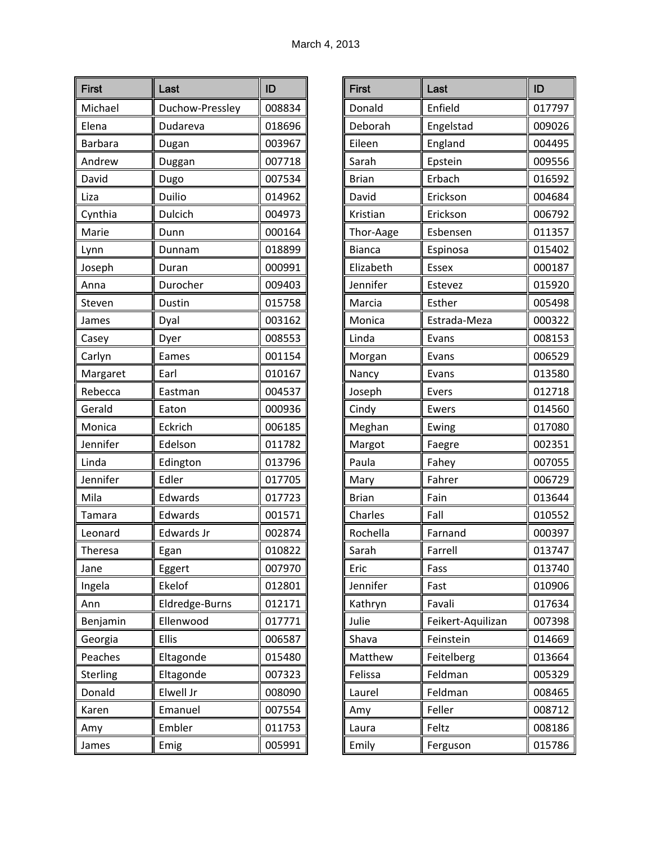| <b>First</b>    | Last            | ID     |
|-----------------|-----------------|--------|
| Michael         | Duchow-Pressley | 008834 |
| Elena           | Dudareva        | 018696 |
| <b>Barbara</b>  | Dugan           | 003967 |
| Andrew          | Duggan          | 007718 |
| David           | Dugo            | 007534 |
| Liza            | Duilio          | 014962 |
| Cynthia         | <b>Dulcich</b>  | 004973 |
| Marie           | Dunn            | 000164 |
| Lynn            | Dunnam          | 018899 |
| Joseph          | Duran           | 000991 |
| Anna            | Durocher        | 009403 |
| Steven          | <b>Dustin</b>   | 015758 |
| James           | Dyal            | 003162 |
| Casey           | Dyer            | 008553 |
| Carlyn          | Eames           | 001154 |
| Margaret        | Earl            | 010167 |
| Rebecca         | Eastman         | 004537 |
| Gerald          | Eaton           | 000936 |
| Monica          | Eckrich         | 006185 |
| Jennifer        | Edelson         | 011782 |
| Linda           | Edington        | 013796 |
| Jennifer        | Edler           | 017705 |
| Mila            | Edwards         | 017723 |
| Tamara          | Edwards         | 001571 |
| Leonard         | Edwards Jr      | 002874 |
| Theresa         | Egan            | 010822 |
| Jane            | Eggert          | 007970 |
| Ingela          | Ekelof          | 012801 |
| Ann             | Eldredge-Burns  | 012171 |
| Benjamin        | Ellenwood       | 017771 |
| Georgia         | Ellis           | 006587 |
| Peaches         | Eltagonde       | 015480 |
| <b>Sterling</b> | Eltagonde       | 007323 |
| Donald          | Elwell Jr       | 008090 |
| Karen           | Emanuel         | 007554 |
| Amy             | Embler          | 011753 |
| James           | Emig            | 005991 |

| <b>First</b>  | Last              | ID     |
|---------------|-------------------|--------|
| Donald        | Enfield           | 017797 |
| Deborah       | Engelstad         | 009026 |
| Eileen        | England           | 004495 |
| Sarah         | Epstein           | 009556 |
| <b>Brian</b>  | Erbach            | 016592 |
| David         | Erickson          | 004684 |
| Kristian      | Erickson          | 006792 |
| Thor-Aage     | Esbensen          | 011357 |
| <b>Bianca</b> | Espinosa          | 015402 |
| Elizabeth     | <b>Essex</b>      | 000187 |
| Jennifer      | Estevez           | 015920 |
| Marcia        | Esther            | 005498 |
| Monica        | Estrada-Meza      | 000322 |
| Linda         | Evans             | 008153 |
| Morgan        | Evans             | 006529 |
| Nancy         | Evans             | 013580 |
| Joseph        | Evers             | 012718 |
| Cindy         | Ewers             | 014560 |
| Meghan        | Ewing             | 017080 |
| Margot        | Faegre            | 002351 |
| Paula         | Fahey             | 007055 |
| Mary          | Fahrer            | 006729 |
| <b>Brian</b>  | Fain              | 013644 |
| Charles       | Fall              | 010552 |
| Rochella      | Farnand           | 000397 |
| Sarah         | Farrell           | 013747 |
| Eric          | Fass              | 013740 |
| Jennifer      | Fast              | 010906 |
| Kathryn       | Favali            | 017634 |
| Julie         | Feikert-Aquilizan | 007398 |
| Shava         | Feinstein         | 014669 |
| Matthew       | Feitelberg        | 013664 |
| Felissa       | Feldman           | 005329 |
| Laurel        | Feldman           | 008465 |
| Amy           | Feller            | 008712 |
| Laura         | Feltz             | 008186 |
| Emily         | Ferguson          | 015786 |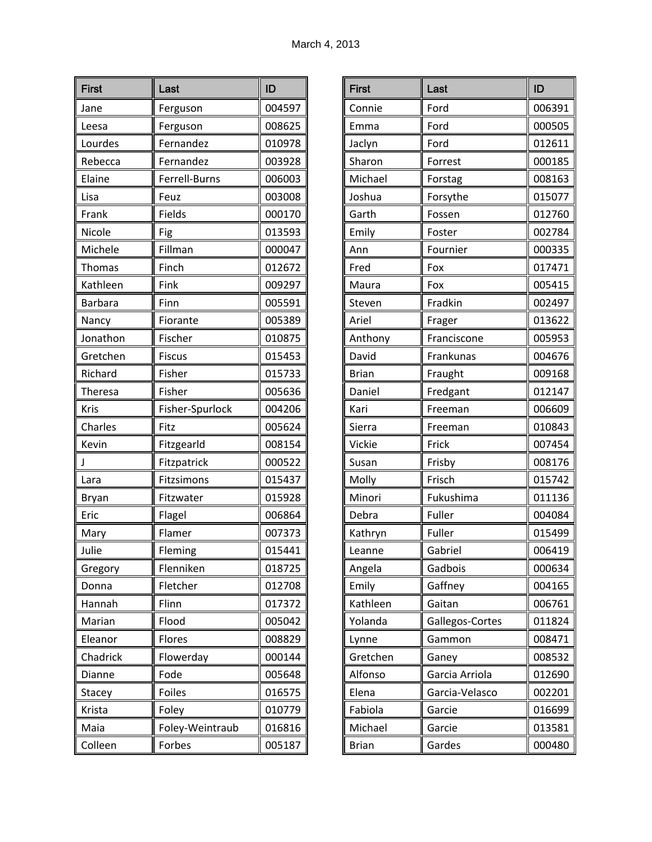| <b>First</b>   | Last            | ID     |
|----------------|-----------------|--------|
| Jane           | Ferguson        | 004597 |
| Leesa          | Ferguson        | 008625 |
| Lourdes        | Fernandez       | 010978 |
| Rebecca        | Fernandez       | 003928 |
| Elaine         | Ferrell-Burns   | 006003 |
| Lisa           | Feuz            | 003008 |
| Frank          | Fields          | 000170 |
| Nicole         | Fig             | 013593 |
| Michele        | Fillman         | 000047 |
| Thomas         | Finch           | 012672 |
| Kathleen       | Fink            | 009297 |
| <b>Barbara</b> | Finn            | 005591 |
| Nancy          | Fiorante        | 005389 |
| Jonathon       | Fischer         | 010875 |
| Gretchen       | <b>Fiscus</b>   | 015453 |
| Richard        | Fisher          | 015733 |
| Theresa        | Fisher          | 005636 |
| Kris           | Fisher-Spurlock | 004206 |
| Charles        | Fitz            | 005624 |
| Kevin          | Fitzgearld      | 008154 |
| J              | Fitzpatrick     | 000522 |
| Lara           | Fitzsimons      | 015437 |
| Bryan          | Fitzwater       | 015928 |
| Eric           | Flagel          | 006864 |
| Mary           | Flamer          | 007373 |
| Julie          | Fleming         | 015441 |
| Gregory        | Flenniken       | 018725 |
| Donna          | Fletcher        | 012708 |
| Hannah         | Flinn           | 017372 |
| Marian         | Flood           | 005042 |
| Eleanor        | Flores          | 008829 |
| Chadrick       | Flowerday       | 000144 |
| Dianne         | Fode            | 005648 |
| Stacey         | Foiles          | 016575 |
| Krista         | Foley           | 010779 |
| Maia           | Foley-Weintraub | 016816 |
| Colleen        | Forbes          | 005187 |

| <b>First</b> | Last            | ID     |
|--------------|-----------------|--------|
| Connie       | Ford            | 006391 |
| Emma         | Ford            | 000505 |
| Jaclyn       | Ford            | 012611 |
| Sharon       | Forrest         | 000185 |
| Michael      | Forstag         | 008163 |
| Joshua       | Forsythe        | 015077 |
| Garth        | Fossen          | 012760 |
| Emily        | Foster          | 002784 |
| Ann          | Fournier        | 000335 |
| Fred         | Fox             | 017471 |
| Maura        | Fox             | 005415 |
| Steven       | Fradkin         | 002497 |
| Ariel        | Frager          | 013622 |
| Anthony      | Franciscone     | 005953 |
| David        | Frankunas       | 004676 |
| <b>Brian</b> | Fraught         | 009168 |
| Daniel       | Fredgant        | 012147 |
| Kari         | Freeman         | 006609 |
| Sierra       | Freeman         | 010843 |
| Vickie       | Frick           | 007454 |
| Susan        | Frisby          | 008176 |
| Molly        | Frisch          | 015742 |
| Minori       | Fukushima       | 011136 |
| Debra        | Fuller          | 004084 |
| Kathryn      | Fuller          | 015499 |
| Leanne       | Gabriel         | 006419 |
| Angela       | Gadbois         | 000634 |
| Emily        | Gaffney         | 004165 |
| Kathleen     | Gaitan          | 006761 |
| Yolanda      | Gallegos-Cortes | 011824 |
| Lynne        | Gammon          | 008471 |
| Gretchen     | Ganey           | 008532 |
| Alfonso      | Garcia Arriola  | 012690 |
| Elena        | Garcia-Velasco  | 002201 |
| Fabiola      | Garcie          | 016699 |
| Michael      | Garcie          | 013581 |
| <b>Brian</b> | Gardes          | 000480 |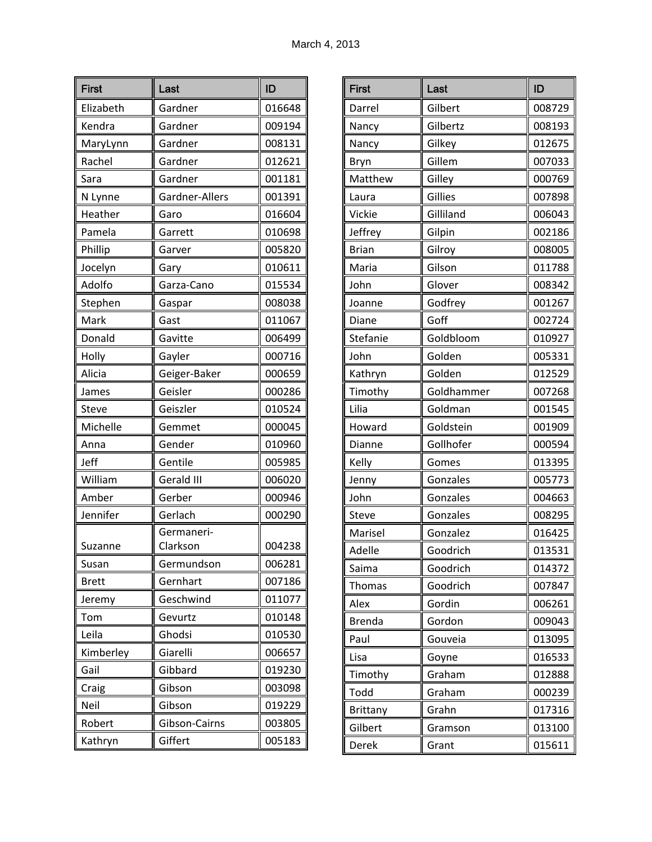| <b>First</b>  | Last                   | ID               |
|---------------|------------------------|------------------|
| Elizabeth     | Gardner                | 016648           |
| Kendra        | Gardner                | 009194           |
| MaryLynn      | Gardner                | 008131           |
| Rachel        | Gardner                | 012621           |
| Sara          | Gardner                | 001181           |
| N Lynne       | Gardner-Allers         | 001391           |
| Heather       | Garo                   | 016604           |
| Pamela        | Garrett                | 010698           |
| Phillip       | Garver                 | 005820           |
| Jocelyn       | Gary                   | 010611           |
| Adolfo        | Garza-Cano             | 015534           |
| Stephen       | Gaspar                 | 008038           |
| Mark          | Gast                   | 011067           |
| Donald        | Gavitte                | 006499           |
| Holly         | Gayler                 | 000716           |
| Alicia        | Geiger-Baker           | 000659           |
| James         | Geisler                | 000286           |
| <b>Steve</b>  | Geiszler               | 010524           |
| Michelle      | Gemmet                 | 000045           |
| Anna          | Gender                 | 010960           |
| Jeff          | Gentile                | 005985           |
| William       | Gerald III             | 006020           |
| Amber         | Gerber                 | 000946           |
| Jennifer      | Gerlach                | 000290           |
| Suzanne       | Germaneri-<br>Clarkson | 004238           |
| Susan         | Germundson             | 006281           |
| <b>Brett</b>  | Gernhart               | 007186           |
|               | Geschwind              | 011077           |
| Jeremy<br>Tom | Gevurtz                | 010148           |
| Leila         | Ghodsi                 | 010530           |
| Kimberley     | Giarelli               | 006657           |
|               | Gibbard                |                  |
| Gail          | Gibson                 | 019230<br>003098 |
| Craig<br>Neil | Gibson                 | 019229           |
| Robert        | Gibson-Cairns          | 003805           |
|               |                        | 005183           |
| Kathryn       | Giffert                |                  |

| <b>First</b>  | Last       | ID     |
|---------------|------------|--------|
| Darrel        | Gilbert    | 008729 |
| Nancy         | Gilbertz   | 008193 |
| Nancy         | Gilkey     | 012675 |
| Bryn          | Gillem     | 007033 |
| Matthew       | Gilley     | 000769 |
| Laura         | Gillies    | 007898 |
| Vickie        | Gilliland  | 006043 |
| Jeffrey       | Gilpin     | 002186 |
| <b>Brian</b>  | Gilroy     | 008005 |
| Maria         | Gilson     | 011788 |
| John          | Glover     | 008342 |
| Joanne        | Godfrey    | 001267 |
| Diane         | Goff       | 002724 |
| Stefanie      | Goldbloom  | 010927 |
| John          | Golden     | 005331 |
| Kathryn       | Golden     | 012529 |
| Timothy       | Goldhammer | 007268 |
| Lilia         | Goldman    | 001545 |
| Howard        | Goldstein  | 001909 |
| Dianne        | Gollhofer  | 000594 |
| Kelly         | Gomes      | 013395 |
| Jenny         | Gonzales   | 005773 |
| John          | Gonzales   | 004663 |
| Steve         | Gonzales   | 008295 |
| Marisel       | Gonzalez   | 016425 |
| Adelle        | Goodrich   | 013531 |
| Saima         | Goodrich   | 014372 |
| <b>Thomas</b> | Goodrich   | 007847 |
| Alex          | Gordin     | 006261 |
| <b>Brenda</b> | Gordon     | 009043 |
| Paul          | Gouveia    | 013095 |
| Lisa          | Goyne      | 016533 |
| Timothy       | Graham     | 012888 |
| Todd          | Graham     | 000239 |
| Brittany      | Grahn      | 017316 |
| Gilbert       | Gramson    | 013100 |
| Derek         | Grant      | 015611 |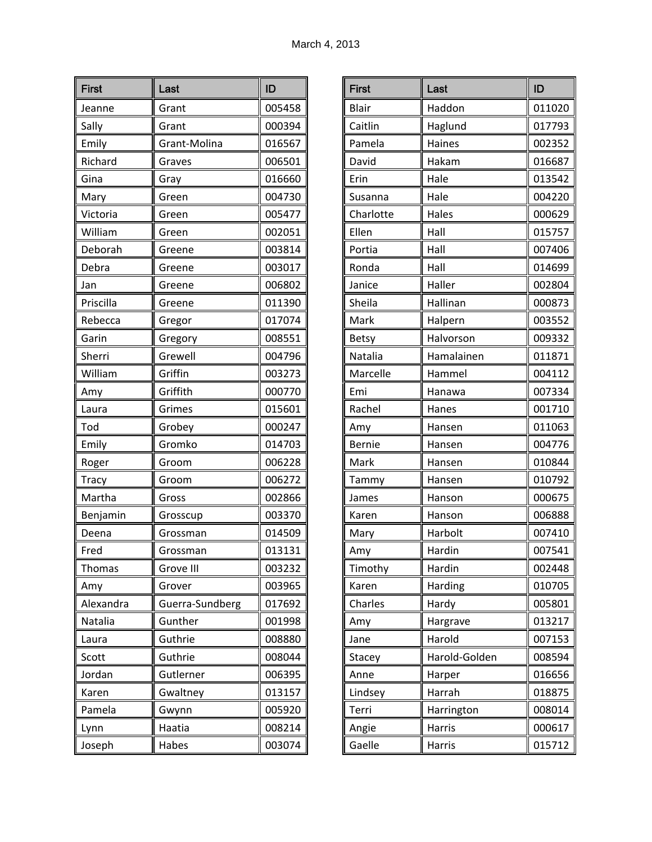| <b>First</b>  | Last            | ID     |
|---------------|-----------------|--------|
| Jeanne        | Grant           | 005458 |
| Sally         | Grant           | 000394 |
| Emily         | Grant-Molina    | 016567 |
| Richard       | Graves          | 006501 |
| Gina          | Gray            | 016660 |
| Mary          | Green           | 004730 |
| Victoria      | Green           | 005477 |
| William       | Green           | 002051 |
| Deborah       | Greene          | 003814 |
| Debra         | Greene          | 003017 |
| Jan           | Greene          | 006802 |
| Priscilla     | Greene          | 011390 |
| Rebecca       | Gregor          | 017074 |
| Garin         | Gregory         | 008551 |
| Sherri        | Grewell         | 004796 |
| William       | Griffin         | 003273 |
| Amy           | Griffith        | 000770 |
| Laura         | Grimes          | 015601 |
| Tod           | Grobey          | 000247 |
| Emily         | Gromko          | 014703 |
| Roger         | Groom           | 006228 |
| <b>Tracy</b>  | Groom           | 006272 |
| Martha        | Gross           | 002866 |
| Benjamin      | Grosscup        | 003370 |
| Deena         | Grossman        | 014509 |
| Fred          | Grossman        | 013131 |
| <b>Thomas</b> | Grove III       | 003232 |
| Amy           | Grover          | 003965 |
| Alexandra     | Guerra-Sundberg | 017692 |
| Natalia       | Gunther         | 001998 |
| Laura         | Guthrie         | 008880 |
| Scott         | Guthrie         | 008044 |
| Jordan        | Gutlerner       | 006395 |
| Karen         | Gwaltney        | 013157 |
| Pamela        | Gwynn           | 005920 |
| Lynn          | Haatia          | 008214 |
| Joseph        | Habes           | 003074 |

| <b>First</b>  | Last          | ID     |
|---------------|---------------|--------|
| <b>Blair</b>  | Haddon        | 011020 |
| Caitlin       | Haglund       | 017793 |
| Pamela        | Haines        | 002352 |
| David         | Hakam         | 016687 |
| Erin          | Hale          | 013542 |
| Susanna       | Hale          | 004220 |
| Charlotte     | Hales         | 000629 |
| Ellen         | Hall          | 015757 |
| Portia        | Hall          | 007406 |
| Ronda         | Hall          | 014699 |
| Janice        | Haller        | 002804 |
| Sheila        | Hallinan      | 000873 |
| Mark          | Halpern       | 003552 |
| <b>Betsy</b>  | Halvorson     | 009332 |
| Natalia       | Hamalainen    | 011871 |
| Marcelle      | Hammel        | 004112 |
| Emi           | Hanawa        | 007334 |
| Rachel        | Hanes         | 001710 |
| Amy           | Hansen        | 011063 |
| <b>Bernie</b> | Hansen        | 004776 |
| Mark          | Hansen        | 010844 |
| Tammy         | Hansen        | 010792 |
| James         | Hanson        | 000675 |
| Karen         | Hanson        | 006888 |
| Mary          | Harbolt       | 007410 |
| Amy           | Hardin        | 007541 |
| Timothy       | Hardin        | 002448 |
| Karen         | Harding       | 010705 |
| Charles       | Hardy         | 005801 |
| Amy           | Hargrave      | 013217 |
| Jane          | Harold        | 007153 |
| Stacey        | Harold-Golden | 008594 |
| Anne          | Harper        | 016656 |
| Lindsey       | Harrah        | 018875 |
| Terri         | Harrington    | 008014 |
| Angie         | Harris        | 000617 |
| Gaelle        | Harris        | 015712 |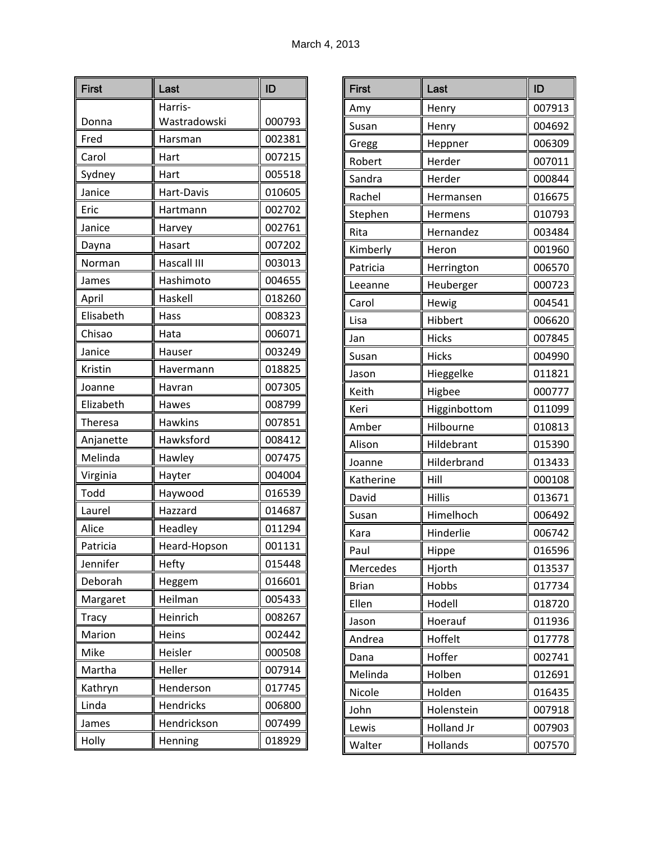| <b>First</b> | Last           | ID     |
|--------------|----------------|--------|
|              | Harris-        |        |
| Donna        | Wastradowski   | 000793 |
| Fred         | Harsman        | 002381 |
| Carol        | Hart           | 007215 |
| Sydney       | Hart           | 005518 |
| Janice       | Hart-Davis     | 010605 |
| Eric         | Hartmann       | 002702 |
| Janice       | Harvey         | 002761 |
| Dayna        | Hasart         | 007202 |
| Norman       | Hascall III    | 003013 |
| James        | Hashimoto      | 004655 |
| April        | Haskell        | 018260 |
| Elisabeth    | Hass           | 008323 |
| Chisao       | Hata           | 006071 |
| Janice       | Hauser         | 003249 |
| Kristin      | Havermann      | 018825 |
| Joanne       | Havran         | 007305 |
| Elizabeth    | Hawes          | 008799 |
| Theresa      | <b>Hawkins</b> | 007851 |
| Anjanette    | Hawksford      | 008412 |
| Melinda      | Hawley         | 007475 |
| Virginia     | Hayter         | 004004 |
| Todd         | Haywood        | 016539 |
| Laurel       | Hazzard        | 014687 |
| Alice        | Headley        | 011294 |
| Patricia     | Heard-Hopson   | 001131 |
| Jennifer     | Hefty          | 015448 |
| Deborah      | Heggem         | 016601 |
| Margaret     | Heilman        | 005433 |
| <b>Tracy</b> | Heinrich       | 008267 |
| Marion       | Heins          | 002442 |
| Mike         | Heisler        | 000508 |
| Martha       | Heller         | 007914 |
| Kathryn      | Henderson      | 017745 |
| Linda        | Hendricks      | 006800 |
| James        | Hendrickson    | 007499 |
| Holly        | Henning        | 018929 |

| <b>First</b> | Last          | ID     |
|--------------|---------------|--------|
| Amy          | Henry         | 007913 |
| Susan        | Henry         | 004692 |
| Gregg        | Heppner       | 006309 |
| Robert       | Herder        | 007011 |
| Sandra       | Herder        | 000844 |
| Rachel       | Hermansen     | 016675 |
| Stephen      | Hermens       | 010793 |
| Rita         | Hernandez     | 003484 |
| Kimberly     | Heron         | 001960 |
| Patricia     | Herrington    | 006570 |
| Leeanne      | Heuberger     | 000723 |
| Carol        | Hewig         | 004541 |
| Lisa         | Hibbert       | 006620 |
| Jan          | <b>Hicks</b>  | 007845 |
| Susan        | <b>Hicks</b>  | 004990 |
| Jason        | Hieggelke     | 011821 |
| Keith        | Higbee        | 000777 |
| Keri         | Higginbottom  | 011099 |
| Amber        | Hilbourne     | 010813 |
| Alison       | Hildebrant    | 015390 |
| Joanne       | Hilderbrand   | 013433 |
| Katherine    | Hill          | 000108 |
| David        | <b>Hillis</b> | 013671 |
| Susan        | Himelhoch     | 006492 |
| Kara         | Hinderlie     | 006742 |
| Paul         | Hippe         | 016596 |
| Mercedes     | Hjorth        | 013537 |
| <b>Brian</b> | Hobbs         | 017734 |
| Ellen        | Hodell        | 018720 |
| Jason        | Hoerauf       | 011936 |
| Andrea       | Hoffelt       | 017778 |
| Dana         | Hoffer        | 002741 |
| Melinda      | Holben        | 012691 |
| Nicole       | Holden        | 016435 |
| John         | Holenstein    | 007918 |
| Lewis        | Holland Jr    | 007903 |
| Walter       | Hollands      | 007570 |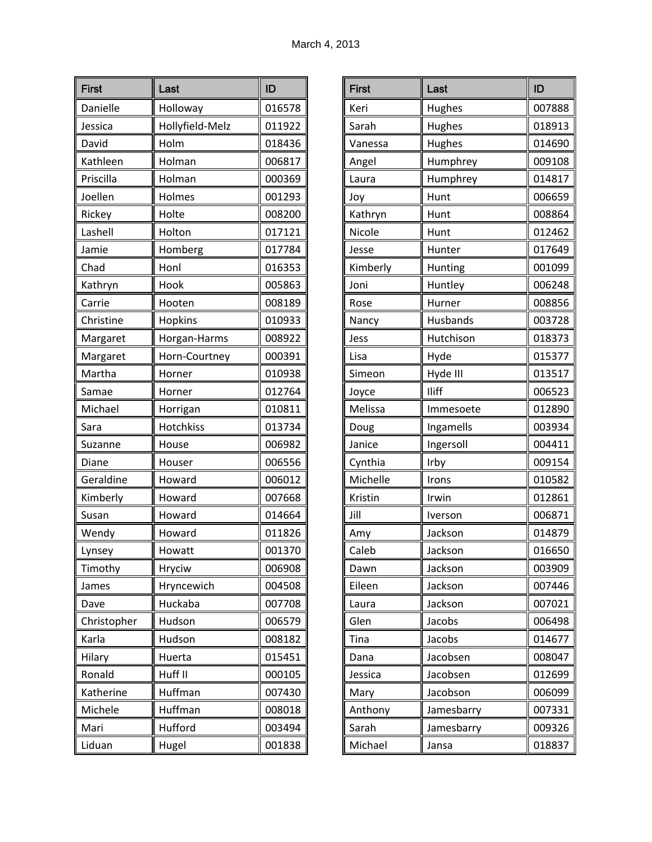| <b>First</b> | Last            | ID     |
|--------------|-----------------|--------|
| Danielle     | Holloway        | 016578 |
| Jessica      | Hollyfield-Melz | 011922 |
| David        | Holm            | 018436 |
| Kathleen     | Holman          | 006817 |
| Priscilla    | Holman          | 000369 |
| Joellen      | Holmes          | 001293 |
| Rickey       | Holte           | 008200 |
| Lashell      | Holton          | 017121 |
| Jamie        | Homberg         | 017784 |
| Chad         | Honl            | 016353 |
| Kathryn      | Hook            | 005863 |
| Carrie       | Hooten          | 008189 |
| Christine    | Hopkins         | 010933 |
| Margaret     | Horgan-Harms    | 008922 |
| Margaret     | Horn-Courtney   | 000391 |
| Martha       | Horner          | 010938 |
| Samae        | Horner          | 012764 |
| Michael      | Horrigan        | 010811 |
| Sara         | Hotchkiss       | 013734 |
| Suzanne      | House           | 006982 |
| Diane        | Houser          | 006556 |
| Geraldine    | Howard          | 006012 |
| Kimberly     | Howard          | 007668 |
| Susan        | Howard          | 014664 |
| Wendy        | Howard          | 011826 |
| Lynsey       | Howatt          | 001370 |
| Timothy      | <b>Hryciw</b>   | 006908 |
| James        | Hryncewich      | 004508 |
| Dave         | Huckaba         | 007708 |
| Christopher  | Hudson          | 006579 |
| Karla        | Hudson          | 008182 |
| Hilary       | Huerta          | 015451 |
| Ronald       | Huff II         | 000105 |
| Katherine    | Huffman         | 007430 |
| Michele      | Huffman         | 008018 |
| Mari         | Hufford         | 003494 |
| Liduan       | Hugel           | 001838 |

| <b>First</b> | Last       | ID     |
|--------------|------------|--------|
| Keri         | Hughes     | 007888 |
| Sarah        | Hughes     | 018913 |
| Vanessa      | Hughes     | 014690 |
| Angel        | Humphrey   | 009108 |
| Laura        | Humphrey   | 014817 |
| Joy          | Hunt       | 006659 |
| Kathryn      | Hunt       | 008864 |
| Nicole       | Hunt       | 012462 |
| Jesse        | Hunter     | 017649 |
| Kimberly     | Hunting    | 001099 |
| Joni         | Huntley    | 006248 |
| Rose         | Hurner     | 008856 |
| Nancy        | Husbands   | 003728 |
| Jess         | Hutchison  | 018373 |
| Lisa         | Hyde       | 015377 |
| Simeon       | Hyde III   | 013517 |
| Joyce        | Iliff      | 006523 |
| Melissa      | Immesoete  | 012890 |
| Doug         | Ingamells  | 003934 |
| Janice       | Ingersoll  | 004411 |
| Cynthia      | Irby       | 009154 |
| Michelle     | Irons      | 010582 |
| Kristin      | Irwin      | 012861 |
| Jill         | Iverson    | 006871 |
| Amy          | Jackson    | 014879 |
| Caleb        | Jackson    | 016650 |
| Dawn         | Jackson    | 003909 |
| Eileen       | Jackson    | 007446 |
| Laura        | Jackson    | 007021 |
| Glen         | Jacobs     | 006498 |
| Tina         | Jacobs     | 014677 |
| Dana         | Jacobsen   | 008047 |
| Jessica      | Jacobsen   | 012699 |
| Mary         | Jacobson   | 006099 |
| Anthony      | Jamesbarry | 007331 |
| Sarah        | Jamesbarry | 009326 |
| Michael      | Jansa      | 018837 |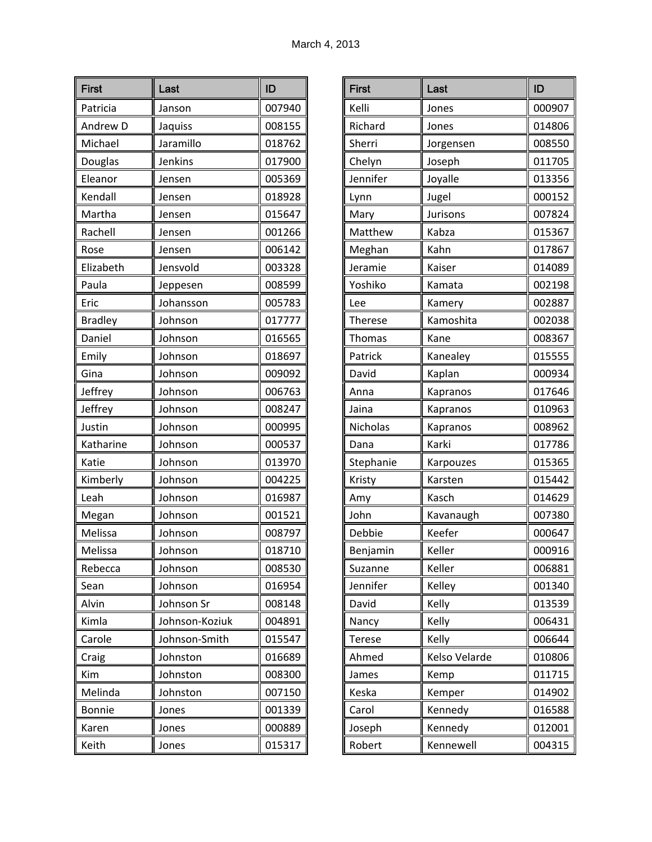| <b>First</b>   | Last           | ID     |
|----------------|----------------|--------|
| Patricia       | Janson         | 007940 |
| Andrew D       | Jaquiss        | 008155 |
| Michael        | Jaramillo      | 018762 |
| Douglas        | Jenkins        | 017900 |
| Eleanor        | Jensen         | 005369 |
| Kendall        | Jensen         | 018928 |
| Martha         | Jensen         | 015647 |
| Rachell        | Jensen         | 001266 |
| Rose           | Jensen         | 006142 |
| Elizabeth      | Jensvold       | 003328 |
| Paula          | Jeppesen       | 008599 |
| Eric           | Johansson      | 005783 |
| <b>Bradley</b> | Johnson        | 017777 |
| Daniel         | Johnson        | 016565 |
| Emily          | Johnson        | 018697 |
| Gina           | Johnson        | 009092 |
| Jeffrey        | Johnson        | 006763 |
| Jeffrey        | Johnson        | 008247 |
| Justin         | Johnson        | 000995 |
| Katharine      | Johnson        | 000537 |
| Katie          | Johnson        | 013970 |
| Kimberly       | Johnson        | 004225 |
| Leah           | Johnson        | 016987 |
| Megan          | Johnson        | 001521 |
| Melissa        | Johnson        | 008797 |
| Melissa        | Johnson        | 018710 |
| Rebecca        | Johnson        | 008530 |
| Sean           | Johnson        | 016954 |
| Alvin          | Johnson Sr     | 008148 |
| Kimla          | Johnson-Koziuk | 004891 |
| Carole         | Johnson-Smith  | 015547 |
| Craig          | Johnston       | 016689 |
| Kim            | Johnston       | 008300 |
| Melinda        | Johnston       | 007150 |
| <b>Bonnie</b>  | Jones          | 001339 |
| Karen          | Jones          | 000889 |
| Keith          | Jones          | 015317 |

| <b>First</b>   | Last          | ID     |
|----------------|---------------|--------|
| Kelli          | Jones         | 000907 |
| Richard        | Jones         | 014806 |
| Sherri         | Jorgensen     | 008550 |
| Chelyn         | Joseph        | 011705 |
| Jennifer       | Joyalle       | 013356 |
| Lynn           | Jugel         | 000152 |
| Mary           | Jurisons      | 007824 |
| Matthew        | Kabza         | 015367 |
| Meghan         | Kahn          | 017867 |
| Jeramie        | Kaiser        | 014089 |
| Yoshiko        | Kamata        | 002198 |
| Lee            | Kamery        | 002887 |
| <b>Therese</b> | Kamoshita     | 002038 |
| <b>Thomas</b>  | Kane          | 008367 |
| Patrick        | Kanealey      | 015555 |
| David          | Kaplan        | 000934 |
| Anna           | Kapranos      | 017646 |
| Jaina          | Kapranos      | 010963 |
| Nicholas       | Kapranos      | 008962 |
| Dana           | Karki         | 017786 |
| Stephanie      | Karpouzes     | 015365 |
| Kristy         | Karsten       | 015442 |
| Amy            | Kasch         | 014629 |
| John           | Kavanaugh     | 007380 |
| Debbie         | Keefer        | 000647 |
| Benjamin       | Keller        | 000916 |
| Suzanne        | Keller        | 006881 |
| Jennifer       | Kelley        | 001340 |
| David          | Kelly         | 013539 |
| Nancy          | Kelly         | 006431 |
| <b>Terese</b>  | Kelly         | 006644 |
| Ahmed          | Kelso Velarde | 010806 |
| James          | Kemp          | 011715 |
| Keska          | Kemper        | 014902 |
| Carol          | Kennedy       | 016588 |
| Joseph         | Kennedy       | 012001 |
| Robert         | Kennewell     | 004315 |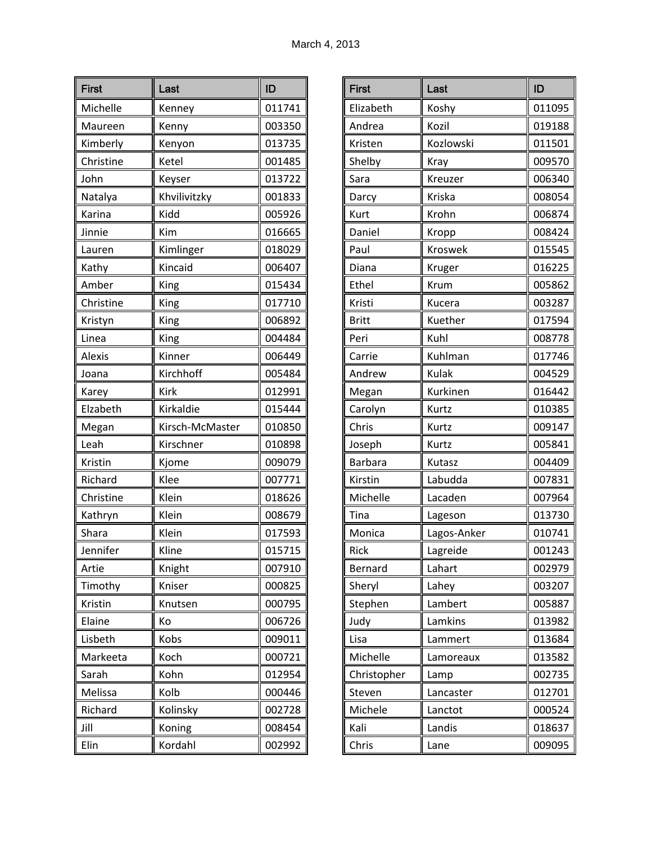| <b>First</b>  | Last            | ID     |
|---------------|-----------------|--------|
| Michelle      | Kenney          | 011741 |
| Maureen       | Kenny           | 003350 |
| Kimberly      | Kenyon          | 013735 |
| Christine     | Ketel           | 001485 |
| John          | Keyser          | 013722 |
| Natalya       | Khvilivitzky    | 001833 |
| Karina        | Kidd            | 005926 |
| Jinnie        | Kim             | 016665 |
| Lauren        | Kimlinger       | 018029 |
| Kathy         | Kincaid         | 006407 |
| Amber         | King            | 015434 |
| Christine     | King            | 017710 |
| Kristyn       | King            | 006892 |
| Linea         | King            | 004484 |
| <b>Alexis</b> | Kinner          | 006449 |
| Joana         | Kirchhoff       | 005484 |
| Karey         | <b>Kirk</b>     | 012991 |
| Elzabeth      | Kirkaldie       | 015444 |
| Megan         | Kirsch-McMaster | 010850 |
| Leah          | Kirschner       | 010898 |
| Kristin       | Kjome           | 009079 |
| Richard       | Klee            | 007771 |
| Christine     | Klein           | 018626 |
| Kathryn       | Klein           | 008679 |
| Shara         | Klein           | 017593 |
| Jennifer      | Kline           | 015715 |
| Artie         | Knight          | 007910 |
| Timothy       | Kniser          | 000825 |
| Kristin       | Knutsen         | 000795 |
| Elaine        | Кo              | 006726 |
| Lisbeth       | Kobs            | 009011 |
| Markeeta      | Koch            | 000721 |
| Sarah         | Kohn            | 012954 |
| Melissa       | Kolb            | 000446 |
| Richard       | Kolinsky        | 002728 |
| Jill          | Koning          | 008454 |
| Elin          | Kordahl         | 002992 |

| <b>First</b>   | Last        | ID     |
|----------------|-------------|--------|
| Elizabeth      | Koshy       | 011095 |
| Andrea         | Kozil       | 019188 |
| Kristen        | Kozlowski   | 011501 |
| Shelby         | Kray        | 009570 |
| Sara           | Kreuzer     | 006340 |
| Darcy          | Kriska      | 008054 |
| Kurt           | Krohn       | 006874 |
| Daniel         | Kropp       | 008424 |
| Paul           | Kroswek     | 015545 |
| Diana          | Kruger      | 016225 |
| Ethel          | Krum        | 005862 |
| Kristi         | Kucera      | 003287 |
| <b>Britt</b>   | Kuether     | 017594 |
| Peri           | Kuhl        | 008778 |
| Carrie         | Kuhlman     | 017746 |
| Andrew         | Kulak       | 004529 |
| Megan          | Kurkinen    | 016442 |
| Carolyn        | Kurtz       | 010385 |
| Chris          | Kurtz       | 009147 |
| Joseph         | Kurtz       | 005841 |
| <b>Barbara</b> | Kutasz      | 004409 |
| Kirstin        | Labudda     | 007831 |
| Michelle       | Lacaden     | 007964 |
| Tina           | Lageson     | 013730 |
| Monica         | Lagos-Anker | 010741 |
| Rick           | Lagreide    | 001243 |
| Bernard        | Lahart      | 002979 |
| Sheryl         | Lahey       | 003207 |
| Stephen        | Lambert     | 005887 |
| Judy           | Lamkins     | 013982 |
| Lisa           | Lammert     | 013684 |
| Michelle       | Lamoreaux   | 013582 |
| Christopher    | Lamp        | 002735 |
| Steven         | Lancaster   | 012701 |
| Michele        | Lanctot     | 000524 |
| Kali           | Landis      | 018637 |
| Chris          | Lane        | 009095 |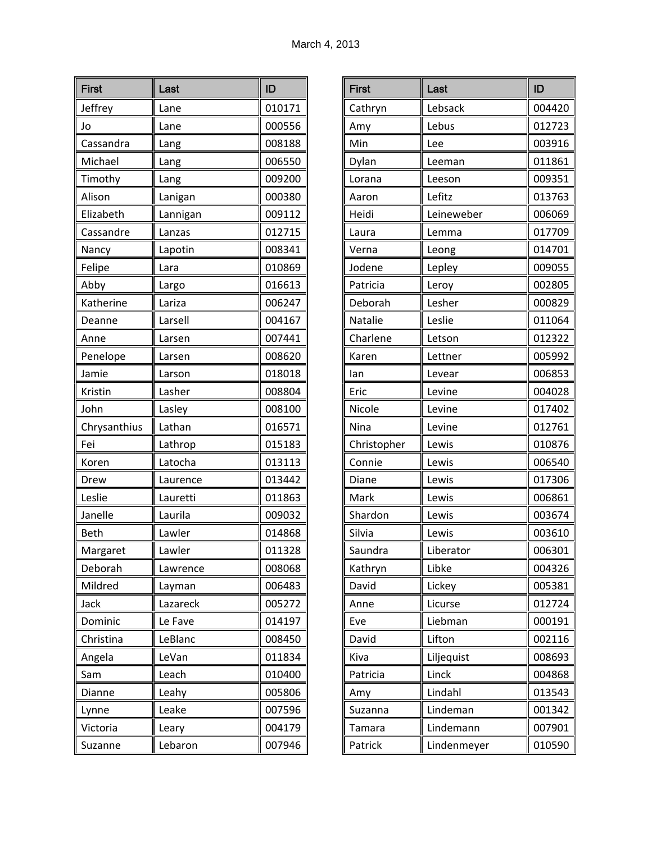| <b>First</b> | Last     | ID     |
|--------------|----------|--------|
| Jeffrey      | Lane     | 010171 |
| Jo           | Lane     | 000556 |
| Cassandra    | Lang     | 008188 |
| Michael      | Lang     | 006550 |
| Timothy      | Lang     | 009200 |
| Alison       | Lanigan  | 000380 |
| Elizabeth    | Lannigan | 009112 |
| Cassandre    | Lanzas   | 012715 |
| Nancy        | Lapotin  | 008341 |
| Felipe       | Lara     | 010869 |
| Abby         | Largo    | 016613 |
| Katherine    | Lariza   | 006247 |
| Deanne       | Larsell  | 004167 |
| Anne         | Larsen   | 007441 |
| Penelope     | Larsen   | 008620 |
| Jamie        | Larson   | 018018 |
| Kristin      | Lasher   | 008804 |
| John         | Lasley   | 008100 |
| Chrysanthius | Lathan   | 016571 |
| Fei          | Lathrop  | 015183 |
| Koren        | Latocha  | 013113 |
| Drew         | Laurence | 013442 |
| Leslie       | Lauretti | 011863 |
| Janelle      | Laurila  | 009032 |
| <b>Beth</b>  | Lawler   | 014868 |
| Margaret     | Lawler   | 011328 |
| Deborah      | Lawrence | 008068 |
| Mildred      | Layman   | 006483 |
| Jack         | Lazareck | 005272 |
| Dominic      | Le Fave  | 014197 |
| Christina    | LeBlanc  | 008450 |
| Angela       | LeVan    | 011834 |
| Sam          | Leach    | 010400 |
| Dianne       | Leahy    | 005806 |
| Lynne        | Leake    | 007596 |
| Victoria     | Leary    | 004179 |
| Suzanne      | Lebaron  | 007946 |

| <b>First</b> | Last        | ID     |
|--------------|-------------|--------|
| Cathryn      | Lebsack     | 004420 |
| Amy          | Lebus       | 012723 |
| Min          | Lee         | 003916 |
| Dylan        | Leeman      | 011861 |
| Lorana       | Leeson      | 009351 |
| Aaron        | Lefitz      | 013763 |
| Heidi        | Leineweber  | 006069 |
| Laura        | Lemma       | 017709 |
| Verna        | Leong       | 014701 |
| Jodene       | Lepley      | 009055 |
| Patricia     | Leroy       | 002805 |
| Deborah      | Lesher      | 000829 |
| Natalie      | Leslie      | 011064 |
| Charlene     | Letson      | 012322 |
| Karen        | Lettner     | 005992 |
| lan          | Levear      | 006853 |
| Eric         | Levine      | 004028 |
| Nicole       | Levine      | 017402 |
| Nina         | Levine      | 012761 |
| Christopher  | Lewis       | 010876 |
| Connie       | Lewis       | 006540 |
| Diane        | Lewis       | 017306 |
| Mark         | Lewis       | 006861 |
| Shardon      | Lewis       | 003674 |
| Silvia       | Lewis       | 003610 |
| Saundra      | Liberator   | 006301 |
| Kathryn      | Libke       | 004326 |
| David        | Lickey      | 005381 |
| Anne         | Licurse     | 012724 |
| Eve          | Liebman     | 000191 |
| David        | Lifton      | 002116 |
| Kiva         | Liljequist  | 008693 |
| Patricia     | Linck       | 004868 |
| Amy          | Lindahl     | 013543 |
| Suzanna      | Lindeman    | 001342 |
| Tamara       | Lindemann   | 007901 |
| Patrick      | Lindenmeyer | 010590 |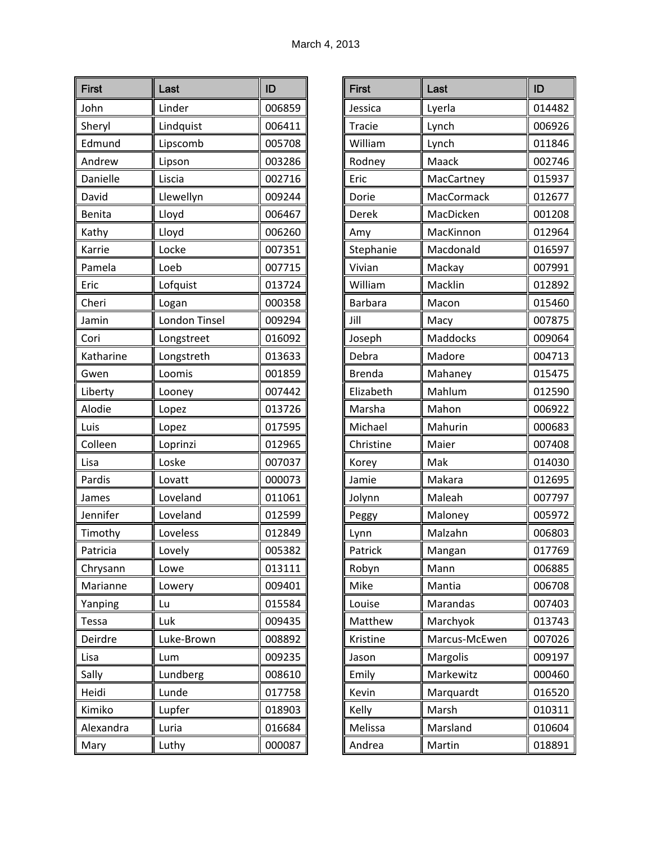| <b>First</b> | Last          | ID     |
|--------------|---------------|--------|
| John         | Linder        | 006859 |
| Sheryl       | Lindquist     | 006411 |
| Edmund       | Lipscomb      | 005708 |
| Andrew       | Lipson        | 003286 |
| Danielle     | Liscia        | 002716 |
| David        | Llewellyn     | 009244 |
| Benita       | Lloyd         | 006467 |
| Kathy        | Lloyd         | 006260 |
| Karrie       | Locke         | 007351 |
| Pamela       | Loeb          | 007715 |
| Eric         | Lofquist      | 013724 |
| Cheri        | Logan         | 000358 |
| Jamin        | London Tinsel | 009294 |
| Cori         | Longstreet    | 016092 |
| Katharine    | Longstreth    | 013633 |
| Gwen         | Loomis        | 001859 |
| Liberty      | Looney        | 007442 |
| Alodie       | Lopez         | 013726 |
| Luis         | Lopez         | 017595 |
| Colleen      | Loprinzi      | 012965 |
| Lisa         | Loske         | 007037 |
| Pardis       | Lovatt        | 000073 |
| James        | Loveland      | 011061 |
| Jennifer     | Loveland      | 012599 |
| Timothy      | Loveless      | 012849 |
| Patricia     | Lovelv        | 005382 |
| Chrysann     | Lowe          | 013111 |
| Marianne     | Lowery        | 009401 |
| Yanping      | Lu            | 015584 |
| Tessa        | Luk           | 009435 |
| Deirdre      | Luke-Brown    | 008892 |
| Lisa         | Lum           | 009235 |
| Sally        | Lundberg      | 008610 |
| Heidi        | Lunde         | 017758 |
| Kimiko       | Lupfer        | 018903 |
| Alexandra    | Luria         | 016684 |
| Mary         | Luthy         | 000087 |

| <b>First</b>   | Last          | ID     |
|----------------|---------------|--------|
| Jessica        | Lyerla        | 014482 |
| <b>Tracie</b>  | Lynch         | 006926 |
| William        | Lynch         | 011846 |
| Rodney         | Maack         | 002746 |
| Eric           | MacCartney    | 015937 |
| Dorie          | MacCormack    | 012677 |
| Derek          | MacDicken     | 001208 |
| Amy            | MacKinnon     | 012964 |
| Stephanie      | Macdonald     | 016597 |
| Vivian         | Mackay        | 007991 |
| William        | Macklin       | 012892 |
| <b>Barbara</b> | Macon         | 015460 |
| Jill           | Macy          | 007875 |
| Joseph         | Maddocks      | 009064 |
| Debra          | Madore        | 004713 |
| <b>Brenda</b>  | Mahaney       | 015475 |
| Elizabeth      | Mahlum        | 012590 |
| Marsha         | Mahon         | 006922 |
| Michael        | Mahurin       | 000683 |
| Christine      | Maier         | 007408 |
| Korey          | Mak           | 014030 |
| Jamie          | Makara        | 012695 |
| Jolynn         | Maleah        | 007797 |
| Peggy          | Maloney       | 005972 |
| Lynn           | Malzahn       | 006803 |
| Patrick        | Mangan        | 017769 |
| Robyn          | Mann          | 006885 |
| Mike           | Mantia        | 006708 |
| Louise         | Marandas      | 007403 |
| Matthew        | Marchyok      | 013743 |
| Kristine       | Marcus-McEwen | 007026 |
| Jason          | Margolis      | 009197 |
| Emily          | Markewitz     | 000460 |
| Kevin          | Marquardt     | 016520 |
| Kelly          | Marsh         | 010311 |
| Melissa        | Marsland      | 010604 |
| Andrea         | Martin        | 018891 |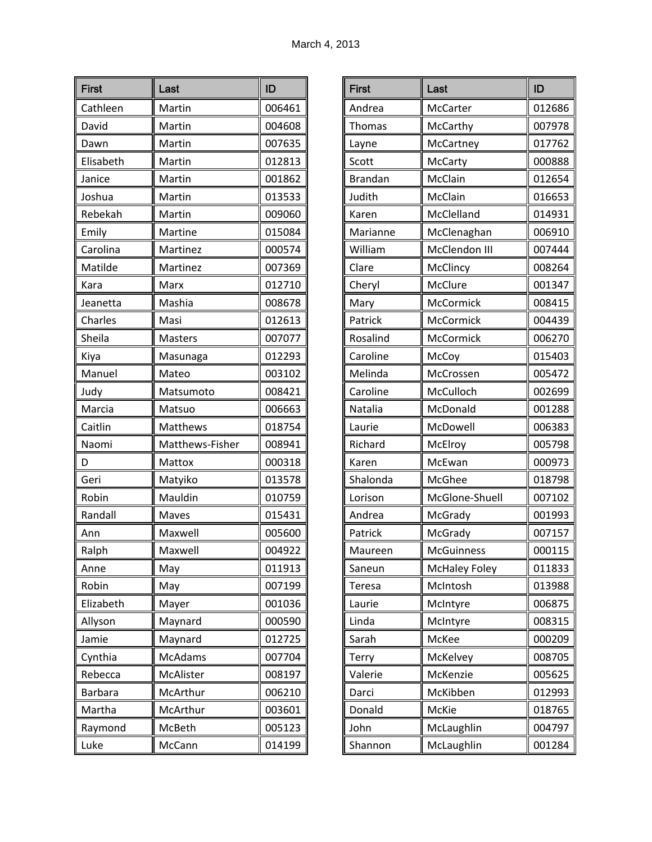| <b>First</b>   | Last            | ID     |
|----------------|-----------------|--------|
| Cathleen       | Martin          | 006461 |
| David          | Martin          | 004608 |
| Dawn           | Martin          | 007635 |
| Elisabeth      | Martin          | 012813 |
| Janice         | Martin          | 001862 |
| Joshua         | Martin          | 013533 |
| Rebekah        | Martin          | 009060 |
| Emily          | Martine         | 015084 |
| Carolina       | Martinez        | 000574 |
| Matilde        | Martinez        | 007369 |
| Kara           | Marx            | 012710 |
| Jeanetta       | Mashia          | 008678 |
| Charles        | Masi            | 012613 |
| Sheila         | <b>Masters</b>  | 007077 |
| Kiya           | Masunaga        | 012293 |
| Manuel         | Mateo           | 003102 |
| Judy           | Matsumoto       | 008421 |
| Marcia         | Matsuo          | 006663 |
| Caitlin        | Matthews        | 018754 |
| Naomi          | Matthews-Fisher | 008941 |
| D              | Mattox          | 000318 |
| Geri           | Matyiko         | 013578 |
| Robin          | Mauldin         | 010759 |
| Randall        | Maves           | 015431 |
| Ann            | Maxwell         | 005600 |
| Ralph          | Maxwell         | 004922 |
| Anne           | May             | 011913 |
| Robin          | May             | 007199 |
| Elizabeth      | Mayer           | 001036 |
| Allyson        | Maynard         | 000590 |
| Jamie          | Maynard         | 012725 |
| Cynthia        | <b>McAdams</b>  | 007704 |
| Rebecca        | McAlister       | 008197 |
| <b>Barbara</b> | McArthur        | 006210 |
| Martha         | McArthur        | 003601 |
| Raymond        | McBeth          | 005123 |
| Luke           | McCann          | 014199 |

| <b>First</b>   | Last                 | ID     |
|----------------|----------------------|--------|
| Andrea         | McCarter             | 012686 |
| <b>Thomas</b>  | McCarthy             | 007978 |
| Layne          | McCartney            | 017762 |
| Scott          | McCarty              | 000888 |
| <b>Brandan</b> | McClain              | 012654 |
| Judith         | McClain              | 016653 |
| Karen          | McClelland           | 014931 |
| Marianne       | McClenaghan          | 006910 |
| William        | McClendon III        | 007444 |
| Clare          | McClincy             | 008264 |
| Cheryl         | McClure              | 001347 |
| Mary           | McCormick            | 008415 |
| Patrick        | McCormick            | 004439 |
| Rosalind       | McCormick            | 006270 |
| Caroline       | McCoy                | 015403 |
| Melinda        | McCrossen            | 005472 |
| Caroline       | McCulloch            | 002699 |
| Natalia        | McDonald             | 001288 |
| Laurie         | McDowell             | 006383 |
| Richard        | McElroy              | 005798 |
| Karen          | McEwan               | 000973 |
| Shalonda       | McGhee               | 018798 |
| Lorison        | McGlone-Shuell       | 007102 |
| Andrea         | McGrady              | 001993 |
| Patrick        | McGrady              | 007157 |
| Maureen        | McGuinness           | 000115 |
| Saneun         | <b>McHaley Foley</b> | 011833 |
| Teresa         | McIntosh             | 013988 |
| Laurie         | McIntyre             | 006875 |
| Linda          | McIntyre             | 008315 |
| Sarah          | McKee                | 000209 |
| Terry          | McKelvey             | 008705 |
| Valerie        | McKenzie             | 005625 |
| Darci          | McKibben             | 012993 |
| Donald         | McKie                | 018765 |
| John           | McLaughlin           | 004797 |
| Shannon        | McLaughlin           | 001284 |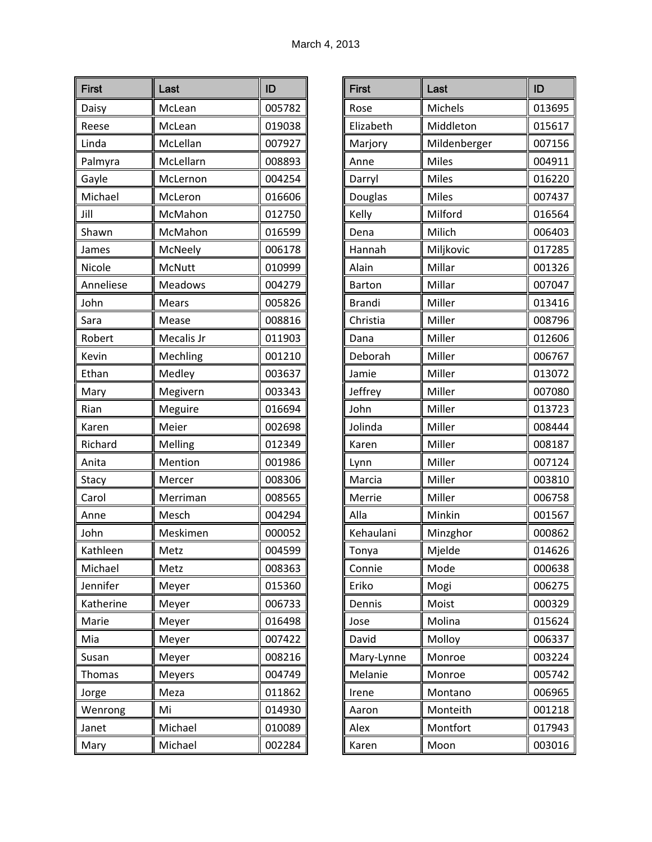| <b>First</b> | Last           | ID     |
|--------------|----------------|--------|
| Daisy        | McLean         | 005782 |
| Reese        | McLean         | 019038 |
| Linda        | McLellan       | 007927 |
| Palmyra      | McLellarn      | 008893 |
| Gayle        | McLernon       | 004254 |
| Michael      | McLeron        | 016606 |
| Jill         | McMahon        | 012750 |
| Shawn        | McMahon        | 016599 |
| James        | McNeely        | 006178 |
| Nicole       | McNutt         | 010999 |
| Anneliese    | <b>Meadows</b> | 004279 |
| John         | <b>Mears</b>   | 005826 |
| Sara         | Mease          | 008816 |
| Robert       | Mecalis Jr     | 011903 |
| Kevin        | Mechling       | 001210 |
| Ethan        | Medley         | 003637 |
| Mary         | Megivern       | 003343 |
| Rian         | Meguire        | 016694 |
| Karen        | Meier          | 002698 |
| Richard      | Melling        | 012349 |
| Anita        | Mention        | 001986 |
| Stacy        | Mercer         | 008306 |
| Carol        | Merriman       | 008565 |
| Anne         | Mesch          | 004294 |
| John         | Meskimen       | 000052 |
| Kathleen     | Metz           | 004599 |
| Michael      | Metz           | 008363 |
| Jennifer     | Meyer          | 015360 |
| Katherine    | Meyer          | 006733 |
| Marie        | Meyer          | 016498 |
| Mia          | Meyer          | 007422 |
| Susan        | Meyer          | 008216 |
| Thomas       | Meyers         | 004749 |
| Jorge        | Meza           | 011862 |
| Wenrong      | Mi             | 014930 |
| Janet        | Michael        | 010089 |
| Mary         | Michael        | 002284 |

| <b>First</b>  | Last         | ID     |
|---------------|--------------|--------|
| Rose          | Michels      | 013695 |
| Elizabeth     | Middleton    | 015617 |
| Marjory       | Mildenberger | 007156 |
| Anne          | Miles        | 004911 |
| Darryl        | <b>Miles</b> | 016220 |
| Douglas       | <b>Miles</b> | 007437 |
| Kelly         | Milford      | 016564 |
| Dena          | Milich       | 006403 |
| Hannah        | Miljkovic    | 017285 |
| Alain         | Millar       | 001326 |
| <b>Barton</b> | Millar       | 007047 |
| <b>Brandi</b> | Miller       | 013416 |
| Christia      | Miller       | 008796 |
| Dana          | Miller       | 012606 |
| Deborah       | Miller       | 006767 |
| Jamie         | Miller       | 013072 |
| Jeffrey       | Miller       | 007080 |
| John          | Miller       | 013723 |
| Jolinda       | Miller       | 008444 |
| Karen         | Miller       | 008187 |
| Lynn          | Miller       | 007124 |
| Marcia        | Miller       | 003810 |
| Merrie        | Miller       | 006758 |
| Alla          | Minkin       | 001567 |
| Kehaulani     | Minzghor     | 000862 |
| Tonya         | Mjelde       | 014626 |
| Connie        | Mode         | 000638 |
| Eriko         | Mogi         | 006275 |
| Dennis        | Moist        | 000329 |
| Jose          | Molina       | 015624 |
| David         | Molloy       | 006337 |
| Mary-Lynne    | Monroe       | 003224 |
| Melanie       | Monroe       | 005742 |
| Irene         | Montano      | 006965 |
| Aaron         | Monteith     | 001218 |
| Alex          | Montfort     | 017943 |
| Karen         | Moon         | 003016 |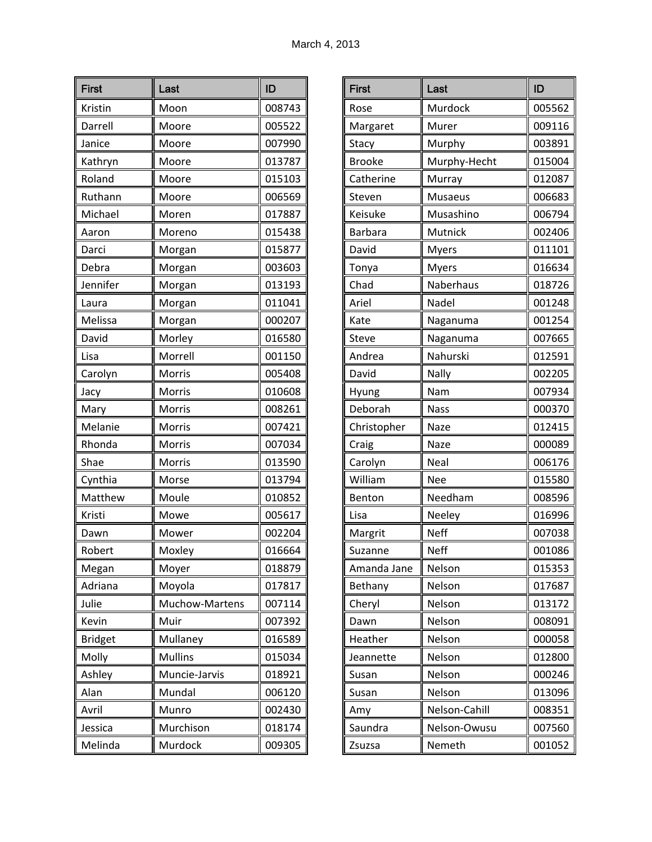| <b>First</b>   | Last           | ID     |
|----------------|----------------|--------|
| Kristin        | Moon           | 008743 |
| Darrell        | Moore          | 005522 |
| Janice         | Moore          | 007990 |
| Kathryn        | Moore          | 013787 |
| Roland         | Moore          | 015103 |
| Ruthann        | Moore          | 006569 |
| Michael        | Moren          | 017887 |
| Aaron          | Moreno         | 015438 |
| Darci          | Morgan         | 015877 |
| Debra          | Morgan         | 003603 |
| Jennifer       | Morgan         | 013193 |
| Laura          | Morgan         | 011041 |
| Melissa        | Morgan         | 000207 |
| David          | Morley         | 016580 |
| Lisa           | Morrell        | 001150 |
| Carolyn        | Morris         | 005408 |
| Jacy           | Morris         | 010608 |
| Mary           | Morris         | 008261 |
| Melanie        | Morris         | 007421 |
| Rhonda         | Morris         | 007034 |
| Shae           | Morris         | 013590 |
| Cynthia        | Morse          | 013794 |
| Matthew        | Moule          | 010852 |
| Kristi         | Mowe           | 005617 |
| Dawn           | Mower          | 002204 |
| Robert         | Moxley         | 016664 |
| Megan          | Moyer          | 018879 |
| Adriana        | Moyola         | 017817 |
| Julie          | Muchow-Martens | 007114 |
| Kevin          | Muir           | 007392 |
| <b>Bridget</b> | Mullaney       | 016589 |
| Molly          | <b>Mullins</b> | 015034 |
| Ashley         | Muncie-Jarvis  | 018921 |
| Alan           | Mundal         | 006120 |
| Avril          | Munro          | 002430 |
| Jessica        | Murchison      | 018174 |
| Melinda        | Murdock        | 009305 |

| <b>First</b>  | Last          | ID     |
|---------------|---------------|--------|
| Rose          | Murdock       | 005562 |
| Margaret      | Murer         | 009116 |
| Stacy         | Murphy        | 003891 |
| <b>Brooke</b> | Murphy-Hecht  | 015004 |
| Catherine     | Murray        | 012087 |
| Steven        | Musaeus       | 006683 |
| Keisuke       | Musashino     | 006794 |
| Barbara       | Mutnick       | 002406 |
| David         | <b>Myers</b>  | 011101 |
| Tonya         | <b>Myers</b>  | 016634 |
| Chad          | Naberhaus     | 018726 |
| Ariel         | Nadel         | 001248 |
| Kate          | Naganuma      | 001254 |
| <b>Steve</b>  | Naganuma      | 007665 |
| Andrea        | Nahurski      | 012591 |
| David         | Nally         | 002205 |
| Hyung         | Nam           | 007934 |
| Deborah       | <b>Nass</b>   | 000370 |
| Christopher   | Naze          | 012415 |
| Craig         | Naze          | 000089 |
| Carolyn       | Neal          | 006176 |
| William       | Nee           | 015580 |
| Benton        | Needham       | 008596 |
| Lisa          | Neeley        | 016996 |
| Margrit       | <b>Neff</b>   | 007038 |
| Suzanne       | Neff          | 001086 |
| Amanda Jane   | Nelson        | 015353 |
| Bethany       | Nelson        | 017687 |
| Cheryl        | Nelson        | 013172 |
| Dawn          | Nelson        | 008091 |
| Heather       | Nelson        | 000058 |
| Jeannette     | Nelson        | 012800 |
| Susan         | Nelson        | 000246 |
| Susan         | Nelson        | 013096 |
| Amy           | Nelson-Cahill | 008351 |
| Saundra       | Nelson-Owusu  | 007560 |
| Zsuzsa        | Nemeth        | 001052 |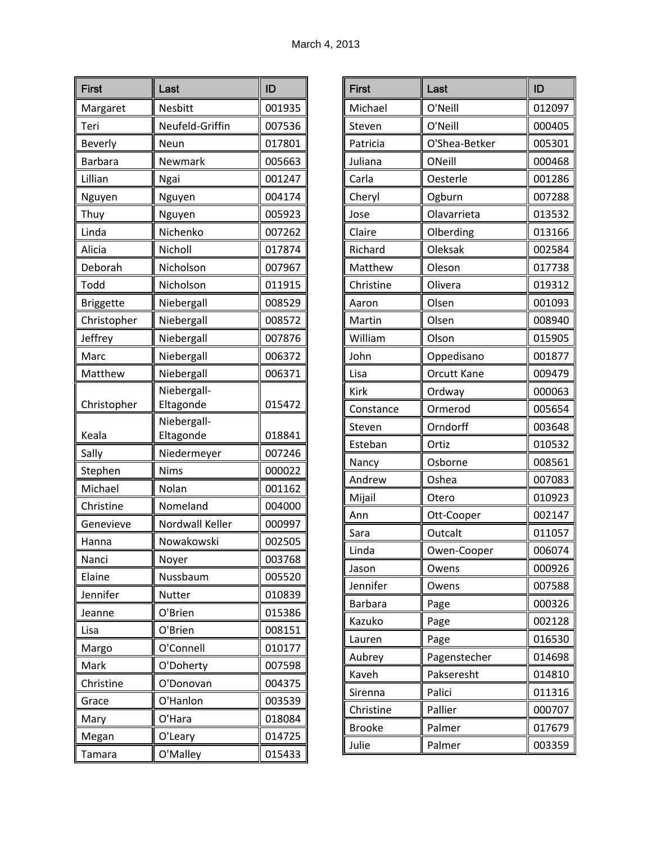| <b>First</b>     | Last            | ID     |
|------------------|-----------------|--------|
| Margaret         | Nesbitt         | 001935 |
| Teri             | Neufeld-Griffin | 007536 |
| <b>Beverly</b>   | Neun            | 017801 |
| Barbara          | Newmark         | 005663 |
| Lillian          | Ngai            | 001247 |
| Nguyen           | Nguyen          | 004174 |
| Thuy             | Nguyen          | 005923 |
| Linda            | Nichenko        | 007262 |
| Alicia           | Nicholl         | 017874 |
| Deborah          | Nicholson       | 007967 |
| Todd             | Nicholson       | 011915 |
| <b>Briggette</b> | Niebergall      | 008529 |
| Christopher      | Niebergall      | 008572 |
| Jeffrey          | Niebergall      | 007876 |
| Marc             | Niebergall      | 006372 |
| Matthew          | Niebergall      | 006371 |
|                  | Niebergall-     |        |
| Christopher      | Eltagonde       | 015472 |
|                  | Niebergall-     |        |
| Keala            | Eltagonde       | 018841 |
| Sally            | Niedermeyer     | 007246 |
| Stephen          | <b>Nims</b>     | 000022 |
| Michael          | Nolan           | 001162 |
| Christine        | Nomeland        | 004000 |
| Genevieve        | Nordwall Keller | 000997 |
| Hanna            | Nowakowski      | 002505 |
| Nanci            | Noyer           | 003768 |
| Elaine           | Nussbaum        | 005520 |
| Jennifer         | Nutter          | 010839 |
| Jeanne           | O'Brien         | 015386 |
| Lisa             | O'Brien         | 008151 |
| Margo            | O'Connell       | 010177 |
| Mark             | O'Doherty       | 007598 |
| Christine        | O'Donovan       | 004375 |
| Grace            | O'Hanlon        | 003539 |
| Mary             | O'Hara          | 018084 |
| Megan            | O'Leary         | 014725 |
| Tamara           | O'Malley        | 015433 |

| <b>First</b>  | Last               | ID     |
|---------------|--------------------|--------|
| Michael       | O'Neill            | 012097 |
| Steven        | O'Neill            | 000405 |
| Patricia      | O'Shea-Betker      | 005301 |
| Juliana       | ONeill             | 000468 |
| Carla         | Oesterle           | 001286 |
| Cheryl        | Ogburn             | 007288 |
| Jose          | Olavarrieta        | 013532 |
| Claire        | Olberding          | 013166 |
| Richard       | Oleksak            | 002584 |
| Matthew       | Oleson             | 017738 |
| Christine     | Olivera            | 019312 |
| Aaron         | Olsen              | 001093 |
| Martin        | Olsen              | 008940 |
| William       | Olson              | 015905 |
| John          | Oppedisano         | 001877 |
| Lisa          | <b>Orcutt Kane</b> | 009479 |
| Kirk          | Ordway             | 000063 |
| Constance     | Ormerod            | 005654 |
| Steven        | Orndorff           | 003648 |
| Esteban       | Ortiz              | 010532 |
| Nancy         | Osborne            | 008561 |
| Andrew        | Oshea              | 007083 |
| Mijail        | Otero              | 010923 |
| Ann           | Ott-Cooper         | 002147 |
| Sara          | Outcalt            | 011057 |
| Linda         | Owen-Cooper        | 006074 |
| Jason         | Owens              | 000926 |
| Jennifer      | Owens              | 007588 |
| Barbara       | Page               | 000326 |
| Kazuko        | Page               | 002128 |
| Lauren        | Page               | 016530 |
| Aubrey        | Pagenstecher       | 014698 |
| Kaveh         | Pakseresht         | 014810 |
| Sirenna       | Palici             | 011316 |
| Christine     | Pallier            | 000707 |
| <b>Brooke</b> | Palmer             | 017679 |
| Julie         | Palmer             | 003359 |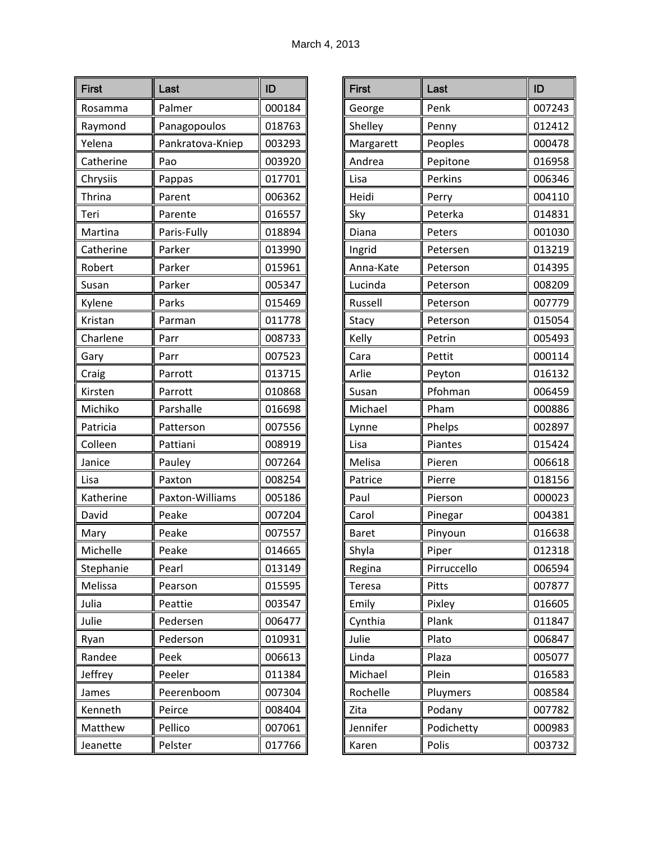| <b>First</b> | Last             | ID     |
|--------------|------------------|--------|
| Rosamma      | Palmer           | 000184 |
| Raymond      | Panagopoulos     | 018763 |
| Yelena       | Pankratova-Kniep | 003293 |
| Catherine    | Pao              | 003920 |
| Chrysiis     | Pappas           | 017701 |
| Thrina       | Parent           | 006362 |
| Teri         | Parente          | 016557 |
| Martina      | Paris-Fully      | 018894 |
| Catherine    | Parker           | 013990 |
| Robert       | Parker           | 015961 |
| Susan        | Parker           | 005347 |
| Kylene       | Parks            | 015469 |
| Kristan      | Parman           | 011778 |
| Charlene     | Parr             | 008733 |
| Gary         | Parr             | 007523 |
| Craig        | Parrott          | 013715 |
| Kirsten      | Parrott          | 010868 |
| Michiko      | Parshalle        | 016698 |
| Patricia     | Patterson        | 007556 |
| Colleen      | Pattiani         | 008919 |
| Janice       | Pauley           | 007264 |
| Lisa         | Paxton           | 008254 |
| Katherine    | Paxton-Williams  | 005186 |
| David        | Peake            | 007204 |
| Mary         | Peake            | 007557 |
| Michelle     | Peake            | 014665 |
| Stephanie    | Pearl            | 013149 |
| Melissa      | Pearson          | 015595 |
| Julia        | Peattie          | 003547 |
| Julie        | Pedersen         | 006477 |
| Ryan         | Pederson         | 010931 |
| Randee       | Peek             | 006613 |
| Jeffrey      | Peeler           | 011384 |
| James        | Peerenboom       | 007304 |
| Kenneth      | Peirce           | 008404 |
| Matthew      | Pellico          | 007061 |
| Jeanette     | Pelster          | 017766 |

| <b>First</b>  | Last        | ID     |
|---------------|-------------|--------|
| George        | Penk        | 007243 |
| Shelley       | Penny       | 012412 |
| Margarett     | Peoples     | 000478 |
| Andrea        | Pepitone    | 016958 |
| Lisa          | Perkins     | 006346 |
| Heidi         | Perry       | 004110 |
| Sky           | Peterka     | 014831 |
| Diana         | Peters      | 001030 |
| Ingrid        | Petersen    | 013219 |
| Anna-Kate     | Peterson    | 014395 |
| Lucinda       | Peterson    | 008209 |
| Russell       | Peterson    | 007779 |
| Stacy         | Peterson    | 015054 |
| Kelly         | Petrin      | 005493 |
| Cara          | Pettit      | 000114 |
| Arlie         | Peyton      | 016132 |
| Susan         | Pfohman     | 006459 |
| Michael       | Pham        | 000886 |
| Lynne         | Phelps      | 002897 |
| Lisa          | Piantes     | 015424 |
| Melisa        | Pieren      | 006618 |
| Patrice       | Pierre      | 018156 |
| Paul          | Pierson     | 000023 |
| Carol         | Pinegar     | 004381 |
| <b>Baret</b>  | Pinyoun     | 016638 |
| Shyla         | Piper       | 012318 |
| Regina        | Pirruccello | 006594 |
| <b>Teresa</b> | Pitts       | 007877 |
| Emily         | Pixley      | 016605 |
| Cynthia       | Plank       | 011847 |
| Julie         | Plato       | 006847 |
| Linda         | Plaza       | 005077 |
| Michael       | Plein       | 016583 |
| Rochelle      | Pluymers    | 008584 |
| Zita          | Podany      | 007782 |
| Jennifer      | Podichetty  | 000983 |
| Karen         | Polis       | 003732 |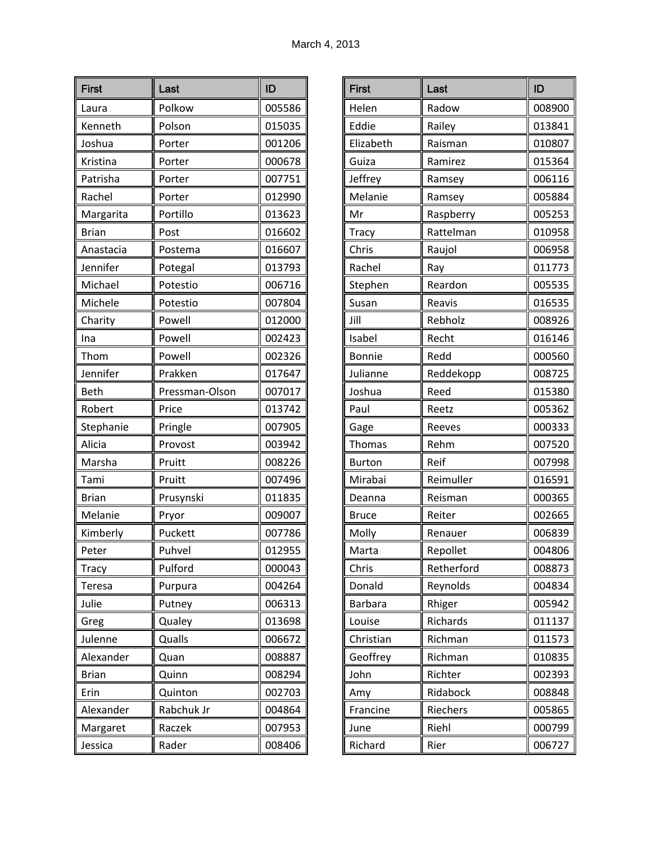| <b>First</b>  | Last           | ID     |
|---------------|----------------|--------|
| Laura         | Polkow         | 005586 |
| Kenneth       | Polson         | 015035 |
| Joshua        | Porter         | 001206 |
| Kristina      | Porter         | 000678 |
| Patrisha      | Porter         | 007751 |
| Rachel        | Porter         | 012990 |
| Margarita     | Portillo       | 013623 |
| <b>Brian</b>  | Post           | 016602 |
| Anastacia     | Postema        | 016607 |
| Jennifer      | Potegal        | 013793 |
| Michael       | Potestio       | 006716 |
| Michele       | Potestio       | 007804 |
| Charity       | Powell         | 012000 |
| Ina           | Powell         | 002423 |
| Thom          | Powell         | 002326 |
| Jennifer      | Prakken        | 017647 |
| <b>Beth</b>   | Pressman-Olson | 007017 |
| Robert        | Price          | 013742 |
| Stephanie     | Pringle        | 007905 |
| Alicia        | Provost        | 003942 |
| Marsha        | Pruitt         | 008226 |
| Tami          | Pruitt         | 007496 |
| <b>Brian</b>  | Prusynski      | 011835 |
| Melanie       | Pryor          | 009007 |
| Kimberly      | Puckett        | 007786 |
| Peter         | Puhvel         | 012955 |
| <b>Tracy</b>  | Pulford        | 000043 |
| <b>Teresa</b> | Purpura        | 004264 |
| Julie         | Putney         | 006313 |
| Greg          | Qualey         | 013698 |
| Julenne       | Qualls         | 006672 |
| Alexander     | Quan           | 008887 |
| <b>Brian</b>  | Quinn          | 008294 |
| Erin          | Quinton        | 002703 |
| Alexander     | Rabchuk Jr     | 004864 |
| Margaret      | Raczek         | 007953 |
| Jessica       | Rader          | 008406 |

| <b>First</b>  | Last       | ID     |
|---------------|------------|--------|
| Helen         | Radow      | 008900 |
| Eddie         | Railey     | 013841 |
| Elizabeth     | Raisman    | 010807 |
| Guiza         | Ramirez    | 015364 |
| Jeffrey       | Ramsey     | 006116 |
| Melanie       | Ramsey     | 005884 |
| Mr            | Raspberry  | 005253 |
| <b>Tracy</b>  | Rattelman  | 010958 |
| Chris         | Raujol     | 006958 |
| Rachel        | Ray        | 011773 |
| Stephen       | Reardon    | 005535 |
| Susan         | Reavis     | 016535 |
| Jill          | Rebholz    | 008926 |
| Isabel        | Recht      | 016146 |
| Bonnie        | Redd       | 000560 |
| Julianne      | Reddekopp  | 008725 |
| Joshua        | Reed       | 015380 |
| Paul          | Reetz      | 005362 |
| Gage          | Reeves     | 000333 |
| Thomas        | Rehm       | 007520 |
| <b>Burton</b> | Reif       | 007998 |
| Mirabai       | Reimuller  | 016591 |
| Deanna        | Reisman    | 000365 |
| <b>Bruce</b>  | Reiter     | 002665 |
| Molly         | Renauer    | 006839 |
| Marta         | Repollet   | 004806 |
| Chris         | Retherford | 008873 |
| Donald        | Reynolds   | 004834 |
| Barbara       | Rhiger     | 005942 |
| Louise        | Richards   | 011137 |
| Christian     | Richman    | 011573 |
| Geoffrey      | Richman    | 010835 |
| John          | Richter    | 002393 |
| Amy           | Ridabock   | 008848 |
| Francine      | Riechers   | 005865 |
| June          | Riehl      | 000799 |
| Richard       | Rier       | 006727 |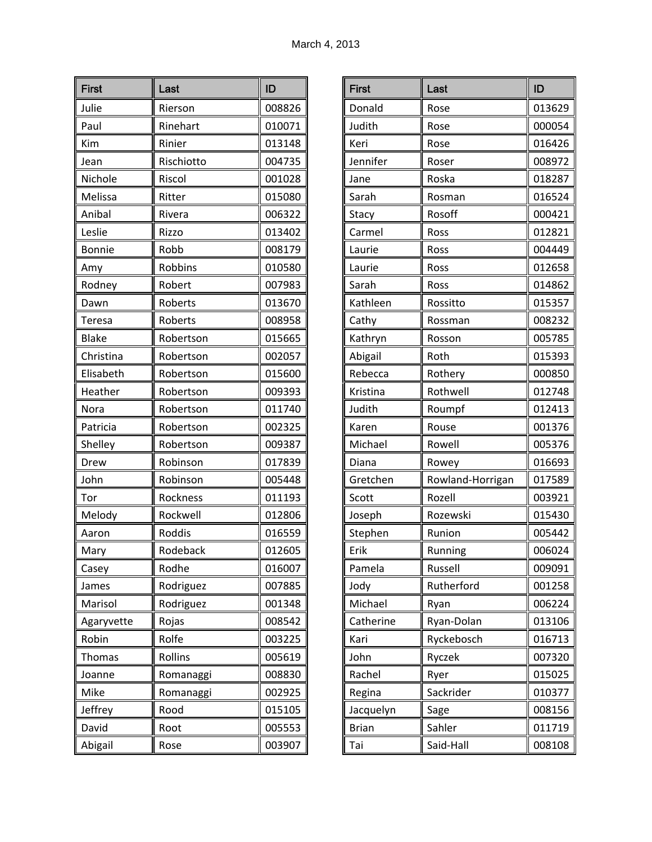| <b>First</b>  | Last       | ID     |
|---------------|------------|--------|
| Julie         | Rierson    | 008826 |
| Paul          | Rinehart   | 010071 |
| Kim           | Rinier     | 013148 |
| Jean          | Rischiotto | 004735 |
| Nichole       | Riscol     | 001028 |
| Melissa       | Ritter     | 015080 |
| Anibal        | Rivera     | 006322 |
| Leslie        | Rizzo      | 013402 |
| <b>Bonnie</b> | Robb       | 008179 |
| Amy           | Robbins    | 010580 |
| Rodney        | Robert     | 007983 |
| Dawn          | Roberts    | 013670 |
| <b>Teresa</b> | Roberts    | 008958 |
| <b>Blake</b>  | Robertson  | 015665 |
| Christina     | Robertson  | 002057 |
| Elisabeth     | Robertson  | 015600 |
| Heather       | Robertson  | 009393 |
| Nora          | Robertson  | 011740 |
| Patricia      | Robertson  | 002325 |
| Shelley       | Robertson  | 009387 |
| Drew          | Robinson   | 017839 |
| John          | Robinson   | 005448 |
| Tor           | Rockness   | 011193 |
| Melody        | Rockwell   | 012806 |
| Aaron         | Roddis     | 016559 |
| Mary          | Rodeback   | 012605 |
| Casey         | Rodhe      | 016007 |
| James         | Rodriguez  | 007885 |
| Marisol       | Rodriguez  | 001348 |
| Agaryvette    | Rojas      | 008542 |
| Robin         | Rolfe      | 003225 |
| Thomas        | Rollins    | 005619 |
| Joanne        | Romanaggi  | 008830 |
| Mike          | Romanaggi  | 002925 |
| Jeffrey       | Rood       | 015105 |
| David         | Root       | 005553 |
| Abigail       | Rose       | 003907 |

| <b>First</b> | Last             | ID     |
|--------------|------------------|--------|
| Donald       | Rose             | 013629 |
| Judith       | Rose             | 000054 |
| Keri         | Rose             | 016426 |
| Jennifer     | Roser            | 008972 |
| Jane         | Roska            | 018287 |
| Sarah        | Rosman           | 016524 |
| Stacy        | Rosoff           | 000421 |
| Carmel       | Ross             | 012821 |
| Laurie       | Ross             | 004449 |
| Laurie       | Ross             | 012658 |
| Sarah        | Ross             | 014862 |
| Kathleen     | Rossitto         | 015357 |
| Cathy        | Rossman          | 008232 |
| Kathryn      | Rosson           | 005785 |
| Abigail      | Roth             | 015393 |
| Rebecca      | Rothery          | 000850 |
| Kristina     | Rothwell         | 012748 |
| Judith       | Roumpf           | 012413 |
| Karen        | Rouse            | 001376 |
| Michael      | Rowell           | 005376 |
| Diana        | Rowey            | 016693 |
| Gretchen     | Rowland-Horrigan | 017589 |
| Scott        | Rozell           | 003921 |
| Joseph       | Rozewski         | 015430 |
| Stephen      | Runion           | 005442 |
| Frik         | Running          | 006024 |
| Pamela       | Russell          | 009091 |
| Jody         | Rutherford       | 001258 |
| Michael      | Ryan             | 006224 |
| Catherine    | Ryan-Dolan       | 013106 |
| Kari         | Ryckebosch       | 016713 |
| John         | Ryczek           | 007320 |
| Rachel       | Ryer             | 015025 |
| Regina       | Sackrider        | 010377 |
| Jacquelyn    | Sage             | 008156 |
| <b>Brian</b> | Sahler           | 011719 |
| Tai          | Said-Hall        | 008108 |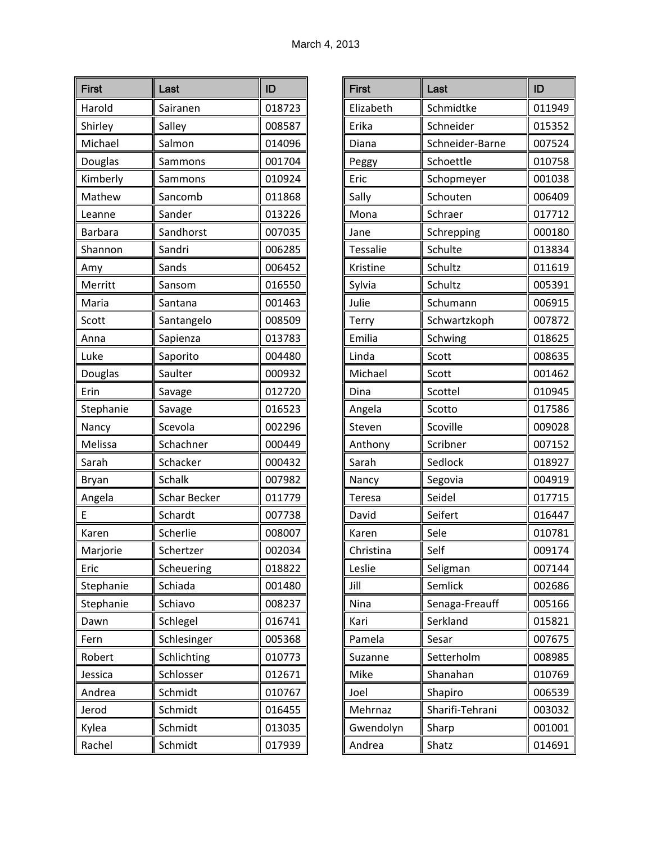| <b>First</b>   | Last                | ID     |
|----------------|---------------------|--------|
| Harold         | Sairanen            | 018723 |
| Shirley        | Salley              | 008587 |
| Michael        | Salmon              | 014096 |
| Douglas        | Sammons             | 001704 |
| Kimberly       | Sammons             | 010924 |
| Mathew         | Sancomb             | 011868 |
| Leanne         | Sander              | 013226 |
| <b>Barbara</b> | Sandhorst           | 007035 |
| Shannon        | Sandri              | 006285 |
| Amy            | Sands               | 006452 |
| Merritt        | Sansom              | 016550 |
| Maria          | Santana             | 001463 |
| Scott          | Santangelo          | 008509 |
| Anna           | Sapienza            | 013783 |
| Luke           | Saporito            | 004480 |
| Douglas        | Saulter             | 000932 |
| Erin           | Savage              | 012720 |
| Stephanie      | Savage              | 016523 |
| Nancy          | Scevola             | 002296 |
| Melissa        | Schachner           | 000449 |
| Sarah          | Schacker            | 000432 |
| Bryan          | <b>Schalk</b>       | 007982 |
| Angela         | <b>Schar Becker</b> | 011779 |
| E              | Schardt             | 007738 |
| Karen          | Scherlie            | 008007 |
| Marjorie       | Schertzer           | 002034 |
| Eric           | Scheuering          | 018822 |
| Stephanie      | Schiada             | 001480 |
| Stephanie      | Schiavo             | 008237 |
| Dawn           | Schlegel            | 016741 |
| Fern           | Schlesinger         | 005368 |
| Robert         | Schlichting         | 010773 |
| Jessica        | Schlosser           | 012671 |
| Andrea         | Schmidt             | 010767 |
| Jerod          | Schmidt             | 016455 |
| Kylea          | Schmidt             | 013035 |
| Rachel         | Schmidt             | 017939 |

| <b>First</b>    | Last            | ID     |
|-----------------|-----------------|--------|
| Elizabeth       | Schmidtke       | 011949 |
| Erika           | Schneider       | 015352 |
| Diana           | Schneider-Barne | 007524 |
| Peggy           | Schoettle       | 010758 |
| Eric            | Schopmeyer      | 001038 |
| Sally           | Schouten        | 006409 |
| Mona            | Schraer         | 017712 |
| Jane            | Schrepping      | 000180 |
| <b>Tessalie</b> | Schulte         | 013834 |
| Kristine        | Schultz         | 011619 |
| Sylvia          | Schultz         | 005391 |
| Julie           | Schumann        | 006915 |
| Terry           | Schwartzkoph    | 007872 |
| Emilia          | Schwing         | 018625 |
| Linda           | Scott           | 008635 |
| Michael         | Scott           | 001462 |
| Dina            | Scottel         | 010945 |
| Angela          | Scotto          | 017586 |
| Steven          | Scoville        | 009028 |
| Anthony         | Scribner        | 007152 |
| Sarah           | Sedlock         | 018927 |
| Nancy           | Segovia         | 004919 |
| <b>Teresa</b>   | Seidel          | 017715 |
| David           | Seifert         | 016447 |
| Karen           | Sele            | 010781 |
| Christina       | Self            | 009174 |
| Leslie          | Seligman        | 007144 |
| Jill            | Semlick         | 002686 |
| Nina            | Senaga-Freauff  | 005166 |
| Kari            | Serkland        | 015821 |
| Pamela          | Sesar           | 007675 |
| Suzanne         | Setterholm      | 008985 |
| Mike            | Shanahan        | 010769 |
| Joel            | Shapiro         | 006539 |
| Mehrnaz         | Sharifi-Tehrani | 003032 |
| Gwendolyn       | Sharp           | 001001 |
| Andrea          | Shatz           | 014691 |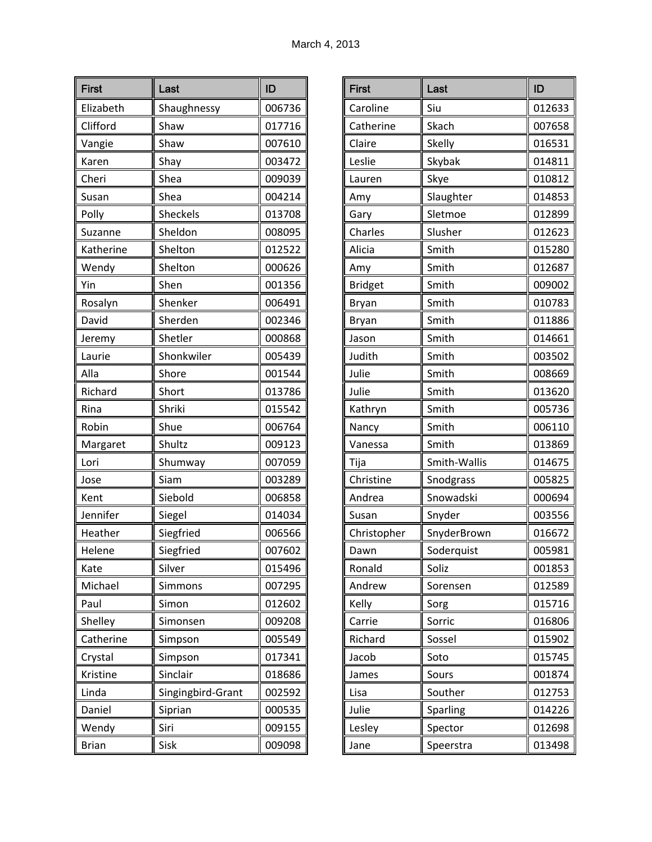| <b>First</b> | Last              | ID     |
|--------------|-------------------|--------|
| Elizabeth    | Shaughnessy       | 006736 |
| Clifford     | Shaw              | 017716 |
| Vangie       | Shaw              | 007610 |
| Karen        | Shay              | 003472 |
| Cheri        | Shea              | 009039 |
| Susan        | Shea              | 004214 |
| Polly        | Sheckels          | 013708 |
| Suzanne      | Sheldon           | 008095 |
| Katherine    | Shelton           | 012522 |
| Wendy        | Shelton           | 000626 |
| Yin          | Shen              | 001356 |
| Rosalyn      | Shenker           | 006491 |
| David        | Sherden           | 002346 |
| Jeremy       | Shetler           | 000868 |
| Laurie       | Shonkwiler        | 005439 |
| Alla         | Shore             | 001544 |
| Richard      | Short             | 013786 |
| Rina         | Shriki            | 015542 |
| Robin        | Shue              | 006764 |
| Margaret     | Shultz            | 009123 |
| Lori         | Shumway           | 007059 |
| Jose         | Siam              | 003289 |
| Kent         | Siebold           | 006858 |
| Jennifer     | Siegel            | 014034 |
| Heather      | Siegfried         | 006566 |
| Helene       | Siegfried         | 007602 |
| Kate         | Silver            | 015496 |
| Michael      | Simmons           | 007295 |
| Paul         | Simon             | 012602 |
| Shelley      | Simonsen          | 009208 |
| Catherine    | Simpson           | 005549 |
| Crystal      | Simpson           | 017341 |
| Kristine     | Sinclair          | 018686 |
| Linda        | Singingbird-Grant | 002592 |
| Daniel       | Siprian           | 000535 |
| Wendy        | Siri              | 009155 |
| <b>Brian</b> | Sisk              | 009098 |

| <b>First</b>   | Last         | ID     |
|----------------|--------------|--------|
| Caroline       | Siu          | 012633 |
| Catherine      | Skach        | 007658 |
| Claire         | Skelly       | 016531 |
| Leslie         | Skybak       | 014811 |
| Lauren         | Skye         | 010812 |
| Amy            | Slaughter    | 014853 |
| Gary           | Sletmoe      | 012899 |
| Charles        | Slusher      | 012623 |
| Alicia         | Smith        | 015280 |
| Amy            | Smith        | 012687 |
| <b>Bridget</b> | Smith        | 009002 |
| Bryan          | Smith        | 010783 |
| Bryan          | Smith        | 011886 |
| Jason          | Smith        | 014661 |
| Judith         | Smith        | 003502 |
| Julie          | Smith        | 008669 |
| Julie          | Smith        | 013620 |
| Kathryn        | Smith        | 005736 |
| Nancy          | Smith        | 006110 |
| Vanessa        | Smith        | 013869 |
| Tija           | Smith-Wallis | 014675 |
| Christine      | Snodgrass    | 005825 |
| Andrea         | Snowadski    | 000694 |
| Susan          | Snyder       | 003556 |
| Christopher    | SnyderBrown  | 016672 |
| Dawn           | Soderquist   | 005981 |
| Ronald         | Soliz        | 001853 |
| Andrew         | Sorensen     | 012589 |
| Kelly          | Sorg         | 015716 |
| Carrie         | Sorric       | 016806 |
| Richard        | Sossel       | 015902 |
| Jacob          | Soto         | 015745 |
| James          | Sours        | 001874 |
| Lisa           | Souther      | 012753 |
| Julie          | Sparling     | 014226 |
| Lesley         | Spector      | 012698 |
| Jane           | Speerstra    | 013498 |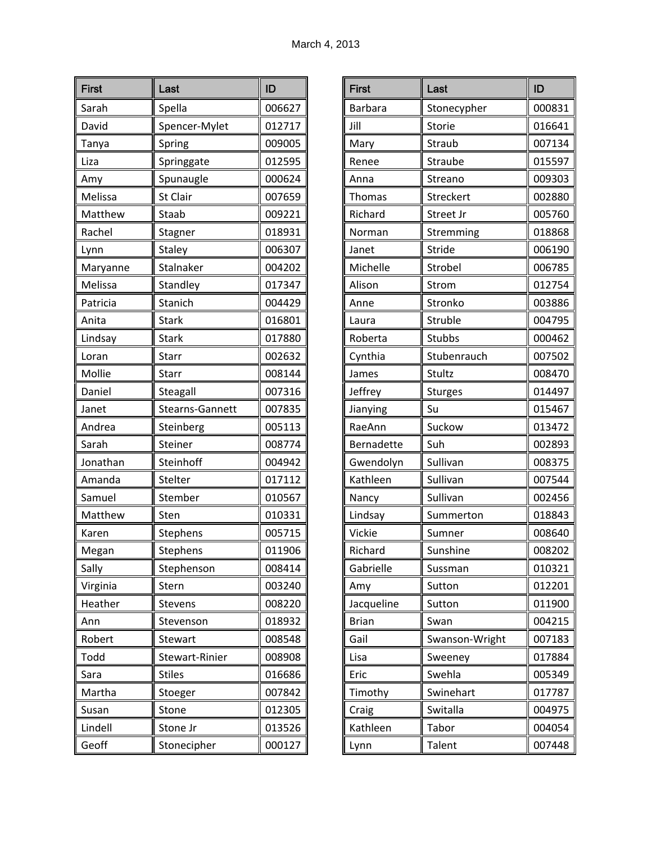| <b>First</b> | Last            | ID     |
|--------------|-----------------|--------|
| Sarah        | Spella          | 006627 |
| David        | Spencer-Mylet   | 012717 |
| Tanya        | Spring          | 009005 |
| Liza         | Springgate      | 012595 |
| Amy          | Spunaugle       | 000624 |
| Melissa      | St Clair        | 007659 |
| Matthew      | Staab           | 009221 |
| Rachel       | Stagner         | 018931 |
| Lynn         | <b>Staley</b>   | 006307 |
| Maryanne     | Stalnaker       | 004202 |
| Melissa      | Standley        | 017347 |
| Patricia     | Stanich         | 004429 |
| Anita        | <b>Stark</b>    | 016801 |
| Lindsay      | <b>Stark</b>    | 017880 |
| Loran        | Starr           | 002632 |
| Mollie       | Starr           | 008144 |
| Daniel       | Steagall        | 007316 |
| Janet        | Stearns-Gannett | 007835 |
| Andrea       | Steinberg       | 005113 |
| Sarah        | Steiner         | 008774 |
| Jonathan     | Steinhoff       | 004942 |
| Amanda       | Stelter         | 017112 |
| Samuel       | Stember         | 010567 |
| Matthew      | Sten            | 010331 |
| Karen        | Stephens        | 005715 |
| Megan        | Stephens        | 011906 |
| Sally        | Stephenson      | 008414 |
| Virginia     | Stern           | 003240 |
| Heather      | Stevens         | 008220 |
| Ann          | Stevenson       | 018932 |
| Robert       | Stewart         | 008548 |
| Todd         | Stewart-Rinier  | 008908 |
| Sara         | <b>Stiles</b>   | 016686 |
| Martha       | Stoeger         | 007842 |
| Susan        | Stone           | 012305 |
| Lindell      | Stone Jr        | 013526 |
| Geoff        | Stonecipher     | 000127 |

| <b>First</b>   | Last           | ID     |
|----------------|----------------|--------|
| <b>Barbara</b> | Stonecypher    | 000831 |
| Jill           | Storie         | 016641 |
| Mary           | Straub         | 007134 |
| Renee          | Straube        | 015597 |
| Anna           | Streano        | 009303 |
| Thomas         | Streckert      | 002880 |
| Richard        | Street Jr      | 005760 |
| Norman         | Stremming      | 018868 |
| Janet          | Stride         | 006190 |
| Michelle       | Strobel        | 006785 |
| Alison         | Strom          | 012754 |
| Anne           | Stronko        | 003886 |
| Laura          | Struble        | 004795 |
| Roberta        | Stubbs         | 000462 |
| Cynthia        | Stubenrauch    | 007502 |
| James          | Stultz         | 008470 |
| Jeffrey        | <b>Sturges</b> | 014497 |
| Jianying       | Su             | 015467 |
| RaeAnn         | Suckow         | 013472 |
| Bernadette     | Suh            | 002893 |
| Gwendolyn      | Sullivan       | 008375 |
| Kathleen       | Sullivan       | 007544 |
| Nancy          | Sullivan       | 002456 |
| Lindsay        | Summerton      | 018843 |
| Vickie         | Sumner         | 008640 |
| Richard        | Sunshine       | 008202 |
| Gabrielle      | Sussman        | 010321 |
| Amy            | Sutton         | 012201 |
| Jacqueline     | Sutton         | 011900 |
| <b>Brian</b>   | Swan           | 004215 |
| Gail           | Swanson-Wright | 007183 |
| Lisa           | Sweeney        | 017884 |
| Eric           | Swehla         | 005349 |
| Timothy        | Swinehart      | 017787 |
| Craig          | Switalla       | 004975 |
| Kathleen       | Tabor          | 004054 |
| Lynn           | <b>Talent</b>  | 007448 |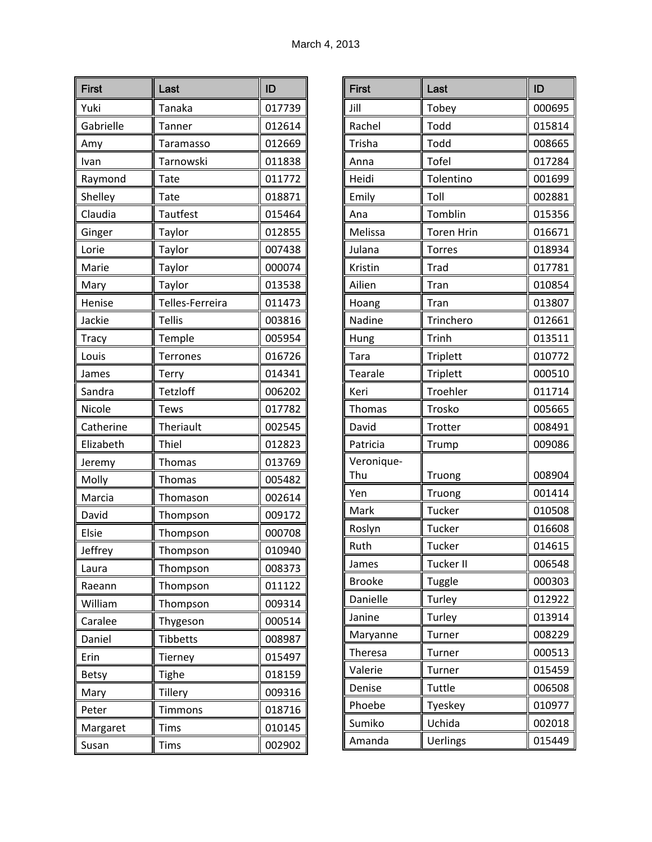| <b>First</b> | Last            | ID     |
|--------------|-----------------|--------|
| Yuki         | <b>Tanaka</b>   | 017739 |
| Gabrielle    | <b>Tanner</b>   | 012614 |
| Amy          | Taramasso       | 012669 |
| Ivan         | Tarnowski       | 011838 |
| Raymond      | Tate            | 011772 |
| Shelley      | Tate            | 018871 |
| Claudia      | <b>Tautfest</b> | 015464 |
| Ginger       | Taylor          | 012855 |
| Lorie        | Taylor          | 007438 |
| Marie        | Taylor          | 000074 |
| Mary         | Taylor          | 013538 |
| Henise       | Telles-Ferreira | 011473 |
| Jackie       | <b>Tellis</b>   | 003816 |
| Tracy        | Temple          | 005954 |
| Louis        | <b>Terrones</b> | 016726 |
| James        | Terry           | 014341 |
| Sandra       | Tetzloff        | 006202 |
| Nicole       | <b>Tews</b>     | 017782 |
| Catherine    | Theriault       | 002545 |
| Elizabeth    | Thiel           | 012823 |
| Jeremy       | Thomas          | 013769 |
| Molly        | <b>Thomas</b>   | 005482 |
| Marcia       | Thomason        | 002614 |
| David        | Thompson        | 009172 |
| Elsie        | Thompson        | 000708 |
| Jeffrey      | Thompson        | 010940 |
| Laura        | Thompson        | 008373 |
| Raeann       | Thompson        | 011122 |
| William      | Thompson        | 009314 |
| Caralee      | Thygeson        | 000514 |
| Daniel       | Tibbetts        | 008987 |
| Erin         | Tierney         | 015497 |
| <b>Betsy</b> | Tighe           | 018159 |
| Mary         | Tillery         | 009316 |
| Peter        | <b>Timmons</b>  | 018716 |
| Margaret     | Tims            | 010145 |
| Susan        | Tims            | 002902 |

| <b>First</b>  | Last              | ID     |
|---------------|-------------------|--------|
| Jill          | Tobey             | 000695 |
| Rachel        | Todd              | 015814 |
| Trisha        | Todd              | 008665 |
| Anna          | <b>Tofel</b>      | 017284 |
| Heidi         | Tolentino         | 001699 |
| Emily         | Toll              | 002881 |
| Ana           | Tomblin           | 015356 |
| Melissa       | <b>Toren Hrin</b> | 016671 |
| Julana        | Torres            | 018934 |
| Kristin       | Trad              | 017781 |
| Ailien        | Tran              | 010854 |
| Hoang         | Tran              | 013807 |
| Nadine        | Trinchero         | 012661 |
| Hung          | Trinh             | 013511 |
| Tara          | <b>Triplett</b>   | 010772 |
| Tearale       | <b>Triplett</b>   | 000510 |
| Keri          | Troehler          | 011714 |
| <b>Thomas</b> | Trosko            | 005665 |
| David         | Trotter           | 008491 |
| Patricia      | Trump             | 009086 |
| Veronique-    |                   |        |
| Thu           | Truong            | 008904 |
| Yen           | Truong            | 001414 |
| Mark          | <b>Tucker</b>     | 010508 |
| Roslyn        | Tucker            | 016608 |
| Ruth          | Tucker            | 014615 |
| James         | Tucker II         | 006548 |
| <b>Brooke</b> | Tuggle            | 000303 |
| Danielle      | Turley            | 012922 |
| Janine        | Turley            | 013914 |
| Maryanne      | Turner            | 008229 |
| Theresa       | Turner            | 000513 |
| Valerie       | Turner            | 015459 |
| Denise        | Tuttle            | 006508 |
| Phoebe        | Tyeskey           | 010977 |
| Sumiko        | Uchida            | 002018 |
| Amanda        | <b>Uerlings</b>   | 015449 |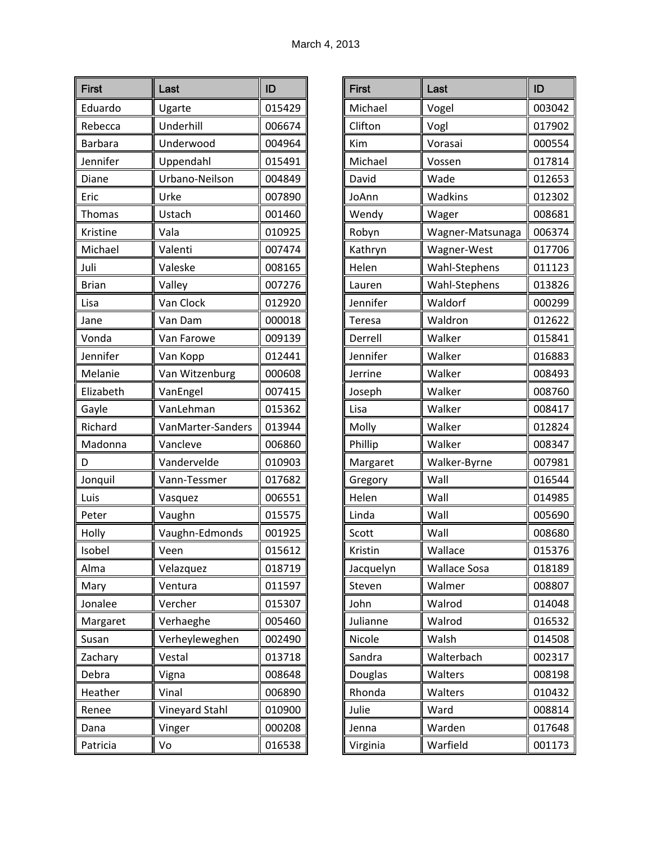| <b>First</b>   | Last              | ID     |
|----------------|-------------------|--------|
| Eduardo        | Ugarte            | 015429 |
| Rebecca        | Underhill         | 006674 |
| <b>Barbara</b> | Underwood         | 004964 |
| Jennifer       | Uppendahl         | 015491 |
| Diane          | Urbano-Neilson    | 004849 |
| Eric           | Urke              | 007890 |
| <b>Thomas</b>  | Ustach            | 001460 |
| Kristine       | Vala              | 010925 |
| Michael        | Valenti           | 007474 |
| Juli           | Valeske           | 008165 |
| <b>Brian</b>   | Valley            | 007276 |
| Lisa           | Van Clock         | 012920 |
| Jane           | Van Dam           | 000018 |
| Vonda          | Van Farowe        | 009139 |
| Jennifer       | Van Kopp          | 012441 |
| Melanie        | Van Witzenburg    | 000608 |
| Elizabeth      | VanEngel          | 007415 |
| Gayle          | VanLehman         | 015362 |
| Richard        | VanMarter-Sanders | 013944 |
| Madonna        | Vancleve          | 006860 |
| D              | Vandervelde       | 010903 |
| Jonquil        | Vann-Tessmer      | 017682 |
| Luis           | Vasquez           | 006551 |
| Peter          | Vaughn            | 015575 |
| Holly          | Vaughn-Edmonds    | 001925 |
| Isobel         | Veen              | 015612 |
| Alma           | Velazquez         | 018719 |
| Mary           | Ventura           | 011597 |
| Jonalee        | Vercher           | 015307 |
| Margaret       | Verhaeghe         | 005460 |
| Susan          | Verheyleweghen    | 002490 |
| Zachary        | Vestal            | 013718 |
| Debra          | Vigna             | 008648 |
| Heather        | Vinal             | 006890 |
| Renee          | Vineyard Stahl    | 010900 |
| Dana           | Vinger            | 000208 |
| Patricia       | Vo                | 016538 |

| <b>First</b> | Last                | ID     |
|--------------|---------------------|--------|
| Michael      | Vogel               | 003042 |
| Clifton      | Vogl                | 017902 |
| Kim          | Vorasai             | 000554 |
| Michael      | Vossen              | 017814 |
| David        | Wade                | 012653 |
| JoAnn        | Wadkins             | 012302 |
| Wendy        | Wager               | 008681 |
| Robyn        | Wagner-Matsunaga    | 006374 |
| Kathryn      | Wagner-West         | 017706 |
| Helen        | Wahl-Stephens       | 011123 |
| Lauren       | Wahl-Stephens       | 013826 |
| Jennifer     | Waldorf             | 000299 |
| Teresa       | Waldron             | 012622 |
| Derrell      | Walker              | 015841 |
| Jennifer     | Walker              | 016883 |
| Jerrine      | Walker              | 008493 |
| Joseph       | Walker              | 008760 |
| Lisa         | Walker              | 008417 |
| Molly        | Walker              | 012824 |
| Phillip      | Walker              | 008347 |
| Margaret     | Walker-Byrne        | 007981 |
| Gregory      | Wall                | 016544 |
| Helen        | Wall                | 014985 |
| Linda        | Wall                | 005690 |
| Scott        | Wall                | 008680 |
| Kristin      | Wallace             | 015376 |
| Jacquelyn    | <b>Wallace Sosa</b> | 018189 |
| Steven       | Walmer              | 008807 |
| John         | Walrod              | 014048 |
| Julianne     | Walrod              | 016532 |
| Nicole       | Walsh               | 014508 |
| Sandra       | Walterbach          | 002317 |
| Douglas      | Walters             | 008198 |
| Rhonda       | Walters             | 010432 |
| Julie        | Ward                | 008814 |
| Jenna        | Warden              | 017648 |
| Virginia     | Warfield            | 001173 |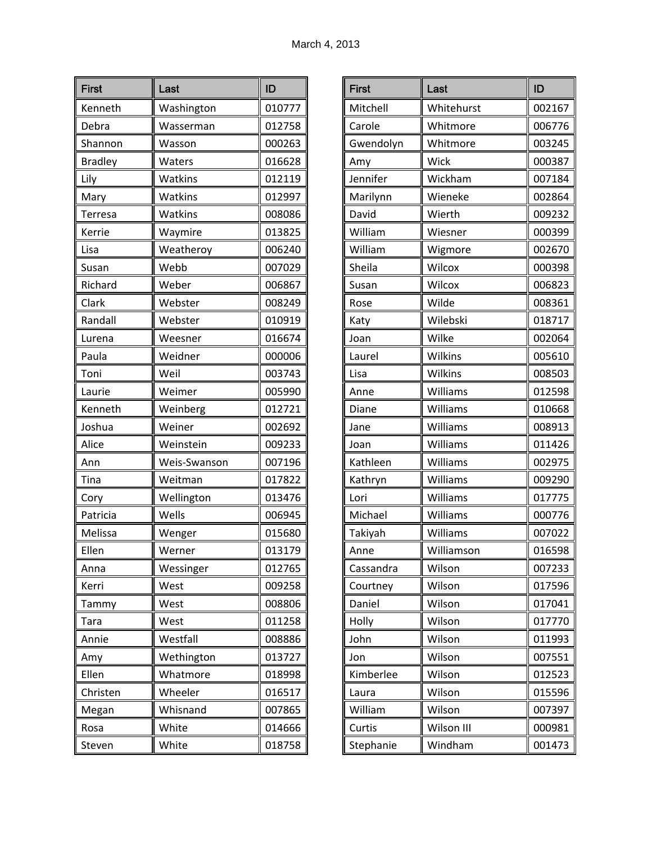| <b>First</b>   | Last         | ID     |
|----------------|--------------|--------|
| Kenneth        | Washington   | 010777 |
| Debra          | Wasserman    | 012758 |
| Shannon        | Wasson       | 000263 |
| <b>Bradley</b> | Waters       | 016628 |
| Lily           | Watkins      | 012119 |
| Mary           | Watkins      | 012997 |
| Terresa        | Watkins      | 008086 |
| Kerrie         | Waymire      | 013825 |
| Lisa           | Weatheroy    | 006240 |
| Susan          | Webb         | 007029 |
| Richard        | Weber        | 006867 |
| Clark          | Webster      | 008249 |
| Randall        | Webster      | 010919 |
| Lurena         | Weesner      | 016674 |
| Paula          | Weidner      | 000006 |
| Toni           | Weil         | 003743 |
| Laurie         | Weimer       | 005990 |
| Kenneth        | Weinberg     | 012721 |
| Joshua         | Weiner       | 002692 |
| Alice          | Weinstein    | 009233 |
| Ann            | Weis-Swanson | 007196 |
| Tina           | Weitman      | 017822 |
| Cory           | Wellington   | 013476 |
| Patricia       | Wells        | 006945 |
| Melissa        | Wenger       | 015680 |
| Ellen          | Werner       | 013179 |
| Anna           | Wessinger    | 012765 |
| Kerri          | West         | 009258 |
| Tammy          | West         | 008806 |
| Tara           | West         | 011258 |
| Annie          | Westfall     | 008886 |
| Amy            | Wethington   | 013727 |
| Ellen          | Whatmore     | 018998 |
| Christen       | Wheeler      | 016517 |
| Megan          | Whisnand     | 007865 |
| Rosa           | White        | 014666 |
| Steven         | White        | 018758 |

| <b>First</b> | Last       | ID     |
|--------------|------------|--------|
| Mitchell     | Whitehurst | 002167 |
| Carole       | Whitmore   | 006776 |
| Gwendolyn    | Whitmore   | 003245 |
| Amy          | Wick       | 000387 |
| Jennifer     | Wickham    | 007184 |
| Marilynn     | Wieneke    | 002864 |
| David        | Wierth     | 009232 |
| William      | Wiesner    | 000399 |
| William      | Wigmore    | 002670 |
| Sheila       | Wilcox     | 000398 |
| Susan        | Wilcox     | 006823 |
| Rose         | Wilde      | 008361 |
| Katy         | Wilebski   | 018717 |
| Joan         | Wilke      | 002064 |
| Laurel       | Wilkins    | 005610 |
| Lisa         | Wilkins    | 008503 |
| Anne         | Williams   | 012598 |
| Diane        | Williams   | 010668 |
| Jane         | Williams   | 008913 |
| Joan         | Williams   | 011426 |
| Kathleen     | Williams   | 002975 |
| Kathryn      | Williams   | 009290 |
| Lori         | Williams   | 017775 |
| Michael      | Williams   | 000776 |
| Takiyah      | Williams   | 007022 |
| Anne         | Williamson | 016598 |
| Cassandra    | Wilson     | 007233 |
| Courtney     | Wilson     | 017596 |
| Daniel       | Wilson     | 017041 |
| Holly        | Wilson     | 017770 |
| John         | Wilson     | 011993 |
| Jon          | Wilson     | 007551 |
| Kimberlee    | Wilson     | 012523 |
| Laura        | Wilson     | 015596 |
| William      | Wilson     | 007397 |
| Curtis       | Wilson III | 000981 |
| Stephanie    | Windham    | 001473 |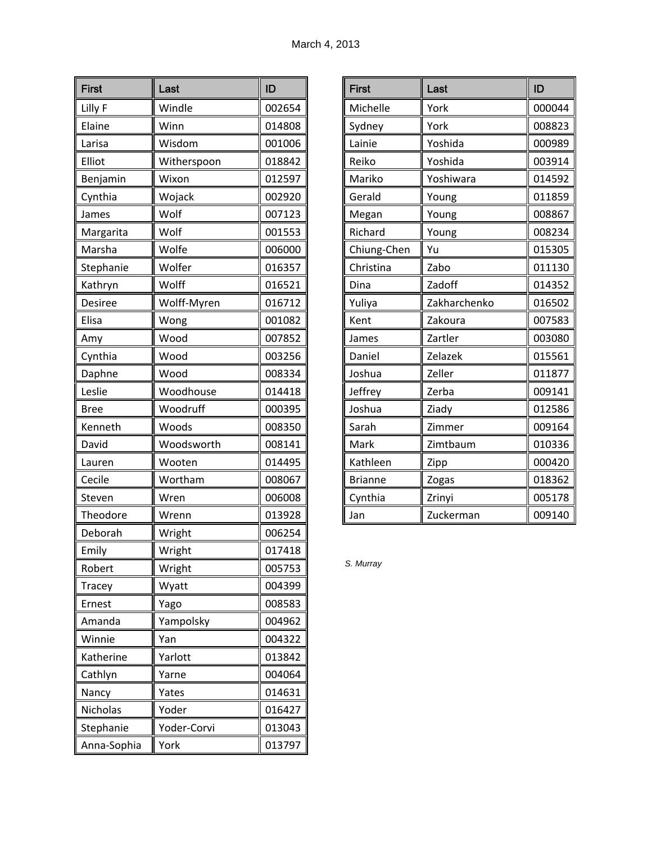| <b>First</b> | Last        | ID     |
|--------------|-------------|--------|
| Lilly F      | Windle      | 002654 |
| Elaine       | Winn        | 014808 |
| Larisa       | Wisdom      | 001006 |
| Elliot       | Witherspoon | 018842 |
| Benjamin     | Wixon       | 012597 |
| Cynthia      | Wojack      | 002920 |
| James        | Wolf        | 007123 |
| Margarita    | Wolf        | 001553 |
| Marsha       | Wolfe       | 006000 |
| Stephanie    | Wolfer      | 016357 |
| Kathryn      | Wolff       | 016521 |
| Desiree      | Wolff-Myren | 016712 |
| Elisa        | Wong        | 001082 |
| Amy          | Wood        | 007852 |
| Cynthia      | Wood        | 003256 |
| Daphne       | Wood        | 008334 |
| Leslie       | Woodhouse   | 014418 |
| <b>Bree</b>  | Woodruff    | 000395 |
| Kenneth      | Woods       | 008350 |
| David        | Woodsworth  | 008141 |
| Lauren       | Wooten      | 014495 |
| Cecile       | Wortham     | 008067 |
| Steven       | Wren        | 006008 |
| Theodore     | Wrenn       | 013928 |
| Deborah      | Wright      | 006254 |
| Emily        | Wright      | 017418 |
| Robert       | Wright      | 005753 |
| Tracey       | Wyatt       | 004399 |
| Ernest       | Yago        | 008583 |
| Amanda       | Yampolsky   | 004962 |
| Winnie       | Yan         | 004322 |
| Katherine    | Yarlott     | 013842 |
| Cathlyn      | Yarne       | 004064 |
| Nancy        | Yates       | 014631 |
| Nicholas     | Yoder       | 016427 |
| Stephanie    | Yoder-Corvi | 013043 |
| Anna-Sophia  | York        | 013797 |

| <b>First</b>   | Last         | ID     |
|----------------|--------------|--------|
| Michelle       | York         | 000044 |
| Sydney         | York         | 008823 |
| Lainie         | Yoshida      | 000989 |
| Reiko          | Yoshida      | 003914 |
| Mariko         | Yoshiwara    | 014592 |
| Gerald         | Young        | 011859 |
| Megan          | Young        | 008867 |
| Richard        | Young        | 008234 |
| Chiung-Chen    | Yu           | 015305 |
| Christina      | Zabo         | 011130 |
| Dina           | Zadoff       | 014352 |
| Yuliya         | Zakharchenko | 016502 |
| Kent           | Zakoura      | 007583 |
| James          | Zartler      | 003080 |
| Daniel         | Zelazek      | 015561 |
| Joshua         | Zeller       | 011877 |
| Jeffrey        | Zerba        | 009141 |
| Joshua         | Ziady        | 012586 |
| Sarah          | Zimmer       | 009164 |
| Mark           | Zimtbaum     | 010336 |
| Kathleen       | Zipp         | 000420 |
| <b>Brianne</b> | Zogas        | 018362 |
| Cynthia        | Zrinyi       | 005178 |
| Jan            | Zuckerman    | 009140 |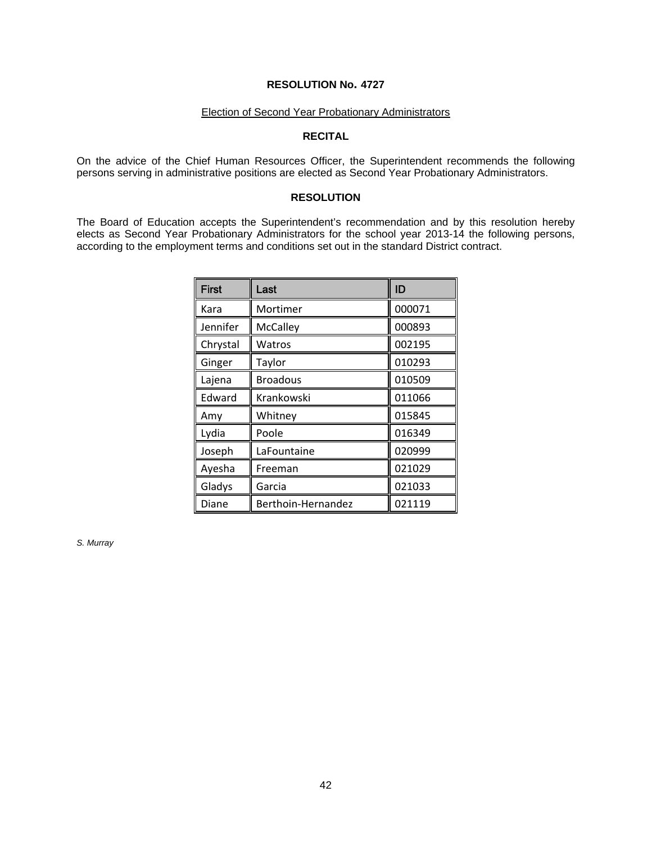# Election of Second Year Probationary Administrators

# **RECITAL**

On the advice of the Chief Human Resources Officer, the Superintendent recommends the following persons serving in administrative positions are elected as Second Year Probationary Administrators.

## **RESOLUTION**

The Board of Education accepts the Superintendent's recommendation and by this resolution hereby elects as Second Year Probationary Administrators for the school year 2013-14 the following persons, according to the employment terms and conditions set out in the standard District contract.

| <b>First</b> | Last               | ID     |
|--------------|--------------------|--------|
| Kara         | Mortimer           | 000071 |
| Jennifer     | McCalley           | 000893 |
| Chrystal     | Watros             | 002195 |
| Ginger       | Taylor             | 010293 |
| Lajena       | <b>Broadous</b>    | 010509 |
| Edward       | Krankowski         | 011066 |
| Amy          | Whitney            | 015845 |
| Lydia        | Poole              | 016349 |
| Joseph       | LaFountaine        | 020999 |
| Ayesha       | Freeman            | 021029 |
| Gladys       | Garcia             | 021033 |
| Diane        | Berthoin-Hernandez | 021119 |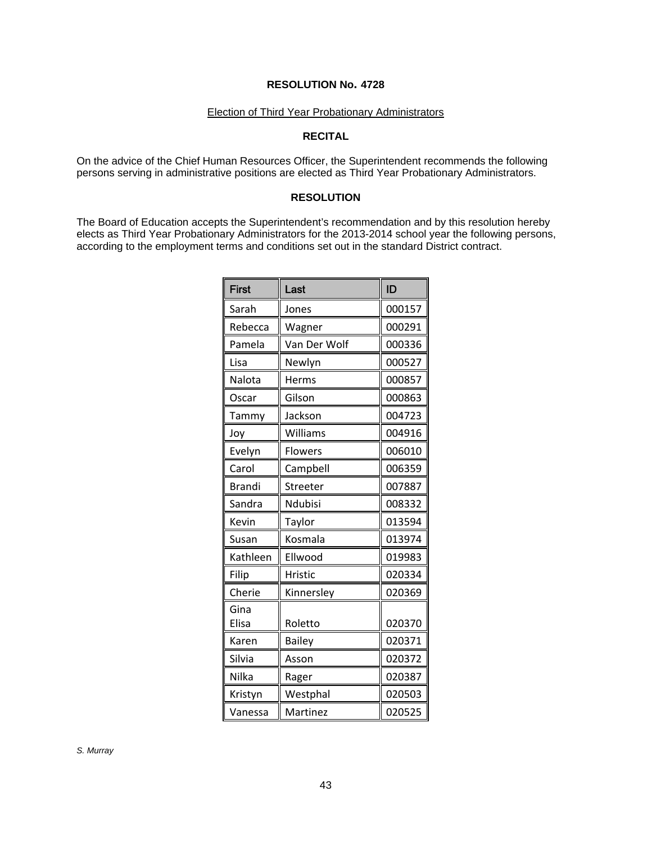#### Election of Third Year Probationary Administrators

# **RECITAL**

On the advice of the Chief Human Resources Officer, the Superintendent recommends the following persons serving in administrative positions are elected as Third Year Probationary Administrators.

# **RESOLUTION**

The Board of Education accepts the Superintendent's recommendation and by this resolution hereby elects as Third Year Probationary Administrators for the 2013-2014 school year the following persons, according to the employment terms and conditions set out in the standard District contract.

| <b>First</b>  | Last         | ID     |
|---------------|--------------|--------|
| Sarah         | Jones        | 000157 |
| Rebecca       | Wagner       | 000291 |
| Pamela        | Van Der Wolf | 000336 |
| Lisa          | Newlyn       | 000527 |
| Nalota        | Herms        | 000857 |
| Oscar         | Gilson       | 000863 |
| Tammy         | Jackson      | 004723 |
| Joy           | Williams     | 004916 |
| Evelyn        | Flowers      | 006010 |
| Carol         | Campbell     | 006359 |
| <b>Brandi</b> | Streeter     | 007887 |
| Sandra        | Ndubisi      | 008332 |
| Kevin         | Taylor       | 013594 |
| Susan         | Kosmala      | 013974 |
| Kathleen      | Ellwood      | 019983 |
| Filip         | Hristic      | 020334 |
| Cherie        | Kinnersley   | 020369 |
| Gina<br>Elisa | Roletto      | 020370 |
| Karen         | Bailey       | 020371 |
| Silvia        | Asson        | 020372 |
| Nilka         | Rager        | 020387 |
| Kristyn       | Westphal     | 020503 |
| Vanessa       | Martinez     | 020525 |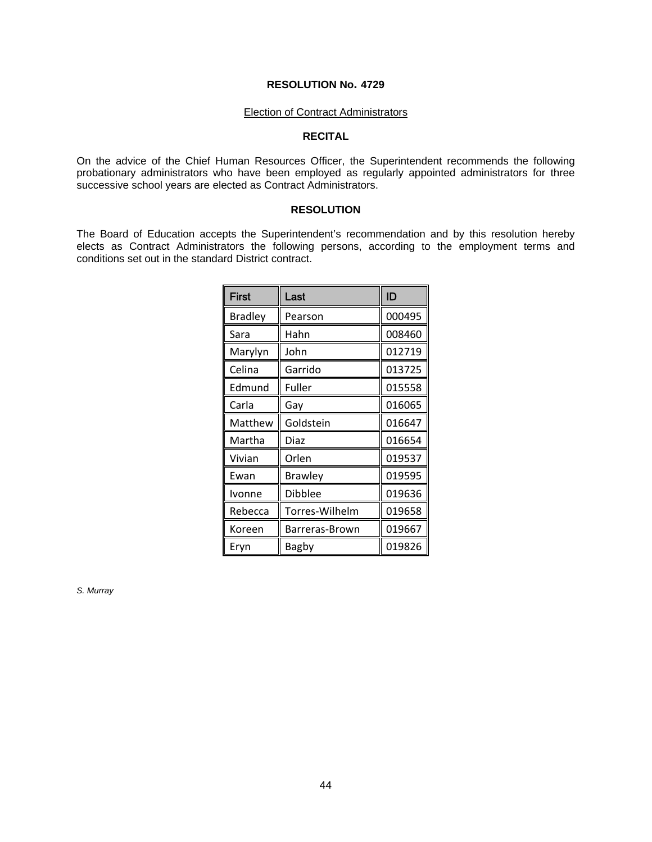#### Election of Contract Administrators

### **RECITAL**

On the advice of the Chief Human Resources Officer, the Superintendent recommends the following probationary administrators who have been employed as regularly appointed administrators for three successive school years are elected as Contract Administrators.

### **RESOLUTION**

The Board of Education accepts the Superintendent's recommendation and by this resolution hereby elects as Contract Administrators the following persons, according to the employment terms and conditions set out in the standard District contract.

| First          | Last           | ID     |
|----------------|----------------|--------|
| <b>Bradley</b> | Pearson        | 000495 |
| Sara           | Hahn           | 008460 |
| Marylyn        | John           | 012719 |
| Celina         | Garrido        | 013725 |
| Edmund         | Fuller         | 015558 |
| Carla          | Gay            | 016065 |
| Matthew        | Goldstein      | 016647 |
| Martha         | Diaz           | 016654 |
| Vivian         | Orlen          | 019537 |
| Ewan           | <b>Brawley</b> | 019595 |
| Ivonne         | <b>Dibblee</b> | 019636 |
| Rebecca        | Torres-Wilhelm | 019658 |
| Koreen         | Barreras-Brown | 019667 |
| Eryn           | Bagby          | 019826 |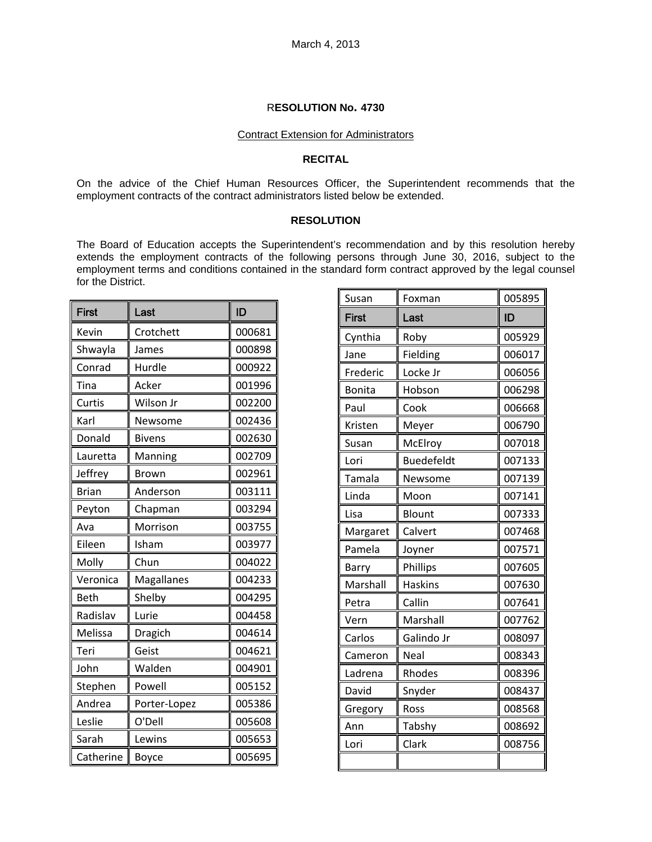#### Contract Extension for Administrators

#### **RECITAL**

On the advice of the Chief Human Resources Officer, the Superintendent recommends that the employment contracts of the contract administrators listed below be extended.

### **RESOLUTION**

The Board of Education accepts the Superintendent's recommendation and by this resolution hereby extends the employment contracts of the following persons through June 30, 2016, subject to the employment terms and conditions contained in the standard form contract approved by the legal counsel for the District.

| <b>First</b> | Last          | ID     |
|--------------|---------------|--------|
| Kevin        | Crotchett     | 000681 |
| Shwayla      | James         | 000898 |
| Conrad       | Hurdle        | 000922 |
| Tina         | Acker         | 001996 |
| Curtis       | Wilson Jr     | 002200 |
| Karl         | Newsome       | 002436 |
| Donald       | <b>Bivens</b> | 002630 |
| Lauretta     | Manning       | 002709 |
| Jeffrey      | <b>Brown</b>  | 002961 |
| <b>Brian</b> | Anderson      | 003111 |
| Peyton       | Chapman       | 003294 |
| Ava          | Morrison      | 003755 |
| Eileen       | Isham         | 003977 |
| Molly        | Chun          | 004022 |
| Veronica     | Magallanes    | 004233 |
| Beth         | Shelby        | 004295 |
| Radislav     | Lurie         | 004458 |
| Melissa      | Dragich       | 004614 |
| Teri         | Geist         | 004621 |
| John         | Walden        | 004901 |
| Stephen      | Powell        | 005152 |
| Andrea       | Porter-Lopez  | 005386 |
| Leslie       | O'Dell        | 005608 |
| Sarah        | Lewins        | 005653 |
| Catherine    | Boyce         | 005695 |

| Susan         | Foxman            | 005895 |
|---------------|-------------------|--------|
| <b>First</b>  | Last              | ID     |
| Cynthia       | Roby              | 005929 |
| Jane          | Fielding          | 006017 |
| Frederic      | Locke Jr          | 006056 |
| <b>Bonita</b> | Hobson            | 006298 |
| Paul          | Cook              | 006668 |
| Kristen       | Meyer             | 006790 |
| Susan         | McElroy           | 007018 |
| Lori          | <b>Buedefeldt</b> | 007133 |
| Tamala        | Newsome           | 007139 |
| Linda         | Moon              | 007141 |
| Lisa          | <b>Blount</b>     | 007333 |
| Margaret      | Calvert           | 007468 |
| Pamela        | Joyner            | 007571 |
| Barry         | Phillips          | 007605 |
| Marshall      | <b>Haskins</b>    | 007630 |
| Petra         | Callin            | 007641 |
| Vern          | Marshall          | 007762 |
| Carlos        | Galindo Jr        | 008097 |
| Cameron       | Neal              | 008343 |
| Ladrena       | Rhodes            | 008396 |
| David         | Snyder            | 008437 |
| Gregory       | Ross              | 008568 |
| Ann           | Tabshy            | 008692 |
| Lori          | Clark             | 008756 |
|               |                   |        |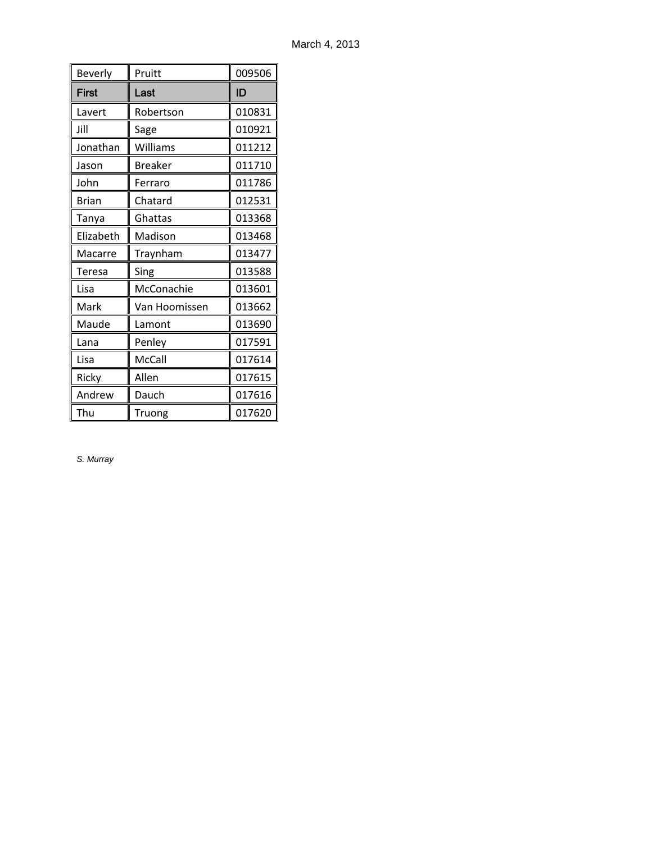| Beverly      | Pruitt         | 009506 |
|--------------|----------------|--------|
| <b>First</b> | Last           | ID     |
| Lavert       | Robertson      | 010831 |
| Jill         | Sage           | 010921 |
| Jonathan     | Williams       | 011212 |
| Jason        | <b>Breaker</b> | 011710 |
| John         | Ferraro        | 011786 |
| <b>Brian</b> | Chatard        | 012531 |
| Tanya        | Ghattas        | 013368 |
| Elizabeth    | Madison        | 013468 |
| Macarre      | Traynham       | 013477 |
| Teresa       | Sing           | 013588 |
| Lisa         | McConachie     | 013601 |
| Mark         | Van Hoomissen  | 013662 |
| Maude        | Lamont         | 013690 |
| Lana         | Penley         | 017591 |
| Lisa         | McCall         | 017614 |
| Ricky        | Allen          | 017615 |
| Andrew       | Dauch          | 017616 |
| Thu          | Truong         | 017620 |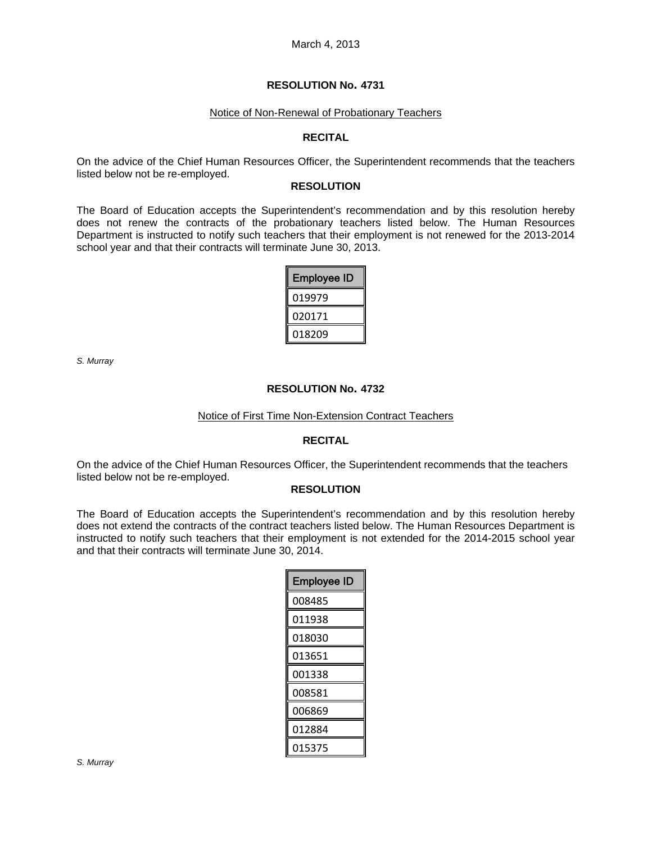#### Notice of Non-Renewal of Probationary Teachers

#### **RECITAL**

On the advice of the Chief Human Resources Officer, the Superintendent recommends that the teachers listed below not be re-employed.

#### **RESOLUTION**

The Board of Education accepts the Superintendent's recommendation and by this resolution hereby does not renew the contracts of the probationary teachers listed below. The Human Resources Department is instructed to notify such teachers that their employment is not renewed for the 2013-2014 school year and that their contracts will terminate June 30, 2013.

| <b>Employee ID</b> |
|--------------------|
| 019979             |
| 020171             |
| 018209             |

*S. Murray* 

### **RESOLUTION No. 4732**

#### Notice of First Time Non-Extension Contract Teachers

#### **RECITAL**

On the advice of the Chief Human Resources Officer, the Superintendent recommends that the teachers listed below not be re-employed.

#### **RESOLUTION**

The Board of Education accepts the Superintendent's recommendation and by this resolution hereby does not extend the contracts of the contract teachers listed below. The Human Resources Department is instructed to notify such teachers that their employment is not extended for the 2014-2015 school year and that their contracts will terminate June 30, 2014.

| <b>Employee ID</b> |
|--------------------|
| 008485             |
| 011938             |
| 018030             |
| 013651             |
| 001338             |
| 008581             |
| 006869             |
| 012884             |
| 015375             |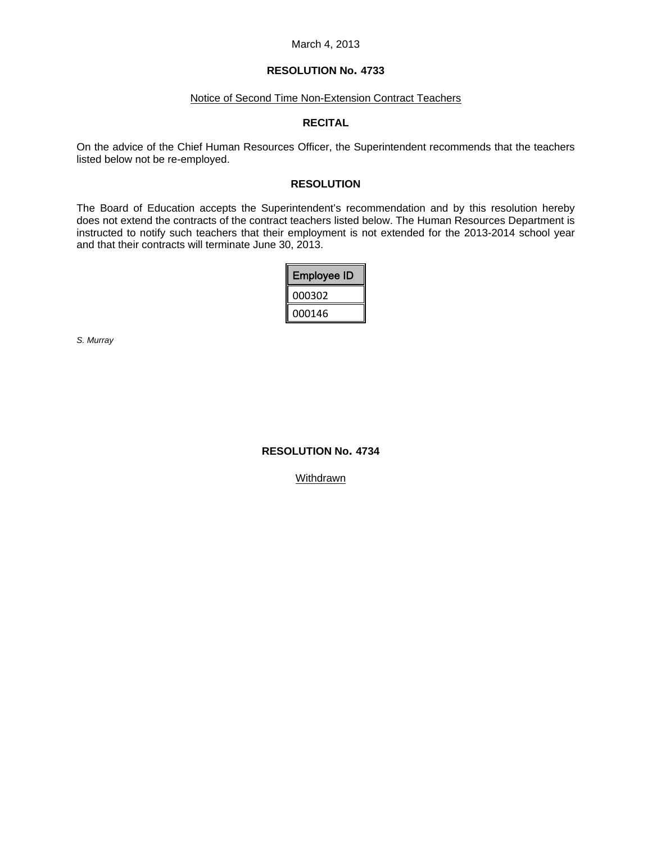#### March 4, 2013

# **RESOLUTION No. 4733**

# Notice of Second Time Non-Extension Contract Teachers

## **RECITAL**

On the advice of the Chief Human Resources Officer, the Superintendent recommends that the teachers listed below not be re-employed.

## **RESOLUTION**

The Board of Education accepts the Superintendent's recommendation and by this resolution hereby does not extend the contracts of the contract teachers listed below. The Human Resources Department is instructed to notify such teachers that their employment is not extended for the 2013-2014 school year and that their contracts will terminate June 30, 2013.

| I<br><b>Employee ID</b> |
|-------------------------|
| I<br>000302             |
| 000146                  |

*S. Murray* 

# **RESOLUTION No. 4734**

**Withdrawn**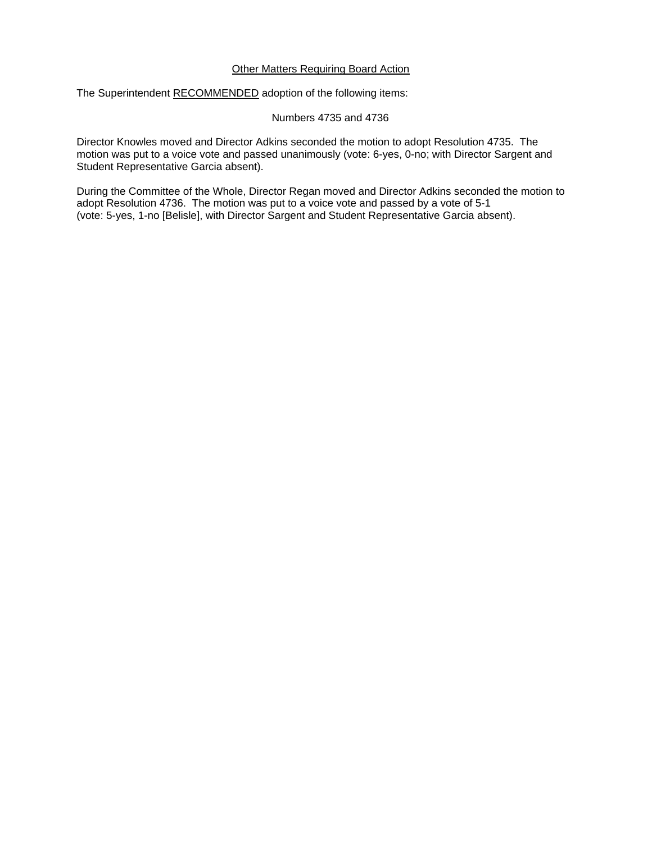### Other Matters Requiring Board Action

The Superintendent RECOMMENDED adoption of the following items:

Numbers 4735 and 4736

Director Knowles moved and Director Adkins seconded the motion to adopt Resolution 4735. The motion was put to a voice vote and passed unanimously (vote: 6-yes, 0-no; with Director Sargent and Student Representative Garcia absent).

During the Committee of the Whole, Director Regan moved and Director Adkins seconded the motion to adopt Resolution 4736. The motion was put to a voice vote and passed by a vote of 5-1 (vote: 5-yes, 1-no [Belisle], with Director Sargent and Student Representative Garcia absent).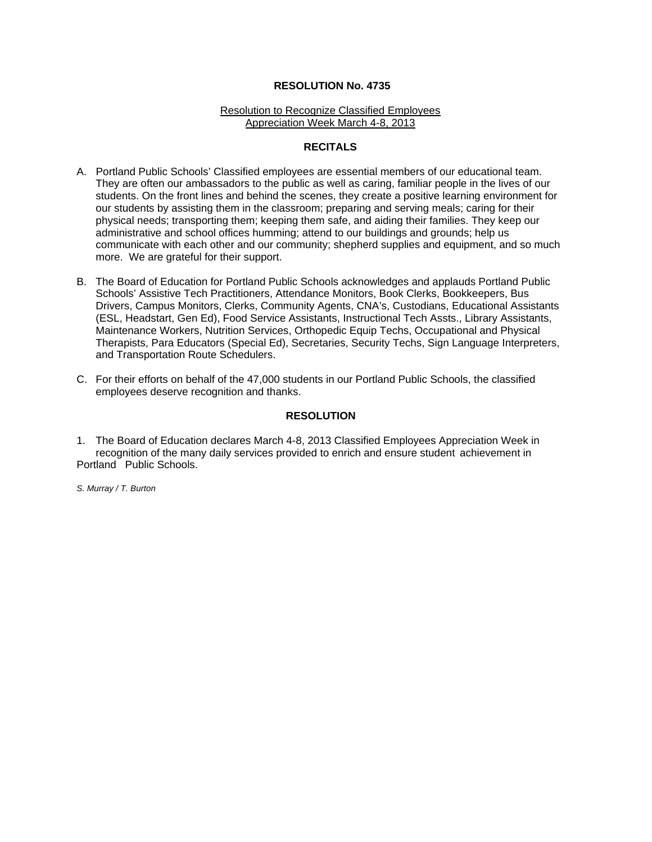#### Resolution to Recognize Classified Employees Appreciation Week March 4-8, 2013

# **RECITALS**

- A. Portland Public Schools' Classified employees are essential members of our educational team. They are often our ambassadors to the public as well as caring, familiar people in the lives of our students. On the front lines and behind the scenes, they create a positive learning environment for our students by assisting them in the classroom; preparing and serving meals; caring for their physical needs; transporting them; keeping them safe, and aiding their families. They keep our administrative and school offices humming; attend to our buildings and grounds; help us communicate with each other and our community; shepherd supplies and equipment, and so much more. We are grateful for their support.
- B. The Board of Education for Portland Public Schools acknowledges and applauds Portland Public Schools' Assistive Tech Practitioners, Attendance Monitors, Book Clerks, Bookkeepers, Bus Drivers, Campus Monitors, Clerks, Community Agents, CNA's, Custodians, Educational Assistants (ESL, Headstart, Gen Ed), Food Service Assistants, Instructional Tech Assts., Library Assistants, Maintenance Workers, Nutrition Services, Orthopedic Equip Techs, Occupational and Physical Therapists, Para Educators (Special Ed), Secretaries, Security Techs, Sign Language Interpreters, and Transportation Route Schedulers.
- C. For their efforts on behalf of the 47,000 students in our Portland Public Schools, the classified employees deserve recognition and thanks.

#### **RESOLUTION**

1. The Board of Education declares March 4-8, 2013 Classified Employees Appreciation Week in recognition of the many daily services provided to enrich and ensure student achievement in Portland Public Schools.

*S. Murray / T. Burton*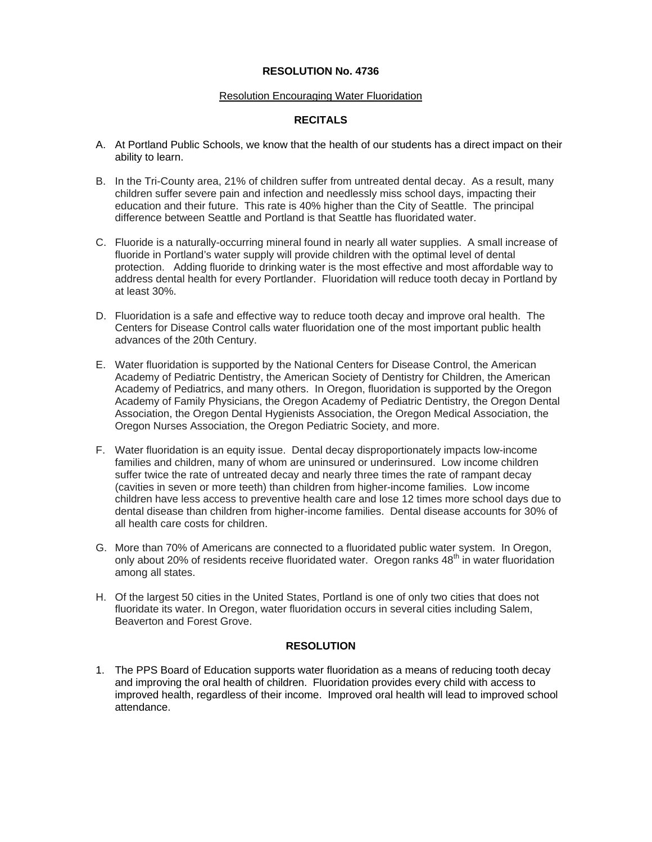### Resolution Encouraging Water Fluoridation

# **RECITALS**

- A. At Portland Public Schools, we know that the health of our students has a direct impact on their ability to learn.
- B. In the Tri-County area, 21% of children suffer from untreated dental decay. As a result, many children suffer severe pain and infection and needlessly miss school days, impacting their education and their future. This rate is 40% higher than the City of Seattle. The principal difference between Seattle and Portland is that Seattle has fluoridated water.
- C. Fluoride is a naturally-occurring mineral found in nearly all water supplies. A small increase of fluoride in Portland's water supply will provide children with the optimal level of dental protection. Adding fluoride to drinking water is the most effective and most affordable way to address dental health for every Portlander. Fluoridation will reduce tooth decay in Portland by at least 30%.
- D. Fluoridation is a safe and effective way to reduce tooth decay and improve oral health. The Centers for Disease Control calls water fluoridation one of the most important public health advances of the 20th Century.
- E. Water fluoridation is supported by the National Centers for Disease Control, the American Academy of Pediatric Dentistry, the American Society of Dentistry for Children, the American Academy of Pediatrics, and many others. In Oregon, fluoridation is supported by the Oregon Academy of Family Physicians, the Oregon Academy of Pediatric Dentistry, the Oregon Dental Association, the Oregon Dental Hygienists Association, the Oregon Medical Association, the Oregon Nurses Association, the Oregon Pediatric Society, and more.
- F. Water fluoridation is an equity issue. Dental decay disproportionately impacts low-income families and children, many of whom are uninsured or underinsured. Low income children suffer twice the rate of untreated decay and nearly three times the rate of rampant decay (cavities in seven or more teeth) than children from higher-income families. Low income children have less access to preventive health care and lose 12 times more school days due to dental disease than children from higher-income families. Dental disease accounts for 30% of all health care costs for children.
- G. More than 70% of Americans are connected to a fluoridated public water system. In Oregon, only about 20% of residents receive fluoridated water. Oregon ranks  $48<sup>th</sup>$  in water fluoridation among all states.
- H. Of the largest 50 cities in the United States, Portland is one of only two cities that does not fluoridate its water. In Oregon, water fluoridation occurs in several cities including Salem, Beaverton and Forest Grove.

# **RESOLUTION**

1. The PPS Board of Education supports water fluoridation as a means of reducing tooth decay and improving the oral health of children. Fluoridation provides every child with access to improved health, regardless of their income. Improved oral health will lead to improved school attendance.